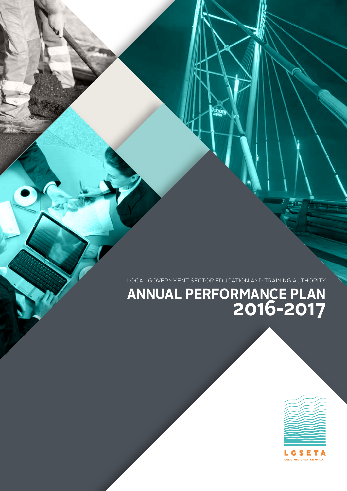LOCAL GOVERNMENT SECTOR EDUCATION AND TRAINING AUTHORITY

#### **ANNUAL PERFORMANCE PLAN 2016-2017**



LGSETA CREATING GREATER IMPACT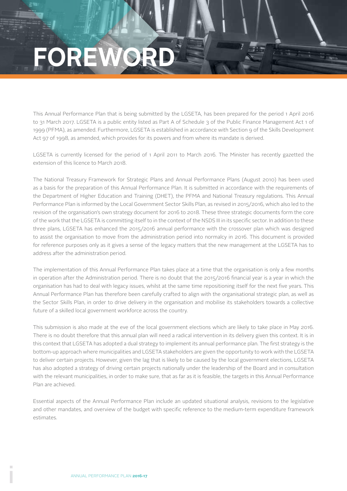## **DREWOR**

This Annual Performance Plan that is being submitted by the LGSETA, has been prepared for the period 1 April 2016 to 31 March 2017. LGSETA is a public entity listed as Part A of Schedule 3 of the Public Finance Management Act 1 of 1999 (PFMA), as amended. Furthermore, LGSETA is established in accordance with Section 9 of the Skills Development Act 97 of 1998, as amended, which provides for its powers and from where its mandate is derived.

LGSETA is currently licensed for the period of 1 April 2011 to March 2016. The Minister has recently gazetted the extension of this licence to March 2018.

The National Treasury Framework for Strategic Plans and Annual Performance Plans (August 2010) has been used as a basis for the preparation of this Annual Performance Plan. It is submitted in accordance with the requirements of the Department of Higher Education and Training (DHET), the PFMA and National Treasury regulations. This Annual Performance Plan is informed by the Local Government Sector Skills Plan, as revised in 2015/2016, which also led to the revision of the organisation's own strategy document for 2016 to 2018. These three strategic documents form the core of the work that the LGSETA is committing itself to in the context of the NSDS III in its specific sector. In addition to these three plans, LGSETA has enhanced the 2015/2016 annual performance with the crossover plan which was designed to assist the organisation to move from the administration period into normalcy in 2016. This document is provided for reference purposes only as it gives a sense of the legacy matters that the new management at the LGSETA has to address after the administration period.

The implementation of this Annual Performance Plan takes place at a time that the organisation is only a few months in operation after the Administration period. There is no doubt that the 2015/2016 financial year is a year in which the organisation has had to deal with legacy issues, whilst at the same time repositioning itself for the next five years. This Annual Performance Plan has therefore been carefully crafted to align with the organisational strategic plan, as well as the Sector Skills Plan, in order to drive delivery in the organisation and mobilise its stakeholders towards a collective future of a skilled local government workforce across the country.

This submission is also made at the eve of the local government elections which are likely to take place in May 2016. There is no doubt therefore that this annual plan will need a radical intervention in its delivery given this context. It is in this context that LGSETA has adopted a dual strategy to implement its annual performance plan. The first strategy is the bottom-up approach where municipalities and LGSETA stakeholders are given the opportunity to work with the LGSETA to deliver certain projects. However, given the lag that is likely to be caused by the local government elections, LGSETA has also adopted a strategy of driving certain projects nationally under the leadership of the Board and in consultation with the relevant municipalities, in order to make sure, that as far as it is feasible, the targets in this Annual Performance Plan are achieved.

Essential aspects of the Annual Performance Plan include an updated situational analysis, revisions to the legislative and other mandates, and overview of the budget with specific reference to the medium-term expenditure framework estimates.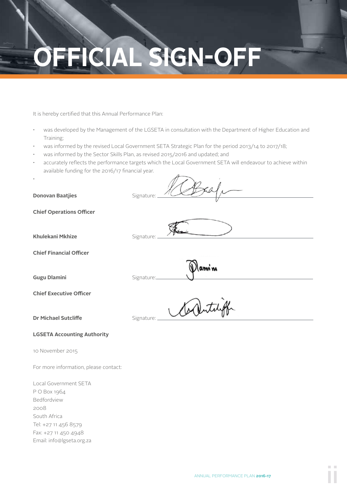## **OFFICIAL SIGN-OFF**

It is hereby certified that this Annual Performance Plan:

- was developed by the Management of the LGSETA in consultation with the Department of Higher Education and Training;
- was informed by the revised Local Government SETA Strategic Plan for the period 2013/14 to 2017/18;
- was informed by the Sector Skills Plan, as revised 2015/2016 and updated; and
- accurately reflects the performance targets which the Local Government SETA will endeavour to achieve within available funding for the 2016/17 financial year.

**Donovan Baatjies** Signature:

·

ami n

**Chief Operations Officer** 

**Khulekani Mkhize** Signature:

**Chief Financial Officer**

**Gugu Dlamini** Signature:

**Chief Executive Officer**

**Dr Michael Sutcliffe** Signature:

#### **LGSETA Accounting Authority**

10 November 2015

For more information, please contact:

Local Government SETA P O Box 1964 Bedfordview 2008 South Africa Tel: +27 11 456 8579 Fax: +27 11 450 4948 Email: info@lgseta.org.za Carlitaly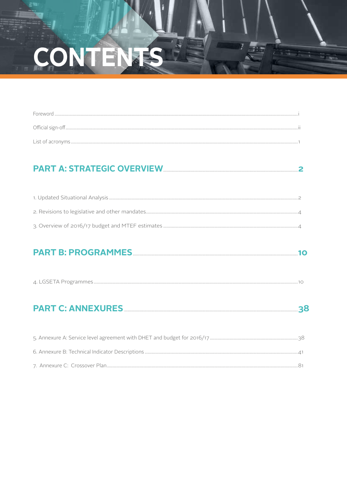## CONTENTS

#### 

#### PART B: PROGRAMMES <u>www.walluman.com/www.walluman.com/www.walluman.</u>10

| $\sqrt{1}$<br>חר<br>$\overline{\phantom{a}}$<br>↣ |  |
|---------------------------------------------------|--|
|---------------------------------------------------|--|

####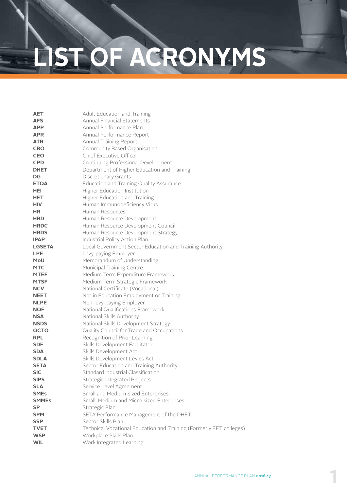## **LIST OF ACRONYMS**

| Adult Education and Training                                        |
|---------------------------------------------------------------------|
| <b>Annual Financial Statements</b>                                  |
| Annual Performance Plan                                             |
| Annual Performance Report                                           |
| Annual Training Report                                              |
| Community Based Organisation                                        |
| Chief Executive Officer                                             |
| Continuing Professional Development                                 |
| Department of Higher Education and Training                         |
| <b>Discretionary Grants</b>                                         |
| Education and Training Quality Assurance                            |
| <b>Higher Education Institution</b>                                 |
| Higher Education and Training                                       |
| Human Immunodeficiency Virus                                        |
| Human Resources                                                     |
| Human Resource Development                                          |
| Human Resource Development Council                                  |
| Human Resource Development Strategy                                 |
| Industrial Policy Action Plan                                       |
| Local Government Sector Education and Training Authority            |
| Levy-paying Employer                                                |
| Memorandum of Understanding                                         |
| Municipal Training Centre                                           |
| Medium Term Expenditure Framework                                   |
| Medium Term Strategic Framework                                     |
| National Certificate (Vocational)                                   |
| Not in Education Employment or Training                             |
| Non-levy-paying Employer                                            |
| National Qualifications Framework                                   |
| National Skills Authority                                           |
| National Skills Development Strategy                                |
| Quality Council for Trade and Occupations                           |
| Recognition of Prior Learning                                       |
| Skills Development Facilitator                                      |
| Skills Development Act                                              |
| Skills Development Levies Act                                       |
| Sector Education and Training Authority                             |
| Standard Industrial Classification                                  |
| Strategic Integrated Projects                                       |
| Service Level Agreement                                             |
| Small and Medium-sized Enterprises                                  |
| Small, Medium and Micro-sized Enterprises                           |
| Strategic Plan                                                      |
| SETA Performance Management of the DHET                             |
| Sector Skills Plan                                                  |
| Technical Vocational Education and Training (Formerly FET colleges) |
| Workplace Skills Plan                                               |
| Work Integrated Learning                                            |
|                                                                     |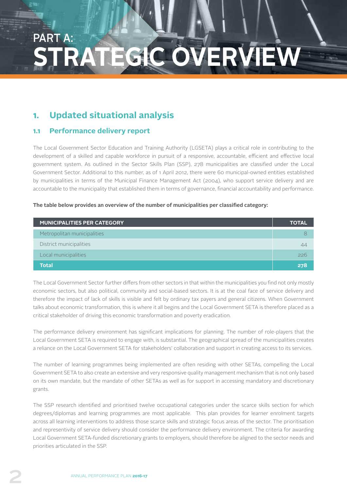### PART A: **STRATEGIC OVERVIEW**

#### **1. Updated situational analysis**

#### **1.1 Performance delivery report**

The Local Government Sector Education and Training Authority (LGSETA) plays a critical role in contributing to the development of a skilled and capable workforce in pursuit of a responsive, accountable, efficient and effective local government system. As outlined in the Sector Skills Plan (SSP), 278 municipalities are classified under the Local Government Sector. Additional to this number, as of 1 April 2012, there were 60 municipal-owned entities established by municipalities in terms of the Municipal Finance Management Act (2004), who support service delivery and are accountable to the municipality that established them in terms of governance, financial accountability and performance.

#### **The table below provides an overview of the number of municipalities per classified category:**

| <b>MUNICIPALITIES PER CATEGORY</b> | <b>TOTAL</b> |
|------------------------------------|--------------|
| Metropolitan municipalities        |              |
| District municipalities            | 44           |
| Local municipalities               | 226          |
| <b>Total</b>                       | 278          |

The Local Government Sector further differs from other sectors in that within the municipalities you find not only mostly economic sectors, but also political, community and social-based sectors. It is at the coal face of service delivery and therefore the impact of lack of skills is visible and felt by ordinary tax payers and general citizens. When Government talks about economic transformation, this is where it all begins and the Local Government SETA is therefore placed as a critical stakeholder of driving this economic transformation and poverty eradication.

The performance delivery environment has significant implications for planning. The number of role-players that the Local Government SETA is required to engage with, is substantial. The geographical spread of the municipalities creates a reliance on the Local Government SETA for stakeholders' collaboration and support in creating access to its services.

The number of learning programmes being implemented are often residing with other SETAs, compelling the Local Government SETA to also create an extensive and very responsive quality management mechanism that is not only based on its own mandate, but the mandate of other SETAs as well as for support in accessing mandatory and discretionary grants.

The SSP research identified and prioritised twelve occupational categories under the scarce skills section for which degrees/diplomas and learning programmes are most applicable. This plan provides for learner enrolment targets across all learning interventions to address those scarce skills and strategic focus areas of the sector. The prioritisation and representivity of service delivery should consider the performance delivery environment. The criteria for awarding Local Government SETA-funded discretionary grants to employers, should therefore be aligned to the sector needs and priorities articulated in the SSP.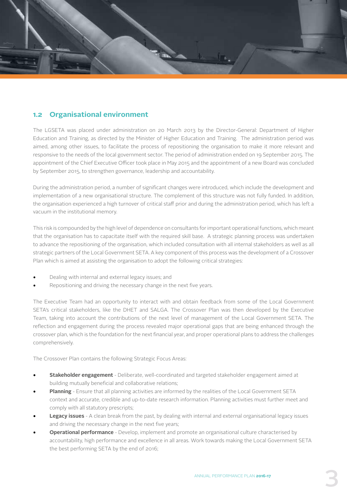

#### **1.2 Organisational environment**

The LGSETA was placed under administration on 20 March 2013 by the Director-General: Department of Higher Education and Training, as directed by the Minister of Higher Education and Training. The administration period was aimed, among other issues, to facilitate the process of repositioning the organisation to make it more relevant and responsive to the needs of the local government sector. The period of administration ended on 19 September 2015. The appointment of the Chief Executive Officer took place in May 2015 and the appointment of a new Board was concluded by September 2015, to strengthen governance, leadership and accountability.

During the administration period, a number of significant changes were introduced, which include the development and implementation of a new organisational structure. The complement of this structure was not fully funded. In addition, the organisation experienced a high turnover of critical staff prior and during the administration period, which has left a vacuum in the institutional memory.

This risk is compounded by the high level of dependence on consultants for important operational functions, which meant that the organisation has to capacitate itself with the required skill base. A strategic planning process was undertaken to advance the repositioning of the organisation, which included consultation with all internal stakeholders as well as all strategic partners of the Local Government SETA. A key component of this process was the development of a Crossover Plan which is aimed at assisting the organisation to adopt the following critical strategies:

- Dealing with internal and external legacy issues; and
- Repositioning and driving the necessary change in the next five years.

The Executive Team had an opportunity to interact with and obtain feedback from some of the Local Government SETA's critical stakeholders, like the DHET and SALGA. The Crossover Plan was then developed by the Executive Team, taking into account the contributions of the next level of management of the Local Government SETA. The reflection and engagement during the process revealed major operational gaps that are being enhanced through the crossover plan, which is the foundation for the next financial year, and proper operational plans to address the challenges comprehensively.

The Crossover Plan contains the following Strategic Focus Areas:

- **• Stakeholder engagement**  Deliberate, well-coordinated and targeted stakeholder engagement aimed at building mutually beneficial and collaborative relations;
- **• Planning** Ensure that all planning activities are informed by the realities of the Local Government SETA context and accurate, credible and up-to-date research information. Planning activities must further meet and comply with all statutory prescripts;
- **• Legacy issues** A clean break from the past, by dealing with internal and external organisational legacy issues and driving the necessary change in the next five years;
- **• Operational performance** Develop, implement and promote an organisational culture characterised by accountability, high performance and excellence in all areas. Work towards making the Local Government SETA the best performing SETA by the end of 2016;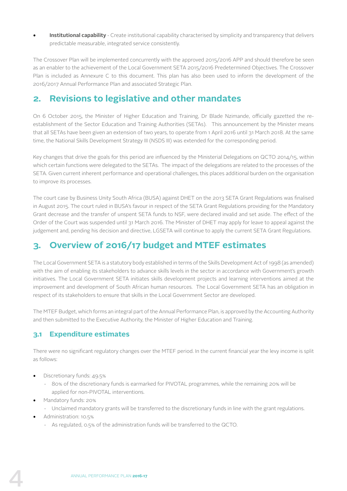**• Institutional capability** - Create institutional capability characterised by simplicity and transparency that delivers predictable measurable, integrated service consistently.

The Crossover Plan will be implemented concurrently with the approved 2015/2016 APP and should therefore be seen as an enabler to the achievement of the Local Government SETA 2015/2016 Predetermined Objectives. The Crossover Plan is included as Annexure C to this document. This plan has also been used to inform the development of the 2016/2017 Annual Performance Plan and associated Strategic Plan.

#### **2. Revisions to legislative and other mandates**

On 6 October 2015, the Minister of Higher Education and Training, Dr Blade Nzimande, officially gazetted the reestablishment of the Sector Education and Training Authorities (SETAs). This announcement by the Minister means that all SETAs have been given an extension of two years, to operate from 1 April 2016 until 31 March 2018. At the same time, the National Skills Development Strategy III (NSDS III) was extended for the corresponding period.

Key changes that drive the goals for this period are influenced by the Ministerial Delegations on QCTO 2014/15, within which certain functions were delegated to the SETAs. The impact of the delegations are related to the processes of the SETA. Given current inherent performance and operational challenges, this places additional burden on the organisation to improve its processes.

The court case by Business Unity South Africa (BUSA) against DHET on the 2013 SETA Grant Regulations was finalised in August 2015. The court ruled in BUSA's favour in respect of the SETA Grant Regulations providing for the Mandatory Grant decrease and the transfer of unspent SETA funds to NSF, were declared invalid and set aside. The effect of the Order of the Court was suspended until 31 March 2016. The Minister of DHET may apply for leave to appeal against the judgement and, pending his decision and directive, LGSETA will continue to apply the current SETA Grant Regulations.

#### **3. Overview of 2016/17 budget and MTEF estimates**

The Local Government SETA is a statutory body established in terms of the Skills Development Act of 1998 (as amended) with the aim of enabling its stakeholders to advance skills levels in the sector in accordance with Government's growth initiatives. The Local Government SETA initiates skills development projects and learning interventions aimed at the improvement and development of South African human resources. The Local Government SETA has an obligation in respect of its stakeholders to ensure that skills in the Local Government Sector are developed.

The MTEF Budget, which forms an integral part of the Annual Performance Plan, is approved by the Accounting Authority and then submitted to the Executive Authority, the Minister of Higher Education and Training.

#### **3.1 Expenditure estimates**

There were no significant regulatory changes over the MTEF period. In the current financial year the levy income is split as follows:

- Discretionary funds: 49.5%
	- 80% of the discretionary funds is earmarked for PIVOTAL programmes, while the remaining 20% will be applied for non-PIVOTAL interventions.
- Mandatory funds: 20%
	- Unclaimed mandatory grants will be transferred to the discretionary funds in line with the grant regulations.
- Administration: 10.5%
	- As regulated, 0.5% of the administration funds will be transferred to the QCTO.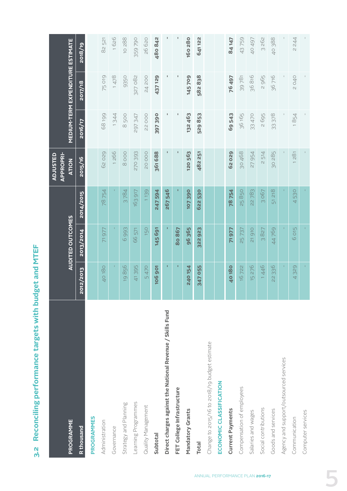3.2 Reconciling performance targets with budget and MTEF **3.2 Reconciling performance targets with budget and MTEF**

|                                                           |                       |                                   |                       | <b>APPROPRI-</b><br><b>ADJUSTED</b> |         |                                         |               |
|-----------------------------------------------------------|-----------------------|-----------------------------------|-----------------------|-------------------------------------|---------|-----------------------------------------|---------------|
| PROGRAMME                                                 |                       | <b>AUDITED OUTCOMES</b>           |                       | <b>ATION</b>                        |         | <b>MEDIUM-TERM EXPENDITURE ESTIMATE</b> |               |
| <b>R</b> thousand                                         | 2012/2013             | 2013/2014                         | 2014/2015             | 2015/16                             | 2016/17 | 2017/18                                 | 2018/19       |
| <b>PROGRAMMES</b>                                         |                       |                                   |                       |                                     |         |                                         |               |
| Administration                                            | 40180                 | 71977                             | 78754                 | 62029                               | 68199   | <b>SLO 52</b>                           | 82521         |
| Governance                                                | T                     |                                   |                       | 1266                                | 1344    | 1478                                    | 1626          |
| Strategy and Planning                                     | 856<br>$\overline{Q}$ | 6993                              | 3784                  | 8000                                | 8500    | 9350                                    | <b>10288</b>  |
| Learning Programmes                                       | 41395                 | 66 571                            | 163917                | 270 393                             | 297 347 | 327 082                                 | <b>359790</b> |
| Quality Management                                        | 5470                  | 150                               | 1139                  | <b>20002</b>                        | 22000   | 24 200                                  | 26 620        |
| Subtotal                                                  | <b>106 901</b>        | 145 691                           | 247594                | 361688                              | 397390  | 437129                                  | 480 842       |
| Direct charges against the National Revenue / Skills Fund | Ŧ,                    | ı                                 | 267546                |                                     |         | ı                                       |               |
| FET College Infrastructure                                | п                     | 80867                             |                       |                                     | I       | I                                       |               |
| Mandatory Grants                                          | <b>240154</b>         | 96365                             | <b>107390</b>         | 120 563                             | 132 463 | <b>145709</b>                           | 160280        |
| <b>Total</b>                                              | 347 055               | 322923                            | 622 530               | 482 251                             | 529853  | 582838                                  | 641122        |
| Change to 2015/16 to 2018/19 budget estimate              |                       |                                   |                       |                                     |         |                                         |               |
| ECONOMIC CLASSIFICATION                                   |                       |                                   |                       |                                     |         |                                         |               |
| Current Payments                                          | <b>40180</b>          | 71977                             | 78754                 | 62029                               | 69543   | 76497                                   | 84147         |
| Compensation of employees                                 | 16722                 | 25737                             | 25850                 | 30 468                              | 36 165  | 39781                                   | 43759         |
| Salaries and wages                                        | 15 276                | <b>910</b><br>$\overline{\Omega}$ | 22 783                | 27954                               | 33 470  | 36 816                                  | 40 497        |
| Social contributions                                      | 1446                  | 827<br>$\infty$                   | 067<br>$\infty$       | 514<br>$\overline{\mathcal{C}}$     | 2695    | 2965                                    | 3262          |
| Goods and services                                        | 22 336                | 44769                             | 218<br>$\overline{5}$ | 30 285                              | 33 378  | 36716                                   | 40388         |
| Agency and support/outsourced services                    |                       |                                   |                       |                                     |         |                                         |               |
| Communication                                             | 329<br>4              | 6 015                             | 530<br>4              | 1281                                | 1854    | <b>040</b>                              | 2 244         |
| Computer services                                         |                       |                                   |                       |                                     |         |                                         |               |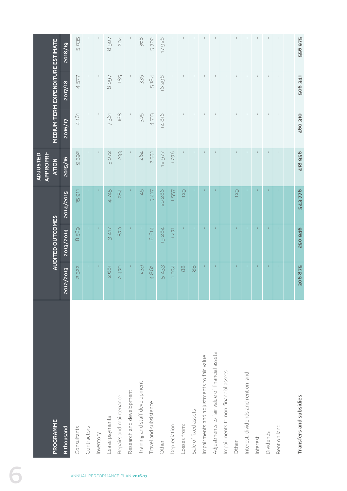|                                 | PROGRAMME                                     |                                      | <b>AUDITED OUTCOMES</b> |                  | <b>APPROPRI-</b><br><b>ADJUSTED</b><br><b>ATION</b> |                | MEDIUM-TERM EXPENDITURE ESTIMATE |                |
|---------------------------------|-----------------------------------------------|--------------------------------------|-------------------------|------------------|-----------------------------------------------------|----------------|----------------------------------|----------------|
|                                 | <b>R</b> thousand                             | 2012/2013                            | 2013/2014               | <b>2014/2015</b> | 2015/16                                             | 2016/17        | 2017/18                          | 2018/19        |
| ANNUAL PERFORMANCE PLAN 2016-17 | Consultants                                   | 2322                                 | 569<br>$\infty$         | <b>15911</b>     | 9392                                                | 4 161          | 4577                             | 5035           |
|                                 | Contractors                                   | $\Gamma$                             | $\Gamma$                |                  |                                                     | $\mathbb{I}$   |                                  |                |
|                                 | Inventory                                     |                                      | T.                      |                  |                                                     |                |                                  |                |
|                                 | Lease payments                                | 2681                                 | 3417                    | 4745             | 5072                                                | 7361           | 1608                             | 8907           |
|                                 | Repairs and maintenance                       | 2470                                 | 870                     | 284              | 233                                                 | 168            | 185                              | 204            |
|                                 | Research and development                      |                                      | $\mathbf{L}$            |                  |                                                     |                |                                  |                |
|                                 | Training and staff development                | 239                                  | $\mathbf{I}$            | 45               | 264                                                 | 305            | 335                              | 368            |
|                                 | Travel and subsistence                        | 4862                                 | 6614                    | 5417             | 2331                                                | 4713           | 5184                             | 5702           |
|                                 | Other                                         | 5433                                 | 19284                   | 20 286           | 12977                                               | 14816          | 16298                            | 17928          |
|                                 | Depreciation                                  | 1034                                 | 471                     | 1557             | 1276                                                |                |                                  |                |
|                                 | Losses from:                                  | $\begin{matrix} 8 \\ 8 \end{matrix}$ | $\Gamma$                | 129              | $\mathbb{F}$                                        |                |                                  |                |
|                                 | Sale of fixed assets                          | $88$                                 | т.                      |                  |                                                     | $\mathbf{I}$   |                                  |                |
|                                 | Impairments and adjustments to fair value     | $\mathbf{I}$                         | ÷.                      |                  |                                                     |                |                                  |                |
|                                 | Adjustments to fair value of financial assets | $\Gamma$                             | $\Gamma$                |                  |                                                     |                |                                  |                |
|                                 | Impairments to non-financial assets           | T.                                   | т.                      |                  |                                                     | $\mathbf{I}$   | $\mathbb I$                      | $\mathbf{I}$   |
|                                 | Other                                         | J.                                   | H.                      | 129              |                                                     | I.             |                                  | $\overline{1}$ |
|                                 | Interest, dividends and rent on land          | T,                                   | т.                      |                  |                                                     |                |                                  |                |
|                                 | Interest                                      | $\Gamma$                             | $\Gamma$                |                  |                                                     | $\mathbb{I}$   | $\mathbb{I}$                     | $\mathbb{L}$   |
|                                 | Dividends                                     | ×                                    | ×                       |                  | $\mathbf{I}$                                        | $\overline{1}$ |                                  | $\mathbf{I}$   |
|                                 | Rent on land                                  | $\Gamma$                             | $\mathbf{1}$            |                  | $\mathsf I$                                         | $\,$ $\,$      |                                  | $\mathbb{I}$   |
|                                 |                                               |                                      |                         |                  |                                                     |                |                                  |                |
|                                 | Transfers and subsidies                       | 306875                               | 250946                  | 543776           | 418956                                              | <b>460 310</b> | 506 341                          | 556975         |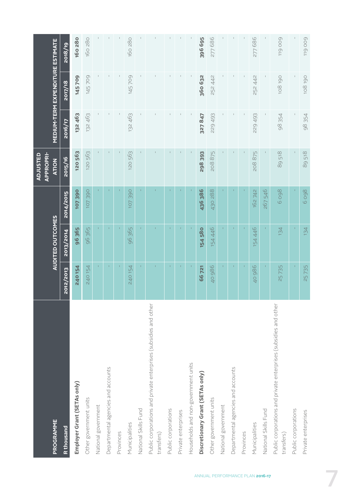|                                                                                |              |                  |                  | <b>APPROPRI-</b><br><b>ADJUSTED</b> |         |                                  |         |
|--------------------------------------------------------------------------------|--------------|------------------|------------------|-------------------------------------|---------|----------------------------------|---------|
| PROGRAMME                                                                      |              | AUDITED OUTCOMES |                  | <b>ATION</b>                        |         | MEDIUM-TERM EXPENDITURE ESTIMATE |         |
| R thousand                                                                     | 2012/2013    | 2013/2014        | <b>2014/2015</b> | 2015/16                             | 2016/17 | 2017/18                          | 2018/19 |
| Employer Grant (SETAs only)                                                    | 240154       | 96365            | <b>107390</b>    | <b>120563</b>                       | 132 463 | <b>145709</b>                    | 160280  |
| Other government units                                                         | 240 154      | 96365            | <b>107390</b>    | <b>120563</b>                       | 132 463 | 145709                           | 160 280 |
| National government                                                            |              | $\mathbf{L}$     |                  |                                     |         |                                  |         |
| Departmental agencies and accounts                                             | $\mathbf{I}$ | $\Gamma$         |                  |                                     |         |                                  |         |
| Provinces                                                                      | T.           | $\mathbf{I}$     |                  |                                     |         |                                  |         |
| Municipalities                                                                 | 240 154      | 96 365           | 107390           | 120 563                             | 132 463 | 145709                           | 160 280 |
| National Skills Fund                                                           |              |                  |                  |                                     |         |                                  |         |
| Public corporations and private enterprises (subsidies and other<br>transfers) |              |                  |                  |                                     |         |                                  |         |
| Public corporations                                                            |              |                  |                  |                                     |         |                                  |         |
| Private enterprises                                                            |              |                  |                  |                                     |         |                                  |         |
| Households and non-government units                                            |              |                  |                  |                                     |         |                                  |         |
| Discretionary Grant (SETAs only)                                               | 66 721       | <b>154580</b>    | 436 386          | 298393                              | 327847  | 360 632                          | 396 695 |
| Other government units                                                         | 40 986       | 154 446          | 430 288          | 208875                              | 229 493 | 252 442                          | 277686  |
| National government                                                            |              | $\Gamma$         |                  |                                     |         |                                  |         |
| Departmental agencies and accounts                                             | Ť.           | Ť.               |                  |                                     |         |                                  |         |
| Provinces                                                                      | J.           | $\mathbf{I}$     |                  |                                     |         |                                  |         |
| Municipalities                                                                 | 40 986       | 154 446          | 162 742          | 208875                              | 229 493 | 252 442                          | 277686  |
| National Skills Fund                                                           | T,           |                  | 267546           |                                     |         |                                  |         |
| Public corporations and private enterprises (subsidies and other<br>transfers) | 25735        | 134              | 6 0 9 8          | 89518                               | 98354   | 108190                           | 119009  |
| Public corporations                                                            |              |                  |                  |                                     |         |                                  |         |
| Private enterprises                                                            | 25735        | 134              | 6 0 9 8          | 89518                               | 98354   | 108190                           | 119009  |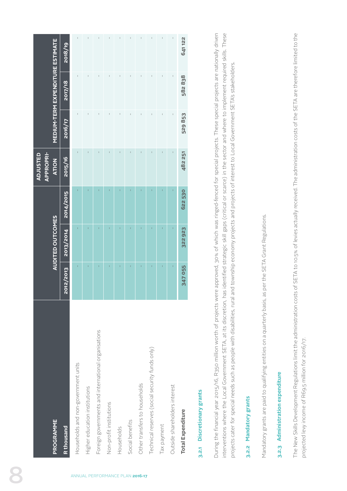## 3.2.1 Discretionary grants **3.2.1 Discretionary grants**

During the financial year 2015/16, R350 million worth of projects were approved, 30% of which was ringed-fenced for special projects. These special projects are nationally driven interventions where the Local Government SETA, at its discretion, has identified strategic skill gaps (critical or scarce) in the sector and where to implement required skills. These During the financial year 2015/16, R350 million worth of projects were approved, 30% of which was ringed-fenced for special projects. These special projects are nationally driven interventions where the Local Government SETA, at its discretion, has identified strategic skill gaps (critical or scarce) in the sector and where to implement required skills. These projects cater for special needs such as people with disabilities, rural and township economy projects and projects of interest to Local Government SETA's stakeholders. projects cater for special needs such as people with disabilities, rural and township economy projects and projects of interest to Local Government SETA's stakeholders.

## 3.2.2 Mandatory grants **3.2.2 Mandatory grants**

Mandatory grants are paid to qualifying entities on a quarterly basis, as per the SETA Grant Regulations. Mandatory grants are paid to qualifying entities on a quarterly basis, as per the SETA Grant Regulations.

## 3.2.3 Administration expenditure **3.2.3 Administration expenditure**

The New Skills Development Regulations limit the administration costs of SETA to 10.5% of levies actually received. The administration costs of the SETA are therefore limited to the The New Skills Development Regulations limit the administration costs of SETA to 10.5% of levies actually received. The administration costs of the SETA are therefore limited to the projected levy income of R69.5 million for 2016/17. projected levy income of R69.5 million for 2016/17.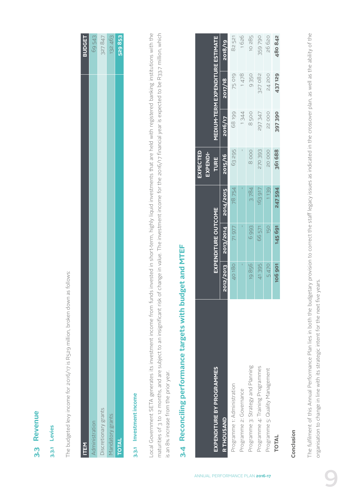#### **3.3 Revenue**  Revenue <u>ო</u>

#### 3.3.1 Levies **3.3.1 Levies**

The budgeted levy income for 2016/17 is R529 million, broken down as follows: The budgeted levy income for 2016/17 is R529 million, broken down as follows:

| <b>ITEM</b>          | <b>BUDGET</b> |
|----------------------|---------------|
| Administration       | 69543         |
| Discretionary grants | 327 847       |
| Mandatory grants     | 132463        |
| <b>TOTAL</b>         | 529853        |

## 3.3.1 Investment income **3.3.1 Investment income**

Local Government SETA generates its investment income from funds invested in short-term, highly liquid investments that are held with registered banking institutions with the maturities of 3 to 12 months, and are subject to an insignificant risk of change in value. The investment income for the 2016/17 financial year is expected to be R33.7 million, which Local Government SETA generates its investment income from funds invested in short-term, highly liquid investments that are held with registered banking institutions with the maturities of 3 to 12 months, and are subject to an insignificant risk of change in value. The investment income for the 2016/17 financial year is expected to be R33.7 million, which is an 8% increase from the prior year. is an 8% increase from the prior year.

# 3.4 Reconciling performance targets with budget and MTEF **3.4 Reconciling performance targets with budget and MTEF**

| EXPENDITURE BY PROGRAMMES          |               | <b>EXPENDITURE OUTCOME</b> |           | EXPECTED<br>EXPENDI-<br><b>TURE</b> |              | <b>MEDIUM-TERM EXPENDITURE ESTIMATE</b> |              |
|------------------------------------|---------------|----------------------------|-----------|-------------------------------------|--------------|-----------------------------------------|--------------|
| R THOUSAND                         | 2012/2013     | 2013/2014                  | 2014/2015 | 2015/16                             | 2016/17      | 2017/18                                 | 2018/19      |
| Programme 1: Administration        | 40180         | 71 977                     | 78754     | 63295                               | 68199        | <b>25019</b>                            | 82 521       |
| Programme 2: Governance            |               |                            |           |                                     | 1344         | 1478                                    | 1626         |
| Programme 3: Strategy and Planning | 19856         | 6993                       | 3784      | 8000                                | 8500         | 9350                                    | <b>10285</b> |
| Programme 4: Training Programmes   | 41395         | 66 571                     | 163917    | 270 393                             | 297347       | 327 082                                 | 359790       |
| Programme 5: Quality Management    | 5470          | 150                        | 139       | <b>DOO5</b>                         | <b>22000</b> | 24 200                                  | <b>26620</b> |
| TOTAL                              | <b>106901</b> | 145691                     | 247 594   | 361688                              | 397390       | 437129                                  | 480842       |

#### Conclusion **Conclusion**

The fulfilment of this Annual Performance Plan lies in both the budgetary provision to correct the staff legacy issues as indicated in the crossover plan, as well as the ability of the The fulfilment of this Annual Performance Plan lies in both the budgetary provision to correct the staff legacy issues as indicated in the crossover plan, as well as the ability of the organisation to change in line with its strategic intent for the next five years. organisation to change in line with its strategic intent for the next five years.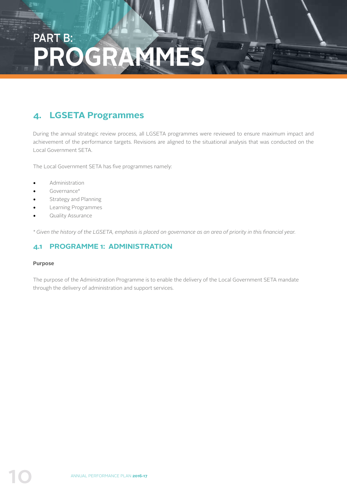### PART B: **PROGRAMMES**

#### **4. LGSETA Programmes**

During the annual strategic review process, all LGSETA programmes were reviewed to ensure maximum impact and achievement of the performance targets. Revisions are aligned to the situational analysis that was conducted on the Local Government SETA.

The Local Government SETA has five programmes namely:

- Administration
- Governance\*
- Strategy and Planning
- Learning Programmes
- Quality Assurance

*\* Given the history of the LGSETA, emphasis is placed on governance as an area of priority in this financial year.* 

#### **4.1 PROGRAMME 1: ADMINISTRATION**

#### **Purpose**

The purpose of the Administration Programme is to enable the delivery of the Local Government SETA mandate through the delivery of administration and support services.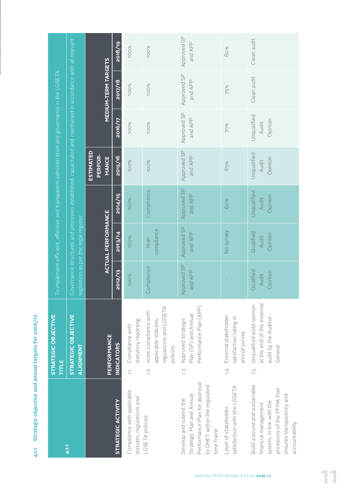4.1.1 Strategic objective and annual targets for 2016/17 **4.1.1 Strategic objective and annual targets for 2016/17**

|                                                                                                                                                                | STRATEGIC OBJECTIVE<br><b>TITLE</b>                                                                          |                               |                                      |                                 | To implement efficient, effective and transparent administration and governance in the LGSETA               |                                 |                            |                        |
|----------------------------------------------------------------------------------------------------------------------------------------------------------------|--------------------------------------------------------------------------------------------------------------|-------------------------------|--------------------------------------|---------------------------------|-------------------------------------------------------------------------------------------------------------|---------------------------------|----------------------------|------------------------|
| 4.1.1                                                                                                                                                          | STRATEGIC OBJECTIVE<br>ALIGNMENT                                                                             |                               | egislation as per the legal register |                                 | Governance structures and processes established, capacitated and maintained in accordance with all relevant |                                 |                            |                        |
|                                                                                                                                                                | PERFORMANCE                                                                                                  |                               | <b>ACTUAL PERFORMANCE</b>            |                                 | <b>ESTIMATED</b><br>PERFOR-<br><b>MANCE</b>                                                                 |                                 | <b>MEDIUM-TERM TARGETS</b> |                        |
| STRATEGIC ACTIVITY                                                                                                                                             | <b>INDICATORS</b>                                                                                            | 2012/13                       | 2013/14                              | 2014/15                         | 2015/16                                                                                                     | 2016/17                         | 2017/18                    | 2018/19                |
| Compliance with applicable<br>statutes, regulations and                                                                                                        | statutory reporting<br>Compliance with<br>$\overline{a}$                                                     | <b>100%</b>                   | 100%                                 | 100%                            | <b>100%</b>                                                                                                 | 100%                            | 100%                       | 100%                   |
| LGSETA policies                                                                                                                                                | regulations and LGSETA<br>100% compliance with<br>applicable statutes,<br>policies<br>$\overline{C}$         | Compliance                    | compliance<br>$Non-$                 | Compliance                      | <b>100%</b>                                                                                                 | 100%                            | 100%                       | 100%                   |
| Performance Plan for approval<br>to DHET within the regulated<br>Strategic Plan and Annual<br>Develop and submit the<br>time frame                             | Performance Plan (APP)<br>Plan (SP) and Annual<br>Approved Strategic<br>$\frac{1}{2}$                        | <b>Approved SP</b><br>and APP | Approved SP<br>and APP               | Approved SP<br>and APP          | Approved SP<br>and APP                                                                                      | Approved SP<br>and APP          | Approved SP<br>and APP     | Approved SP<br>and APP |
| satisfaction with the LGSETA<br>Level of stakeholder                                                                                                           | External stakeholder<br>satisfaction rating in<br>annual survey<br>$\overline{4}$                            |                               | No survey                            | 60%                             | 65%                                                                                                         | 70%                             | 75%                        | 80%                    |
| Build a sound and sustainable<br>provisions of the PFMA that<br>ensures transparency and<br>system, in line with the<br>financial management<br>accountability | at the end of the external<br>Unqualified audit opinion<br>audit by the Auditor-<br>General<br>$\frac{1}{2}$ | Qualified<br>Opinion<br>Audit | Qualified<br>Opinion<br>Audit        | Unqualified<br>Opinion<br>Audit | Unqualified<br>Opinion<br>Audit                                                                             | Unqualified<br>Opinion<br>Audit | Clean audit                | Clean audit            |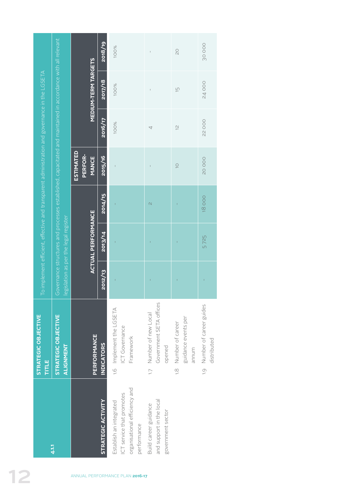|                                                                                               |                                                                                                                                                                                                   |                                             | 2018/19            | 100%                                                                                                 | $\mathsf I$                                                                  | QO                                                                | 30000                                                   |
|-----------------------------------------------------------------------------------------------|---------------------------------------------------------------------------------------------------------------------------------------------------------------------------------------------------|---------------------------------------------|--------------------|------------------------------------------------------------------------------------------------------|------------------------------------------------------------------------------|-------------------------------------------------------------------|---------------------------------------------------------|
|                                                                                               |                                                                                                                                                                                                   | <b>MEDIUM-TERM TARGETS</b>                  | 2017/18            | <b>100%</b>                                                                                          | $\overline{1}$                                                               | $\frac{1}{2}$                                                     | <b>24000</b>                                            |
|                                                                                               |                                                                                                                                                                                                   |                                             | 2016/17            | 100%                                                                                                 | 4                                                                            | $\overline{C}$                                                    | <b>22000</b>                                            |
| To implement efficient, effective and transparent administration and governance in the LGSETA |                                                                                                                                                                                                   | <b>ESTIMATED</b><br>PERFOR-<br><b>MANCE</b> | 2015/16            | $\mathbf{I}$                                                                                         | $\mathsf I$                                                                  | $\supseteq$                                                       | <b>20002</b>                                            |
|                                                                                               |                                                                                                                                                                                                   |                                             | 2014/15            |                                                                                                      | $\mathcal{O}$                                                                |                                                                   | 18000                                                   |
|                                                                                               | Governance structures and processes established, capacitated and maintained in accordance with all relevant<br><b>ACTUAL PERFORMANCE</b><br>legislation as per the legal register<br>2013/14<br>Ï |                                             |                    | 5725                                                                                                 |                                                                              |                                                                   |                                                         |
|                                                                                               |                                                                                                                                                                                                   |                                             | 2012/13            |                                                                                                      |                                                                              |                                                                   |                                                         |
| STRATEGIC OBJECTIVE<br>TITLE                                                                  | <b>STRATEGIC OBJECTIVE</b><br><b>ALIGNMENT</b>                                                                                                                                                    | PERFORMANCE                                 | <b>INDICATORS</b>  | 1.6 Implement the LGSETA<br><b>ICT</b> Governance<br>Framework                                       | Government SETA offices<br>Number of new Local<br>opened<br>$\overline{1}$ . | guidance events per<br>Number of career<br>annum<br>$\frac{1}{2}$ | Number of career guides<br>distributed<br>$\frac{1}{2}$ |
|                                                                                               | 4.1.1                                                                                                                                                                                             |                                             | STRATEGIC ACTIVITY | organisational efficiency and<br>ICT service that promotes<br>Establish an integrated<br>performance | and support in the local<br>Build career guidance<br>government sector       |                                                                   |                                                         |
|                                                                                               |                                                                                                                                                                                                   |                                             |                    | ANNUAL PERFORMANCE PLAN 2016-17                                                                      |                                                                              |                                                                   |                                                         |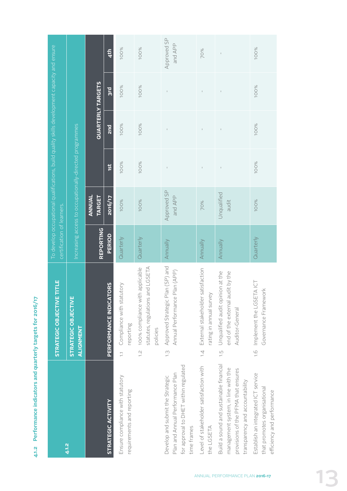4.1.2 Performance indicators and quarterly targets for 2016/17 **4.1.2 Performance indicators and quarterly targets for 2016/17**

|                                                                                                                                                          | TITLE<br>STRATEGIC OBJECTIVE                                                                                | certification of learners, |                         | To develop occupational qualifications, build quality skills development capacity and ensure |                          |              |                        |
|----------------------------------------------------------------------------------------------------------------------------------------------------------|-------------------------------------------------------------------------------------------------------------|----------------------------|-------------------------|----------------------------------------------------------------------------------------------|--------------------------|--------------|------------------------|
| 4.1.2                                                                                                                                                    | STRATEGIC OBJECTIVE<br>ALIGNMENT                                                                            |                            |                         | Increasing access to occupationally-directed programmes                                      |                          |              |                        |
|                                                                                                                                                          |                                                                                                             | <b>REPORTING</b>           | ANNUAL<br><b>TARGET</b> |                                                                                              | <b>QUARTERLY TARGETS</b> |              |                        |
| STRATEGIC ACTIVITY                                                                                                                                       | PERFORMANCE INDICATORS                                                                                      | <b>PERIOD</b>              | 2016/12                 | 1st                                                                                          | 2 <sub>nd</sub>          | <b>bus</b>   | 4 <sup>th</sup>        |
| Ensure compliance with statutory<br>requirements and reporting                                                                                           | 1.1 Compliance with statutory<br>reporting                                                                  | Quarterly                  | 100%                    | 100%                                                                                         | 100%                     | 100%         | 100%                   |
|                                                                                                                                                          | statutes, regulations and LGSETA<br>100% compliance with applicable<br>policies<br>$\frac{1}{2}$            | Quarterly                  | 100%                    | 100%                                                                                         | 100%                     | 100%         | 100%                   |
| for approval to DHET within regulated<br>Plan and Annual Performance Plan<br>Develop and submit the Strategic<br>time frames                             | Approved Strategic Plan (SP) and<br>Plan (APP)<br>Annual Performance<br>$\frac{1}{2}$                       | Annually                   | Approved SP<br>and APP  |                                                                                              | $\mathsf I$              | $\mathbf{I}$ | Approved SP<br>and APP |
| Level of stakeholder satisfaction with<br>the LGSETA                                                                                                     | 1.4 External stakeholder satisfaction<br>rating in annual survey                                            | Annually                   | 70%                     |                                                                                              |                          |              | 70%                    |
| Build a sound and sustainable financial<br>management system, in line with the<br>provisions of the PFMA that ensures<br>transparency and accountability | Unqualified audit opinion at the<br>end of the external audit by the<br>Auditor-General<br>$\overline{1}$ . | Annually                   | Unqualified<br>audit    | $\sf I$                                                                                      | $\mathsf I$              |              | $\bar{1}$              |
| Establish an integrated ICT service<br>that promotes organisational<br>efficiency and performance                                                        | 1.6 Implement the LGSETAICT<br>Governance Framework                                                         | Quarterly                  | 100%                    | 100%                                                                                         | 100%                     | 100%         | 100%                   |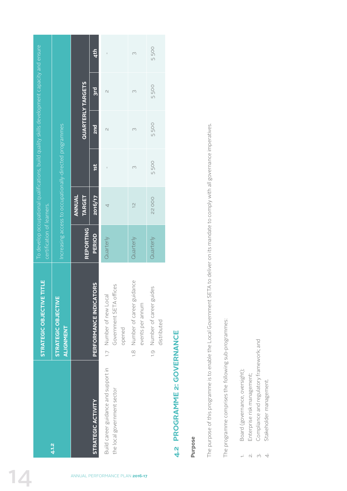| To develop occupational qualifications, build quality skills development capacity and ensure |                                                         |                          | 4 <sup>th</sup>        | $\mathbf{I}$                                                        | $\infty$                                          | 5500                                       |
|----------------------------------------------------------------------------------------------|---------------------------------------------------------|--------------------------|------------------------|---------------------------------------------------------------------|---------------------------------------------------|--------------------------------------------|
|                                                                                              |                                                         | <b>QUARTERLY TARGETS</b> | 3rd                    | $\cup$                                                              | 3                                                 | 5500                                       |
|                                                                                              |                                                         |                          | 2nd                    | $\overline{\mathcal{C}}$                                            | 3                                                 | 5500                                       |
|                                                                                              | Increasing access to occupationally-directed programmes |                          | 1st                    | $\mathbf{I}$                                                        | $\infty$                                          | 5500                                       |
|                                                                                              |                                                         | ANNUAL<br><b>TARGET</b>  | 2016/17                | $\overline{\mathcal{A}}$                                            | $\frac{1}{2}$                                     | <b>22000</b>                               |
| certification of learners.                                                                   |                                                         | <b>REPORTING</b>         | PERIOD                 | Quarterly                                                           | Quarterly                                         | Quarterly                                  |
| STRATEGIC OBJECTIVE TITLE                                                                    | STRATEGIC OBJECTIVE<br>ALIGNMENT                        |                          | PERFORMANCE INDICATORS | Government SETA offices<br>1.7 Number of new Local<br>opened        | 1.8 Number of career guidance<br>events per annum | 1.9 Number of career guides<br>distributed |
|                                                                                              | 4.1.2                                                   |                          | STRATEGIC ACTIVITY     | Build career guidance and support in<br>the local government sector |                                                   |                                            |
|                                                                                              |                                                         |                          |                        | ANNUAL PERFORMANCE PLAN 2016-17                                     |                                                   |                                            |

## 4.2 PROGRAMME 2: GOVERNANCE **4.2 PROGRAMME 2: GOVERNANCE**

### **Purpose**

The purpose of this programme is to enable the Local Government SETA to deliver on its mandate to comply with all governance imperatives. The purpose of this programme is to enable the Local Government SETA to deliver on its mandate to comply with all governance imperatives.

The programme comprises the following sub-programmes: The programme comprises the following sub-programmes:

- Board (governance, oversight); 1. Board (governance, oversight);
- Enterprise risk management; 2. Enterprise risk management;
- Compliance and regulatory framework; and 3. Compliance and regulatory framework; and  $\begin{array}{ccc} - & \circ & \circ & \circ \end{array}$ 
	- Stakeholder management. 4. Stakeholder management.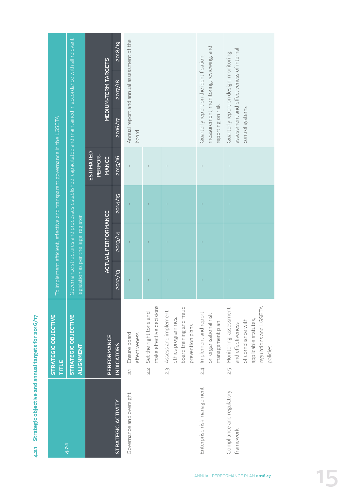4.2.1 Strategic objective and annual targets for 2016/17 **4.2.1 Strategic objective and annual targets for 2016/17**

|                                        | <b>STRATEGIC OBJECTIVE</b><br>TITLE                                                                                                        |         |                                       | To implement efficient, effective and transparent governance in the LGSETA |                               |                   |                                                                                                             |         |
|----------------------------------------|--------------------------------------------------------------------------------------------------------------------------------------------|---------|---------------------------------------|----------------------------------------------------------------------------|-------------------------------|-------------------|-------------------------------------------------------------------------------------------------------------|---------|
| 4.2.1                                  | STRATEGIC OBJECTIVE<br>ALIGNMENT                                                                                                           |         | legislation as per the legal register |                                                                            |                               |                   | Governance structures and processes established, capacitated and maintained in accordance with all relevant |         |
|                                        | PERFORMANCE                                                                                                                                |         | <b>ACTUAL PERFORMANCE</b>             |                                                                            | ESTIMATED<br>PERFOR-<br>MANCE |                   | MEDIUM-TERM TARGETS                                                                                         |         |
| STRATEGIC ACTIVITY                     | <b>INDICATORS</b>                                                                                                                          | 2012/13 | 2013/14                               | 2014/15                                                                    | 2015/16                       | 2016/17           | 2017/18                                                                                                     | 2018/19 |
| Governance and oversight               | Ensure board<br>effectiveness<br>$\overline{\tilde{N}}$                                                                                    |         |                                       |                                                                            |                               | board             | Annual report and annual assessment of the                                                                  |         |
|                                        | make effective decisions<br>Set the right tone and<br>2.ș                                                                                  |         |                                       |                                                                            |                               |                   |                                                                                                             |         |
|                                        | board training and fraud<br>Assess and implement<br>ethics programmes,<br>prevention plans<br>3.                                           |         |                                       |                                                                            |                               |                   |                                                                                                             |         |
| Enterprise risk management             | Implement and report<br>on organisational risk<br>management plan<br>$\overline{c}$                                                        |         |                                       |                                                                            |                               | reporting on risk | measurement, monitoring, reviewing, and<br>Quarterly report on the identification,                          |         |
| Compliance and regulatory<br>framework | regulations and LGSETA<br>Monitoring, assessment<br>of compliance with<br>applicable statutes,<br>and effectiveness<br>policies<br>ςi<br>Σ |         |                                       |                                                                            |                               | control systems   | assessment and effectiveness of internal<br>Quarterly report on design, monitoring,                         |         |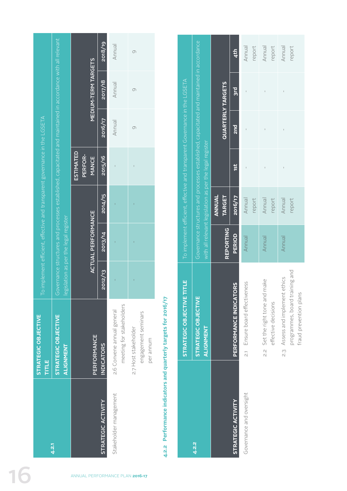|                              |                                                                                                                                                                                                                                                                    |                                             |             | 2018/19            | Annual                                                 | $\circ$                                                  |
|------------------------------|--------------------------------------------------------------------------------------------------------------------------------------------------------------------------------------------------------------------------------------------------------------------|---------------------------------------------|-------------|--------------------|--------------------------------------------------------|----------------------------------------------------------|
|                              |                                                                                                                                                                                                                                                                    | <b>MEDIUM-TERM TARGETS</b>                  |             | 2017/18            | Annual                                                 | $\circ$                                                  |
|                              |                                                                                                                                                                                                                                                                    |                                             |             | 2016/17            | Annual                                                 | $\circ$                                                  |
|                              |                                                                                                                                                                                                                                                                    | <b>ESTIMATED</b><br>PERFOR-<br><b>MANCE</b> |             | 2015/16            |                                                        |                                                          |
|                              |                                                                                                                                                                                                                                                                    |                                             |             | 2014/15            |                                                        |                                                          |
|                              | Governance structures and processes established, capacitated and maintained in accordance with all relevant<br>To implement efficient, effective and transparent governance in the LGSETA<br>ACTUAL PERFORMANCE<br>egislation as per the legal register<br>2013/14 |                                             |             |                    |                                                        |                                                          |
|                              |                                                                                                                                                                                                                                                                    |                                             |             | 2012/13            |                                                        |                                                          |
| STRATEGIC OBJECTIVE<br>TITLE | STRATEGIC OBJECTIVE<br><b>ALIGNMENT</b>                                                                                                                                                                                                                            |                                             | PERFORMANCE | <b>INDICATORS</b>  | meeting for stakeholders<br>2.6 Convene annual general | engagement seminars<br>2.7 Host stakeholder<br>per annum |
|                              | 4.2.1                                                                                                                                                                                                                                                              |                                             |             | STRATEGIC ACTIVITY | Stakeholder management                                 |                                                          |
|                              |                                                                                                                                                                                                                                                                    | ANNUAL PERFORMANCE PLAN 2016-17             |             |                    |                                                        |                                                          |

## 4.2.2 Performance indicators and quarterly targets for 2016/17 **4.2.2 Performance indicators and quarterly targets for 2016/17**

|                           | <b>STRATEGIC OBJECTIVE TITLE</b>            |                  |                   |                                                         | To implement efficient, effective and transparent Governance in the <code>LGSETA</code> |                                                                                           |        |
|---------------------------|---------------------------------------------|------------------|-------------------|---------------------------------------------------------|-----------------------------------------------------------------------------------------|-------------------------------------------------------------------------------------------|--------|
| 4.2.2                     | STRATEGIC OBJECTIVE<br>ALIGNMENT            |                  |                   | with all relevant legislation as per the legal register |                                                                                         | Governance structures and processes established, capacitated and maintained in accordance |        |
|                           |                                             | <b>REPORTING</b> | ANNNUAL<br>TARGET |                                                         |                                                                                         | <b>QUARTERLY TARGETS</b>                                                                  |        |
| <b>STRATEGIC ACTIVITY</b> | <b>TORS</b><br><b>PERFORMANCE INDICAT</b>   | PERIOD           | 2016/17           | <b>ist</b>                                              | 2nd                                                                                     | pig                                                                                       | 4th    |
| Governance and oversight  | reness<br>2.1 Ensure board effectiv         | Annual           | Annual            |                                                         |                                                                                         |                                                                                           | Annual |
|                           |                                             |                  | report            |                                                         |                                                                                         |                                                                                           | report |
|                           | 2.2 Set the right tone and make             | Annual           | Annual            |                                                         |                                                                                         |                                                                                           | Annual |
|                           | effective decisions                         |                  | report            |                                                         |                                                                                         |                                                                                           | report |
|                           | Assess and implement ethics<br>.<br>3<br>23 | Annual           | Annual            |                                                         |                                                                                         |                                                                                           | Annual |
|                           | programmes, board training and              |                  | report            |                                                         |                                                                                         |                                                                                           | report |
|                           | fraud prevention plans                      |                  |                   |                                                         |                                                                                         |                                                                                           |        |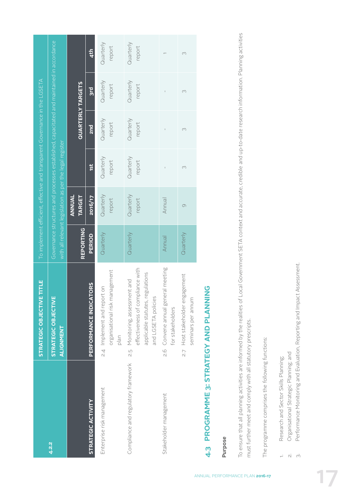|                                     | STRATEGIC OBJECTIVE TITLE                                                                                                     |                  |                         |                                                         | To implement efficient, effective and transparent Governance in the LGSETA |                                                                                           |                     |
|-------------------------------------|-------------------------------------------------------------------------------------------------------------------------------|------------------|-------------------------|---------------------------------------------------------|----------------------------------------------------------------------------|-------------------------------------------------------------------------------------------|---------------------|
| 4.2.2                               | STRATEGIC OBJECTIVE<br><b>ALIGNMENT</b>                                                                                       |                  |                         | with all relevant legislation as per the legal register |                                                                            | Governance structures and processes established, capacitated and maintained in accordance |                     |
|                                     |                                                                                                                               | <b>REPORTING</b> | ANNUAL<br><b>TARGET</b> |                                                         |                                                                            | QUARTERLY TARGETS                                                                         |                     |
| STRATEGIC ACTIVITY                  | <b>TORS</b><br><b>PERFORMANCE INDICAT</b>                                                                                     | PERIOD           | 2016/17                 | ist                                                     | 2n <sub>d</sub>                                                            | 3rd                                                                                       | 4 <sup>th</sup>     |
| Enterprise risk management          | organisational risk management<br>2.4 Implement and report on<br>plan                                                         | Quarterly        | Quarterly<br>report     | Quarterly<br>report                                     | Quarterly<br>report                                                        | Quarterly<br>report                                                                       | Quarterly<br>report |
| Compliance and regulatory framework | effectiveness of compliance with<br>applicable statutes, regulations<br>2.5 Monitoring, assessment and<br>and LGSETA policies | Quarterly        | Quarterly<br>report     | Quarterly<br>report                                     | Quarterly<br>report                                                        | Quarterly<br>report                                                                       | Quarterly<br>report |
| Stakeholder management              | 2.6 Convene annual general meeting<br>for stakeholders                                                                        | Annual           | Annual                  |                                                         |                                                                            |                                                                                           |                     |
|                                     | 2.7 Host stakeholder engagement<br>seminars per annum                                                                         | Quarterly        | $\circ$                 | 3                                                       | 3                                                                          | 3                                                                                         | Μ                   |

## 4.3 PROGRAMME 3: STRATEGY AND PLANNING **4.3 PROGRAMME 3: STRATEGY AND PLANNING**

### **Purpose**

To ensure that all planning activities are informed by the realities of Local Government SETA context and accurate, credible and up-to-date research information. Planning activities To ensure that all planning activities are informed by the realities of Local Government SETA context and accurate, credible and up-to-date research information. Planning activities must further meet and comply with all statutory prescripts. must further meet and comply with all statutory prescripts.

The programme comprises the following functions: The programme comprises the following functions:

- Research and Sector Skills Planning; 1. Research and Sector Skills Planning;
- Organisational Strategic Planning; and 2. Organisational Strategic Planning; and  $\div$   $\alpha$   $\dot{\alpha}$
- Performance Monitoring and Evaluation, Reporting and Impact Assessment. 3. Performance Monitoring and Evaluation, Reporting and Impact Assessment.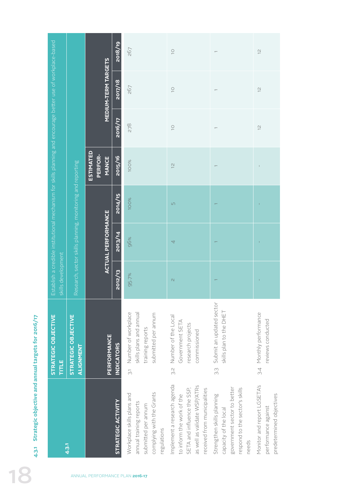|                                                                                                              |                                                            |                                             | 2018/19            | 267                                                                                                                      | $\supseteq$                                                                                                                                             | $\overline{\phantom{0}}$                                                                                                      | $\overline{\omega}$                                                            |
|--------------------------------------------------------------------------------------------------------------|------------------------------------------------------------|---------------------------------------------|--------------------|--------------------------------------------------------------------------------------------------------------------------|---------------------------------------------------------------------------------------------------------------------------------------------------------|-------------------------------------------------------------------------------------------------------------------------------|--------------------------------------------------------------------------------|
|                                                                                                              |                                                            | <b>MEDIUM-TERM TARGETS</b>                  | 2017/18            | 267                                                                                                                      | $\overline{\bigcirc}$                                                                                                                                   |                                                                                                                               | $\overline{\omega}$                                                            |
|                                                                                                              |                                                            |                                             | 2016/17            | 278                                                                                                                      | $\overline{\bigcirc}$                                                                                                                                   |                                                                                                                               | $\overline{\mathcal{C}}$                                                       |
|                                                                                                              |                                                            | <b>ESTIMATED</b><br>PERFOR-<br><b>MANCE</b> | 2015/16            | 100%                                                                                                                     | $\frac{1}{2}$                                                                                                                                           | $\overline{ }$                                                                                                                |                                                                                |
| Establish a credible institutional mechanism for skills planning and encourage better use of workplace-based | Research, sector skills planning, monitoring and reporting |                                             | 2014/15            | <b>100%</b>                                                                                                              | $\Box$                                                                                                                                                  |                                                                                                                               | J.                                                                             |
|                                                                                                              |                                                            | <b>ACTUAL PERFORMANCE</b>                   | 2013/14            | 96%                                                                                                                      | 4                                                                                                                                                       |                                                                                                                               |                                                                                |
| skills development                                                                                           |                                                            |                                             | 2012/13            | 95.7%                                                                                                                    | $\mathcal{O}$                                                                                                                                           |                                                                                                                               |                                                                                |
| STRATEGIC OBJECTIVE<br>TITLE                                                                                 | STRATEGIC OBJECTIVE<br>ALIGNMENT                           | PERFORMANCE                                 | <b>INDICATORS</b>  | skills plans and annual<br>Number of workplace<br>submitted per annum<br>training reports<br>$\overline{c}$              | Number of the Local<br>Government SETA<br>research projects<br>commissioned<br>3.S                                                                      | Submit an updated sector<br>skills plan to the DHET<br>$\widetilde{\beta}$ .                                                  | 3.4 Monthly performance<br>reviews conducted                                   |
|                                                                                                              | 4.3.1                                                      |                                             | STRATEGIC ACTIVITY | complying with the Grants<br>Workplace skills plans and<br>annual training reports<br>submitted per annum<br>regulations | Implement a research agenda<br>as well as validate WSP/ATRs<br>SETA and influence the SSP,<br>received from municipalities<br>to inform the work of the | government sector to better<br>respond to the sector's skills<br>Strengthen skills planning<br>capacity of the local<br>needs | Monitor and report LGSETA's<br>predetermined objectives<br>performance against |
|                                                                                                              |                                                            | ANNUAL PERFORMANCE PLAN 2016-17             |                    |                                                                                                                          |                                                                                                                                                         |                                                                                                                               |                                                                                |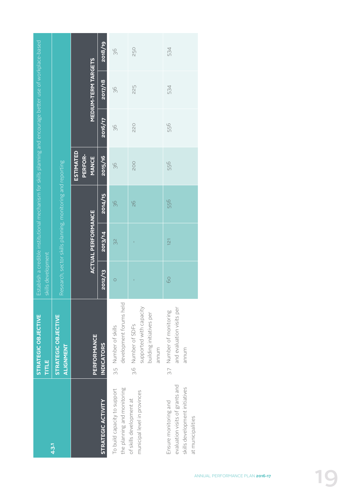|                                                                                                                 | STRATEGIC OBJECTIVE<br>TITLE                                                      | skills development | Establish a credible institutional mechanism for skills planning and encourage better use of workplace-based |               |                                             |         |                            |         |
|-----------------------------------------------------------------------------------------------------------------|-----------------------------------------------------------------------------------|--------------------|--------------------------------------------------------------------------------------------------------------|---------------|---------------------------------------------|---------|----------------------------|---------|
| 4.3.1                                                                                                           | STRATEGIC OBJECTIVE<br>ALIGNMENT                                                  |                    | Research, sector skills planning, monitoring and reporting                                                   |               |                                             |         |                            |         |
|                                                                                                                 | PERFORMANCE                                                                       |                    | <b>ACTUAL PERFORMANCE</b>                                                                                    |               | <b>ESTIMATED</b><br>PERFOR-<br><b>MANCE</b> |         | <b>MEDIUM-TERM TARGETS</b> |         |
| <b>STRATEGIC ACTIVITY</b>                                                                                       | <b>INDICATORS</b>                                                                 | 2012/13            | 2013/14                                                                                                      | 2014/15       | 2015/16                                     | 2016/17 | 2017/18                    | 2018/19 |
| the planning and monitoring<br>To build capacity to support                                                     | development forums held<br>3.5 Number of skills                                   | $\circ$            | 32                                                                                                           | 36            | 36                                          | 36      | 36                         | 36      |
| municipal level in provinces<br>of skills development at                                                        | supported with capacity<br>building initiatives per<br>3.6 Number of SDFs<br>mnum |                    |                                                                                                              | $\frac{6}{2}$ | <b>200</b>                                  | 220     | 225                        | 250     |
| evaluation visits of grants and<br>skills development initiatives<br>Ensure monitoring and<br>at municipalities | and evaluation visits per<br>3.7 Number of monitoring<br>munum                    | 60                 | $\overline{121}$                                                                                             | 556           | 556                                         | 556     | 534                        | 534     |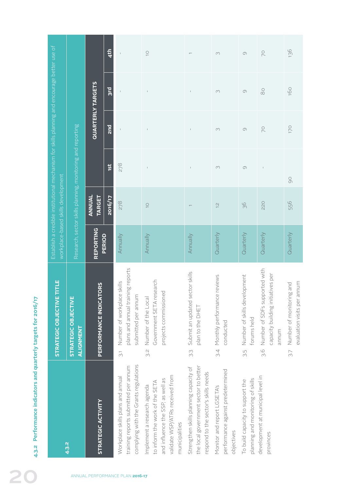|                                                                   | Establish a credible institutional mechanism for skills planning and encourage better use of<br>workplace-based skills development<br>ETITLE<br><b>STRATEGIC OBJECTIV</b> | Research, sector skills planning, monitoring and reporting<br>ш<br>STRATEGIC OBJECTIVI<br>ALIGNMENT | ANNUAL<br><b>TARGET</b><br>REPORTING<br>PERFORMANCE INDICATORS | <b>zo16/17</b><br><b>PERIOD</b> | 278<br>Annually<br>plans and annual training reports<br>Number of workplace skills<br>submitted per annum                            | $\overline{\bigcirc}$<br>Annually<br>Government SETA research<br>projects commissioned<br>Number of the Local                                                      | Annually<br>sector skills<br>Submit an updated<br>plan to the DHET                                                             | $\overline{\mathcal{C}}$<br>Quarterly<br>Monthly performance reviews<br>conducted     | 36<br>Quarterly<br>velopment<br>Number of skills dev<br>forums held              | 220<br>Quarterly<br>Number of SDFs supported with<br>capacity building initiatives per<br>annum | 556<br>Quarterly<br>evaluation visits per annum<br>Number of monitoring and |
|-------------------------------------------------------------------|---------------------------------------------------------------------------------------------------------------------------------------------------------------------------|-----------------------------------------------------------------------------------------------------|----------------------------------------------------------------|---------------------------------|--------------------------------------------------------------------------------------------------------------------------------------|--------------------------------------------------------------------------------------------------------------------------------------------------------------------|--------------------------------------------------------------------------------------------------------------------------------|---------------------------------------------------------------------------------------|----------------------------------------------------------------------------------|-------------------------------------------------------------------------------------------------|-----------------------------------------------------------------------------|
| Performance indicators and quarterly targets for 2016/17<br>4.3.2 |                                                                                                                                                                           | 4.3.2                                                                                               | STRATEGIC ACTIVITY                                             |                                 | $\overline{3}$<br>complying with the Grants regulations<br>training reports submitted per annum<br>Workplace skills plans and annual | Ω.<br>S<br>validate WSP/ATRs received from<br>and influence the SSP, as well as<br>to inform the work of the SETA<br>Implement a research agenda<br>municipalities | S.S<br>the local government sector to better<br>Strengthen skills planning capacity of<br>respond to the sector's skills needs | 3.4<br>performance against predetermined<br>Monitor and report LGSETA's<br>objectives | ς.<br>Θ<br>planning and monitoring of skills<br>To build capacity to support the | 3.6<br>development at municipal level in<br>provinces                                           | $\overline{\sim}$                                                           |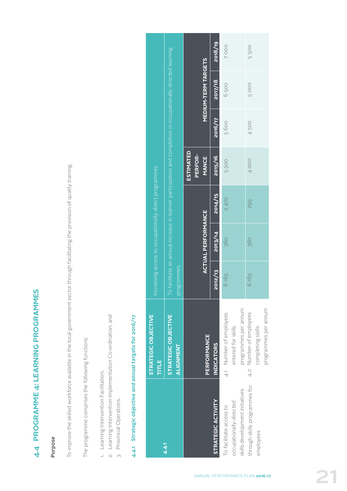## 4.4 PROGRAMME 4: LEARNING PROGRAMMES **4.4 PROGRAMME 4: LEARNING PROGRAMMES**

### **Purpose**

To improve the skilled workforce available in the local government sector through facilitating the provision of quality training. To improve the skilled workforce available in the local government sector through facilitating the provision of quality training.

The programme comprises the following functions: The programme comprises the following functions:

- 1. Learning Intervention Facilitation; 1. Learning Intervention Facilitation;
- 2. Learning Intervention Implementation Co-ordination; and 2. Learning Intervention Implementation Co-ordination; and
	- 3. Provincial Operations. 3. Provincial Operations.

## 4.4.1 Strategic objective and annual targets for 2016/17 **4.4.1 Strategic objective and annual targets for 2016/17**

|                                                    | STRATEGIC OBJECTIVE<br>TITLE                  |            | ncreasing access to occupationally-direct programmes |         |                                                                                                                   |         |                            |         |
|----------------------------------------------------|-----------------------------------------------|------------|------------------------------------------------------|---------|-------------------------------------------------------------------------------------------------------------------|---------|----------------------------|---------|
| $4.4 -$                                            | STRATEGIC OBJECTIVE<br>ALIGNMENT              | programmes |                                                      |         | o facilitate an annual increase in learner participation and completion in occupationally-directed learning. $\,$ |         |                            |         |
|                                                    | <b>PERFORMANCE</b>                            |            | <b>ACTUAL PERFORMANCE</b>                            |         | <b>ESTIMATED</b><br>PERFOR-<br>MANCE                                                                              |         | <b>MEDIUM-TERM TARGETS</b> |         |
| <b>STRATEGIC ACTIVITY</b>                          | <b>INDICATORS</b>                             | 2012/13    | 2013/14                                              | 2014/15 | 2015/16                                                                                                           | 2016/17 | 2017/18                    | 2018/19 |
| occupationally-directed<br>To facilitate access to | 4.1 Number of employees<br>entered for skills | 6165       | 360                                                  | 2470    | 5500                                                                                                              | 5600    | 6500                       | 7000    |
| skills development initiatives                     | programmes per annum                          |            |                                                      |         |                                                                                                                   |         |                            |         |
| through skills programmes for                      | 4.2 Number of employees                       | 6165       | 360                                                  | 295     | 4000                                                                                                              | 4500    | 5000                       | 5500    |
| employees                                          | completing skills                             |            |                                                      |         |                                                                                                                   |         |                            |         |
|                                                    | programmes per annum                          |            |                                                      |         |                                                                                                                   |         |                            |         |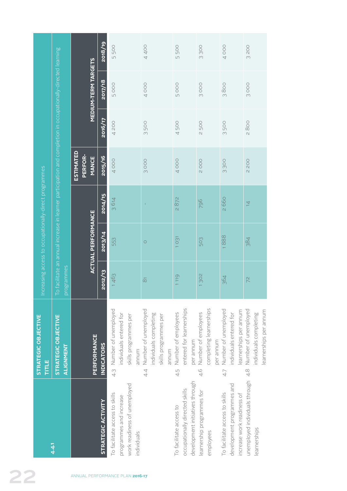|                                                                                                              |                                             | 2018/19            | 5500                                                                                                     | 4400                                                                                    | 5500                                                                                         | 3300                                                               | 4000                                                                                       | 3200                                                                             |
|--------------------------------------------------------------------------------------------------------------|---------------------------------------------|--------------------|----------------------------------------------------------------------------------------------------------|-----------------------------------------------------------------------------------------|----------------------------------------------------------------------------------------------|--------------------------------------------------------------------|--------------------------------------------------------------------------------------------|----------------------------------------------------------------------------------|
|                                                                                                              | <b>MEDIUM-TERM TARGETS</b>                  | 2017/18            | 5000                                                                                                     | 4000                                                                                    | 5000                                                                                         | 3000                                                               | 3800                                                                                       | 3000                                                                             |
|                                                                                                              |                                             | 2016/17            | 4 200                                                                                                    | 500<br>$\infty$                                                                         | 4500                                                                                         | <b>2500</b>                                                        | 3500                                                                                       | 2800                                                                             |
| To facilitate an annual increase in learner participation and completion in occupationally-directed learning | <b>ESTIMATED</b><br>PERFOR-<br><b>MANCE</b> | 2015/16            | 4000                                                                                                     | 3000                                                                                    | 4000                                                                                         | 2000                                                               | 3300                                                                                       | 2200                                                                             |
| Increasing access to occupationally-direct programmes                                                        |                                             | 2014/15            | 3614                                                                                                     | T.                                                                                      | 2872                                                                                         | 796                                                                | 2660                                                                                       | $\overline{4}$                                                                   |
|                                                                                                              | <b>ACTUAL PERFORMANCE</b>                   | 2013/14            | 553                                                                                                      | $\circ$                                                                                 | 1031                                                                                         | 503                                                                | 1888                                                                                       | 384                                                                              |
|                                                                                                              | programmes                                  | 2012/13            | 1463                                                                                                     | $\overline{\infty}$                                                                     | 1119                                                                                         | 1302                                                               | 364                                                                                        | 72                                                                               |
| <b>STRATEGIC OBJECTIVE</b><br>STRATEGIC OBJECTIVE<br>TITLE                                                   | PERFORMANCE<br>ALIGNMENT                    | <b>INDICATORS</b>  | Number of unemployed<br>individuals entered for<br>skills programmes per<br>annum<br>$\frac{1}{4}$       | Number of unemployed<br>individuals completing<br>skills programmes per<br>annum<br>4.4 | entered for learnerships<br>Number of employees<br>per annum<br>4.5                          | completing learnerships<br>Number of employees<br>per annum<br>4.6 | Number of unemployed<br>earnerships per annum<br>ndividuals entered for<br>4.7             | Number of unemployed<br>earnerships per annum<br>individuals completing<br>$4.8$ |
| $4.4 -$                                                                                                      |                                             | STRATEGIC ACTIVITY | work readiness of unemployed<br>To facilitate access to skills<br>programmes and increase<br>individuals |                                                                                         | development initiatives through<br>occupationally directed skills<br>To facilitate access to | learnership programmes for<br>employees                            | development programmes and<br>To facilitate access to skills<br>increase work readiness of | unemployed individuals through<br>learnerships                                   |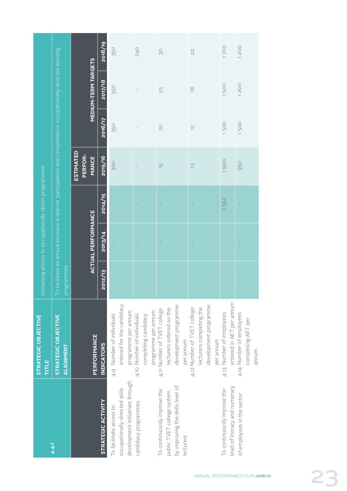|                                                                   | STRATEGIC OBJECTIVE<br>TITLE                         |            |                           | Increasing access to occupationally-direct programmes |                                                                                                              |                |                            |            |
|-------------------------------------------------------------------|------------------------------------------------------|------------|---------------------------|-------------------------------------------------------|--------------------------------------------------------------------------------------------------------------|----------------|----------------------------|------------|
| 4.4.1                                                             | STRATEGIC OBJECTIVE<br>ALIGNMENT                     | programmes |                           |                                                       | To facilitate an annual increase in learner participation and completion in occupationally-directed learning |                |                            |            |
|                                                                   | PERFORMANCE                                          |            | <b>ACTUAL PERFORMANCE</b> |                                                       | <b>ESTIMATED</b><br>PERFOR-<br><b>MANCE</b>                                                                  |                | <b>MEDIUM-TERM TARGETS</b> |            |
| STRATEGIC ACTIVITY                                                | <b>INDICATORS</b>                                    | 2012/13    | 2013/14                   | 2014/15                                               | 2015/16                                                                                                      | 2016/17        | 2017/18                    | 2018/19    |
| To facilitate access to                                           | 4.9 Number of individuals                            | Ï          |                           |                                                       | 300                                                                                                          | 350            | 350                        | 350        |
| development initiatives through<br>occupationally-directed skills | entered for the candidacy<br>programme per annum     |            |                           |                                                       |                                                                                                              |                |                            |            |
| candidacy programmes                                              | 4.10 Number of individuals                           |            |                           |                                                       |                                                                                                              | $\overline{1}$ |                            | <b>240</b> |
|                                                                   | completing candidacy                                 |            |                           |                                                       |                                                                                                              |                |                            |            |
|                                                                   | programme per annum                                  |            |                           |                                                       |                                                                                                              |                |                            |            |
| To continuously improve the                                       | 4.11 Number of TVET college                          |            |                           |                                                       | $\overline{5}$                                                                                               | $\overline{0}$ | 25                         | 9O         |
| public TVET college system                                        | ecturers entered on the                              |            |                           |                                                       |                                                                                                              |                |                            |            |
| by improving the skills level of                                  | development programme                                |            |                           |                                                       |                                                                                                              |                |                            |            |
| lecturers                                                         | per annum                                            |            |                           |                                                       |                                                                                                              |                |                            |            |
|                                                                   | 4.12 Number of TVET college                          |            |                           |                                                       | $\frac{1}{2}$                                                                                                | $\overline{C}$ | $\frac{8}{1}$              | 22         |
|                                                                   | lecturers completing the                             |            |                           |                                                       |                                                                                                              |                |                            |            |
|                                                                   | development programme                                |            |                           |                                                       |                                                                                                              |                |                            |            |
|                                                                   | per annum                                            |            |                           |                                                       |                                                                                                              |                |                            |            |
| level of literacy and numeracy<br>To continuously improve the     | entered in AET per annum<br>4.13 Number of employees |            |                           | 552                                                   | 1900                                                                                                         | 500            | 1500                       | 1700       |
| of employees in the sector                                        | 4.14 Number of employees                             |            |                           |                                                       | 950                                                                                                          | 1500           | 1200                       | 1200       |
|                                                                   | completing AET per                                   |            |                           |                                                       |                                                                                                              |                |                            |            |
|                                                                   | munum                                                |            |                           |                                                       |                                                                                                              |                |                            |            |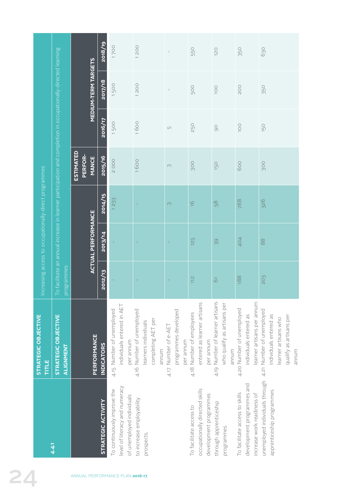|    |                                                       |                                                                                                              |                                             | 2018/19                          | 1700                                                                                       | 1200                                                                             | $\perp$                                                      | 550                                                                                 | 120                                                                        | 350                                                                                        | 630                                                                                                           |
|----|-------------------------------------------------------|--------------------------------------------------------------------------------------------------------------|---------------------------------------------|----------------------------------|--------------------------------------------------------------------------------------------|----------------------------------------------------------------------------------|--------------------------------------------------------------|-------------------------------------------------------------------------------------|----------------------------------------------------------------------------|--------------------------------------------------------------------------------------------|---------------------------------------------------------------------------------------------------------------|
|    |                                                       | To facilitate an annual increase in learner participation and completion in occupationally-directed learning | <b>MEDIUM-TERM TARGETS</b>                  | 2017/18                          | 1500                                                                                       | 1200                                                                             | $\mathbb{I}$                                                 | <b>500</b>                                                                          | 100                                                                        | <b>POO</b>                                                                                 | 350                                                                                                           |
|    |                                                       |                                                                                                              |                                             | 2016/17                          | 1500                                                                                       | 1600                                                                             | $\mathop{\sqcup}\nolimits$                                   | 250                                                                                 | 90                                                                         | 100                                                                                        | 150                                                                                                           |
|    |                                                       |                                                                                                              | <b>ESTIMATED</b><br>PERFOR-<br><b>MANCE</b> | 2015/16                          | 2000                                                                                       | 1600                                                                             | $\infty$                                                     | 300                                                                                 | 150                                                                        | 600                                                                                        | <b>900</b>                                                                                                    |
|    | Increasing access to occupationally-direct programmes |                                                                                                              |                                             | 2014/15                          | 1233                                                                                       |                                                                                  | $\infty$                                                     | $\frac{6}{1}$                                                                       | 58                                                                         | 788                                                                                        | 326                                                                                                           |
|    |                                                       |                                                                                                              | <b>ACTUAL PERFORMANCE</b>                   | 2013/14                          |                                                                                            |                                                                                  | $\mathbf{I}$                                                 | 125                                                                                 | 99                                                                         | 404                                                                                        | 88                                                                                                            |
|    |                                                       | programmes                                                                                                   |                                             | 2012/13                          |                                                                                            |                                                                                  | $\mathbf{I}$                                                 | 112                                                                                 | $\overline{6}$                                                             | 188                                                                                        | 203                                                                                                           |
|    | STRATEGIC OBJECTIVE<br>TITLE                          | <b>STRATEGIC OBJECTIVE</b><br>ALIGNMENT                                                                      |                                             | PERFORMANCE<br><b>INDICATORS</b> | individuals entered in AET<br>4.15 Number of unemployed<br>per annum                       | 4.16 Number of unemployed<br>completing AET per<br>learners individuals<br>annum | programmes developed<br>Number of e-AET<br>per annum<br>4.17 | entered as learner artisans<br>Number of employees<br>per annum<br>4.18             | Number of learner artisans<br>who qualify as artisans per<br>annum<br>4.19 | learner artisans per annum<br>4.20 Number of unemployed<br>individuals entered as          | 4.21 Number of unemployed<br>qualify as artisans per<br>ndividuals entered as<br>earner artisans who<br>annum |
|    |                                                       | 4.4.1                                                                                                        |                                             | <b>STRATEGIC ACTIVITY</b>        | level of literacy and numeracy<br>To continuously improve the<br>of unemployed individuals | to increase employability<br>prospects.                                          |                                                              | occupationally directed skills<br>development programmes<br>To facilitate access to | through apprenticeship<br>programmes                                       | development programmes and<br>To facilitate access to skills<br>increase work readiness of | unemployed individuals through<br>apprenticeship programmes                                                   |
| 24 |                                                       |                                                                                                              |                                             |                                  | ANNUAL PERFORMANCE PLAN 2016-17                                                            |                                                                                  |                                                              |                                                                                     |                                                                            |                                                                                            |                                                                                                               |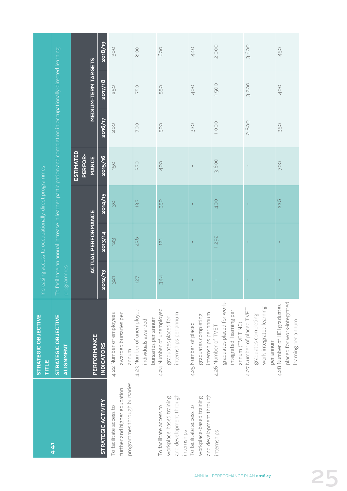|                                                                                               | STRATEGIC OBJECTIVE<br>TITLE                                                                    |            | Increasing access to occupationally-direct programmes |         |                                             |            |                                                                                                              |         |
|-----------------------------------------------------------------------------------------------|-------------------------------------------------------------------------------------------------|------------|-------------------------------------------------------|---------|---------------------------------------------|------------|--------------------------------------------------------------------------------------------------------------|---------|
| 4.41                                                                                          | STRATEGIC OBJECTIVE<br>ALIGNMENT                                                                | programmes |                                                       |         |                                             |            | To facilitate an annual increase in learner participation and completion in occupationally-directed learning |         |
|                                                                                               |                                                                                                 |            | <b>ACTUAL PERFORMANCE</b>                             |         | <b>ESTIMATED</b><br>PERFOR-<br><b>MANCE</b> |            | <b>MEDIUM-TERM TARGETS</b>                                                                                   |         |
| <b>STRATEGIC ACTIVITY</b>                                                                     | PERFORMANCE<br><b>INDICATORS</b>                                                                | 2012/13    | 2013/14                                               | 2014/15 | 2015/16                                     | 2016/17    | 2017/18                                                                                                      | 2018/19 |
| programmes through bursaries<br>further and higher education<br>To facilitate access to       | 4.22 Number of employees<br>awarded bursaries per<br>annum                                      | 321        | 123                                                   | SC      | 150                                         | <b>POO</b> | 250                                                                                                          | 300     |
|                                                                                               | 4.23 Number of unemployed<br>bursaries per annum<br>individuals awarded                         | 127        | 436                                                   | 135     | 350                                         | 700        | 750                                                                                                          | 800     |
| and development through<br>workplace-based training<br>To facilitate access to<br>internships | 4.24 Number of unemployed<br>internships per annum<br>graduates placed for                      | 344        | $\overline{121}$                                      | 350     | 400                                         | 500        | 550                                                                                                          | 600     |
| and development through<br>workplace-based training<br>To facilitate access to                | internships per annum<br>graduates completing<br>4.25 Number of placed                          | Î.         | Î.                                                    | Ť,      | $\mathbb{I}$                                | 320        | 400                                                                                                          | 440     |
| internships                                                                                   | graduates placed for work-<br>integrated learning per<br>annum (TVET N6)<br>4.26 Number of TVET | J.         | 292                                                   | 400     | 3600                                        | 1000       | 1500                                                                                                         | 2000    |
|                                                                                               | work-integrated learning<br>4.27 Number of placed TVET<br>graduates completing<br>per annum     |            |                                                       |         | $\mathsf I$                                 | 2800       | 3200                                                                                                         | 3600    |
|                                                                                               | placed for work-integrated<br>4.28 Number of HEI graduates<br>learning per annum                | Ť          |                                                       | 226     | <b>POO</b>                                  | 350        | 400                                                                                                          | 450     |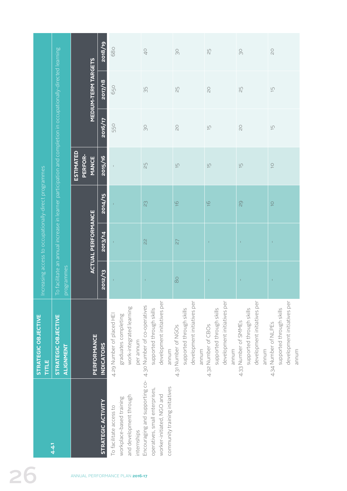|                                                       |                                                                                                              |                                             | 2018/19            | 680                                                 |                                        | $\frac{1}{2}$                                                                                                                   | $\infty$                                                                                | $\overline{25}$                                                                         | $\infty$                                                                                 | $\gtrsim$                                                                                |
|-------------------------------------------------------|--------------------------------------------------------------------------------------------------------------|---------------------------------------------|--------------------|-----------------------------------------------------|----------------------------------------|---------------------------------------------------------------------------------------------------------------------------------|-----------------------------------------------------------------------------------------|-----------------------------------------------------------------------------------------|------------------------------------------------------------------------------------------|------------------------------------------------------------------------------------------|
|                                                       | To facilitate an annual increase in learner participation and completion in occupationally-directed learning | <b>MEDIUM-TERM TARGETS</b>                  | 2017/18            | 650                                                 |                                        | 35                                                                                                                              | $\overline{25}$                                                                         | $\gtrsim$                                                                               | $\Xi$                                                                                    | $\overline{\Box}$                                                                        |
|                                                       |                                                                                                              |                                             | 2016/17            | 550                                                 |                                        | SO                                                                                                                              | $\overline{\mathsf{C}}$                                                                 | $\overline{\Box}$                                                                       | $\overline{c}$                                                                           | $\overline{\Box}$                                                                        |
|                                                       |                                                                                                              | <b>ESTIMATED</b><br>PERFOR-<br><b>MANCE</b> | 2015/16            |                                                     |                                        | 25                                                                                                                              | $\frac{1}{2}$                                                                           | $\frac{1}{2}$                                                                           | $\overline{\Box}$                                                                        | $\overline{\bigcirc}$                                                                    |
| Increasing access to occupationally-direct programmes |                                                                                                              |                                             | 2014/15            |                                                     |                                        | 23                                                                                                                              | $\frac{6}{1}$                                                                           | $\frac{6}{1}$                                                                           | $\overline{c}$                                                                           | $\overline{C}$                                                                           |
|                                                       |                                                                                                              | <b>ACTUAL PERFORMANCE</b>                   | 2013/14            |                                                     |                                        | $\frac{2}{3}$                                                                                                                   | $\overline{27}$                                                                         | $\mathbf{I}$                                                                            | Ŷ.                                                                                       | $\mathbf I$                                                                              |
|                                                       | programmes                                                                                                   |                                             | 2012/13            |                                                     |                                        | $\Gamma$                                                                                                                        | $_{\infty}^{\circ}$                                                                     | $\mathbf{I}$                                                                            | T.                                                                                       | 1                                                                                        |
| STRATEGIC OBJECTIVE<br><b>HELE</b>                    | STRATEGIC OBJECTIVE<br>ALIGNMENT                                                                             | PERFORMANCE                                 | <b>INDICATORS</b>  | 4.29 Number of placed HEI<br>graduates completing   | work-integrated learning<br>per annum  | development initiatives per<br>4.30 Number of co-operatives<br>supported through skills<br>muna                                 | development initiatives per<br>supported through skills<br>4.31 Number of NGOs<br>annum | development initiatives per<br>supported through skills<br>4.32 Number of CBOs<br>annum | development initiatives per<br>supported through skills<br>4.33 Number of SMMEs<br>annum | development initiatives per<br>supported through skills<br>4.34 Number of NLPEs<br>annum |
|                                                       | 4.4.1                                                                                                        |                                             | STRATEGIC ACTIVITY | workplace-based training<br>To facilitate access to | and development through<br>internships | Encouraging and supporting co-<br>community training initiatives<br>operatives, small enterprises,<br>worker-initiated, NGO and |                                                                                         |                                                                                         |                                                                                          |                                                                                          |
|                                                       |                                                                                                              | ANNUAL PERFORMANCE PLAN 2016-17             |                    |                                                     |                                        |                                                                                                                                 |                                                                                         |                                                                                         |                                                                                          |                                                                                          |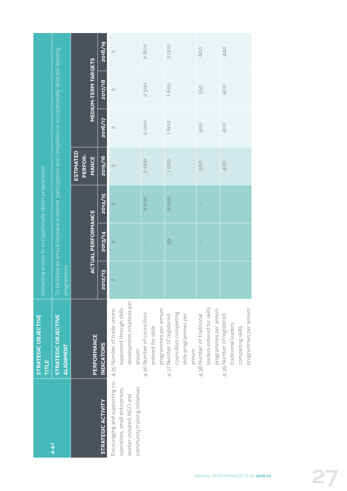| 4.4.1                                                                                                                                                       | STRATEGIC OBJECTIVE<br>STRATEGIC OBJECTIVE<br>PERFORMANCE<br>ALIGNMENT<br>TITLE               | programmes    | Increasing access to occupationally-direct programmes<br><b>ACTUAL PERFORMANCE</b> |                          | To facilitate an annual increase in learner participation and completion in occupationally-directed learning<br><b>ESTIMATED</b><br>PERFOR-<br><b>MANCE</b> |             | <b>MEDIUM-TERM TARGETS</b> |         |
|-------------------------------------------------------------------------------------------------------------------------------------------------------------|-----------------------------------------------------------------------------------------------|---------------|------------------------------------------------------------------------------------|--------------------------|-------------------------------------------------------------------------------------------------------------------------------------------------------------|-------------|----------------------------|---------|
| STRATEGIC ACTIVITY                                                                                                                                          | <b>INDICATORS</b>                                                                             | 2012/13       | 2013/14                                                                            | 2014/15                  | 2015/16                                                                                                                                                     | 2016/17     | 2017/18                    | 2018/19 |
| Encouraging and supporting co- 4.35 Number of trade unions<br>community training initiatives<br>operatives, small enterprises,<br>worker-initiated, NGO and | development initiatives per<br>supported through skills<br>annum                              | $\mathcal{L}$ | $\overline{\mathcal{C}}$                                                           | $\overline{\mathcal{C}}$ | $\overline{\mathcal{C}}$                                                                                                                                    | $\sim$      | $\sim$                     | $\sim$  |
|                                                                                                                                                             | programmes per annum<br>4.36 Number of councillors<br>entered for skills                      |               |                                                                                    | <b>2000</b>              | <b>2000</b>                                                                                                                                                 | <b>2000</b> | 2500                       | 2800    |
|                                                                                                                                                             | councillors completing<br>skills programmes per<br>4.37 Number of registered<br>annum         |               | 99                                                                                 | 2000                     | 1500                                                                                                                                                        | 1600        | 1600                       | 2000    |
|                                                                                                                                                             | leaders entered for skills<br>programmes per annum<br>4.38 Number of traditional              |               |                                                                                    |                          | 500                                                                                                                                                         | 500         | 550                        | 600     |
|                                                                                                                                                             | programmes per annum<br>4.39 Number of registered<br>traditional leaders<br>completing skills |               |                                                                                    |                          | 400                                                                                                                                                         | 400         | 400                        | 440     |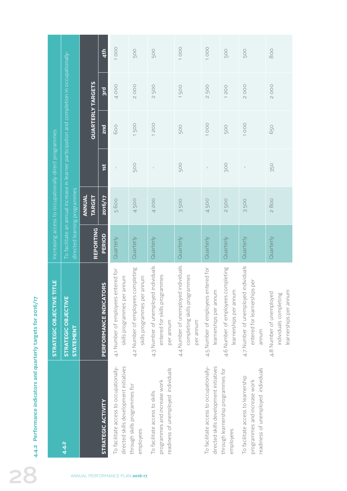|                                 | 4.4.2 Performance indicators and quarterly targets for 2016/17                                             |                                                                                        |                     |                                 |                                                       |            |                                                                                             |                 |
|---------------------------------|------------------------------------------------------------------------------------------------------------|----------------------------------------------------------------------------------------|---------------------|---------------------------------|-------------------------------------------------------|------------|---------------------------------------------------------------------------------------------|-----------------|
|                                 |                                                                                                            | STRATEGIC OBJECTIVE TITLE                                                              |                     |                                 | Increasing access to occupationally-direct programmes |            |                                                                                             |                 |
|                                 | 4.4.2                                                                                                      | STRATEGIC OBJECTIVE<br><b>STATEMENT</b>                                                |                     | directed learning programmes    |                                                       |            | To facilitate an annual increase in learner participation and completion in occupationally- |                 |
|                                 |                                                                                                            |                                                                                        |                     | ANNUAL<br><b>TARGET</b>         |                                                       |            | <b>QUARTERLY TARGETS</b>                                                                    |                 |
|                                 | STRATEGIC ACTIVITY                                                                                         | TORS<br>PERFORMANCE INDICA                                                             | REPORTING<br>PERIOD | <b>zo16/17</b>                  | 1st                                                   | 2nd        | 3rd                                                                                         | 4 <sup>th</sup> |
| ANNUAL PERFORMANCE PLAN 2016-17 | To facilitate access to occupationally-<br>directed skills development initiatives                         | entered for<br>skills programmes per annum<br>4.1 Number of employees                  | Quarterly           | 5600                            | $\mathsf I$                                           | 600        | 4000                                                                                        | 1000            |
|                                 | through skills programmes for<br>employees                                                                 | 4.2 Number of employees completing<br>skills programmes per annum                      | Quarterly           | 500<br>$\overline{\mathcal{A}}$ | <b>500</b>                                            | 1500       | <b>2000</b>                                                                                 | <b>500</b>      |
|                                 | readiness of unemployed individuals<br>programmes and increase work<br>To facilitate access to skills      | 4.3 Number of unemployed individuals<br>grammes<br>entered for skills pro<br>per annum | Quarterly           | 4 200                           |                                                       | 1200       | <b>2500</b>                                                                                 | 500             |
|                                 |                                                                                                            | 4.4 Number of unemployed individuals<br>grammes<br>completing skills pro<br>per annum  | Quarterly           | 500<br>$\infty$                 | 50Q                                                   | 500        | 1500                                                                                        | 1000            |
|                                 | To facilitate access to occupationally-<br>directed skills development initiatives                         | 4.5 Number of employees entered for<br>learnerships per annum                          | Quarterly           | 4500                            | $\mathsf I$                                           | 1000       | <b>2500</b>                                                                                 | 1000            |
|                                 | through learnership programmes for<br>employees                                                            | 4.6 Number of employees completing<br>learnerships per annum                           | Quarterly           | <b>2500</b>                     | 300                                                   | <b>500</b> | 1200                                                                                        | <b>500</b>      |
|                                 | readiness of unemployed individuals<br>To facilitate access to learnership<br>programmes and increase work | 4.7 Number of unemployed individuals<br>entered for learnerships per<br>annum          | Quarterly           | 3500                            | $\mathbb{I}$                                          | 1000       | 2000                                                                                        | 500             |
|                                 |                                                                                                            | learnerships per annum<br>4.8 Number of unemployed<br>individuals completing           | Quarterly           | 2800                            | 350                                                   | 650        | <b>2000</b>                                                                                 | 800             |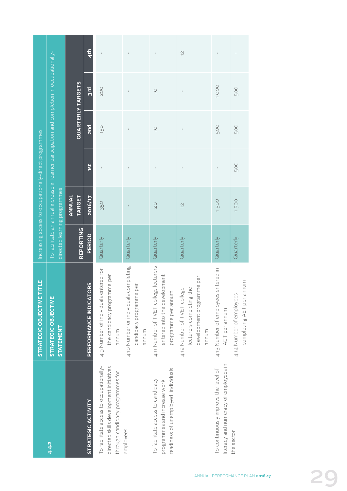|                                                                                                                        | STRATEGIC OBJECTIVE TITLE                                                                     |                              |                         | Increasing access to occupationally-direct programmes |                          |                                                                                             |               |
|------------------------------------------------------------------------------------------------------------------------|-----------------------------------------------------------------------------------------------|------------------------------|-------------------------|-------------------------------------------------------|--------------------------|---------------------------------------------------------------------------------------------|---------------|
| 4.4.2                                                                                                                  | <b>STRATEGIC OBJECTIVE</b><br><b>STATEMENT</b>                                                | directed learning programmes |                         |                                                       |                          | To facilitate an annual increase in learner participation and completion in occupationally- |               |
|                                                                                                                        |                                                                                               | <b>REPORTING</b>             | ANNUAL<br><b>TARGET</b> |                                                       | <b>QUARTERLY TARGETS</b> |                                                                                             |               |
| STRATEGIC ACTIVITY                                                                                                     | <b>PERFORMANCE INDICATORS</b>                                                                 | <b>PERIOD</b>                | 2016/17                 | 151                                                   | 2 <sub>nd</sub>          | <b>Big</b>                                                                                  | 4th           |
| To facilitate access to occupationally-<br>directed skills development initiatives<br>through candidacy programmes for | entered for<br>the candidacy programme per<br>4.9 Number of individuals<br>annum              | Quarterly                    | 350                     | $\mathbf{I}$                                          | 150                      | <b>POO</b>                                                                                  | $\bar{\rm I}$ |
| employees                                                                                                              | 4.10 Number or individuals completing<br>candidacy programme per<br>munum                     | Quarterly                    |                         |                                                       | $\mathsf I$              | $\sf I$                                                                                     | $\sf I$       |
| readiness of unemployed individuals<br>To facilitate access to candidacy<br>programmes and increase work               | 4.11 Number of TVET college lecturers<br>entered into the development<br>programme per annum  | Quarterly                    | $\overline{C}$          |                                                       | $\supseteq$              | $\overline{C}$                                                                              |               |
|                                                                                                                        | development programme per<br>lecturers completing the<br>4.12 Number of TVET college<br>munum | Quarterly                    | $\frac{1}{2}$           | $\mathsf I$                                           | $\mathsf I$              | $\mathfrak l$                                                                               | $\frac{2}{3}$ |
| literacy and numeracy of employees in<br>To continuously improve the level of                                          | 4.13 Number of employees entered in<br>AET per annum                                          | Quarterly                    | 1500                    | $\bar{1}$                                             | 500                      | 1000                                                                                        |               |
| the sector                                                                                                             | completing AET per annum<br>4.14 Number of employees                                          | Quarterly                    | 1500                    | 500                                                   | 500                      | 500                                                                                         | $\mathsf I$   |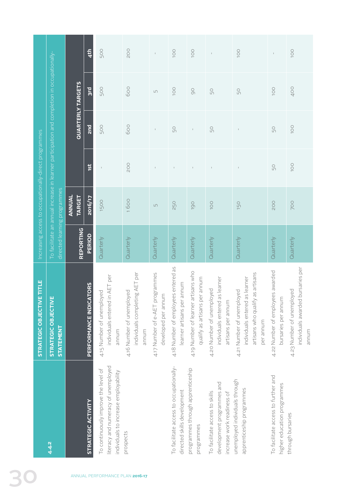|                                                       |                                                                                                                             |                          | 4th                               | 500                                                                                                                  | <b>POO</b>                                                                | $\mathsf I$                                            | <b>OO1</b>                                                             | 100                                                                  |                                                                                            | <b>100</b>                                                                                                      | $\mathbb{I}$                                                       | 100                                                                        |
|-------------------------------------------------------|-----------------------------------------------------------------------------------------------------------------------------|--------------------------|-----------------------------------|----------------------------------------------------------------------------------------------------------------------|---------------------------------------------------------------------------|--------------------------------------------------------|------------------------------------------------------------------------|----------------------------------------------------------------------|--------------------------------------------------------------------------------------------|-----------------------------------------------------------------------------------------------------------------|--------------------------------------------------------------------|----------------------------------------------------------------------------|
|                                                       |                                                                                                                             | <b>QUARTERLY TARGETS</b> | $rac{1}{3}$                       | 50Q                                                                                                                  | 600                                                                       | $\mathsf{L}\cap$                                       | 100                                                                    | $\overline{O}$                                                       | 50                                                                                         | $50\,$                                                                                                          | 100                                                                | 400                                                                        |
|                                                       |                                                                                                                             |                          | <b>Dus</b>                        | 500                                                                                                                  | 600                                                                       | $\mathsf I$                                            | 50                                                                     | $\sf I$                                                              | 50                                                                                         | $\mathsf I$                                                                                                     | 50                                                                 | 1OO                                                                        |
|                                                       |                                                                                                                             |                          | 1st                               | $\mathsf{I}$                                                                                                         | <b>POO</b>                                                                | $\mathbb{L}$                                           | $\mathsf I$                                                            | $\mathsf I$                                                          |                                                                                            | $\mathsf I$                                                                                                     | 50                                                                 | 1OO                                                                        |
| Increasing access to occupationally-direct programmes | To facilitate an annual increase in learner participation and completion in occupationally-<br>directed learning programmes | ANNUAL<br><b>TARGET</b>  | <b>ZO16/17</b>                    | 1500                                                                                                                 | 1600                                                                      | $\Box$                                                 | 250                                                                    | 190                                                                  | 100                                                                                        | 150                                                                                                             | <b>200</b>                                                         | <b>POO</b>                                                                 |
|                                                       |                                                                                                                             | REPORTING                | PERIOD                            | Quarterly                                                                                                            | Quarterly                                                                 | Quarterly                                              | Quarterly                                                              | Quarterly                                                            | Quarterly                                                                                  | Quarterly                                                                                                       | Quarterly                                                          | Quarterly                                                                  |
| STRATEGIC OBJECTIVE TITLE                             | <b>STRATEGIC OBJECTIVE</b><br><b>STATEMENT</b>                                                                              |                          | TORS<br><b>PERFORMANCE INDICA</b> | individuals entered in AET per<br>4.15 Number of unemployed<br>annum                                                 | ig AET per<br>4.16 Number of unemployed<br>individuals completin<br>annum | 4.17 Number of e-AET programmes<br>developed per annum | 4.18 Number of employees entered as<br>learner artisans per annum      | 4.19 Number of learner artisans who<br>qualify as artisans per annum | individuals entered as learner<br>4.20 Number of unemployed<br>artisans per annum          | as artisans<br>individuals entered as learner<br>4.21 Number of unemployed<br>artisans who qualify<br>per annum | 4.22 Number of employees awarded<br>bursaries per annum            | bursaries per<br>4.23 Number of unemployed<br>individuals awarded<br>annum |
|                                                       | 4.4.2                                                                                                                       |                          | STRATEGIC ACTIVITY                | literacy and numeracy of unemployed<br>To continuously improve the level of<br>individuals to increase employability | prospects                                                                 |                                                        | To facilitate access to occupationally-<br>directed skills development | programmes through apprenticeship<br>programmes                      | development programmes and<br>To facilitate access to skills<br>increase work readiness of | unemployed individuals through<br>apprenticeship programmes                                                     | To facilitate access to further and<br>higher education programmes | through bursaries                                                          |
|                                                       |                                                                                                                             |                          |                                   | ANNUAL PERFORMANCE PLAN 2016-17                                                                                      |                                                                           |                                                        |                                                                        |                                                                      |                                                                                            |                                                                                                                 |                                                                    |                                                                            |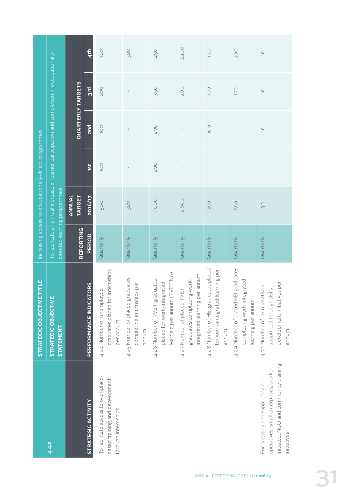|                                                                                                                                  | STRATEGIC OBJECTIVE TITLE                                                                        |                  |                              | Increasing access to occupationally-direct programmes                                                                                                                                                                                                                                                                                                |              |                                                                                             |             |
|----------------------------------------------------------------------------------------------------------------------------------|--------------------------------------------------------------------------------------------------|------------------|------------------------------|------------------------------------------------------------------------------------------------------------------------------------------------------------------------------------------------------------------------------------------------------------------------------------------------------------------------------------------------------|--------------|---------------------------------------------------------------------------------------------|-------------|
| 4.4.2                                                                                                                            | STRATEGIC OBJECTIVE<br><b>STATEMENT</b>                                                          |                  | directed learning programmes |                                                                                                                                                                                                                                                                                                                                                      |              | To facilitate an annual increase in learner participation and completion in occupationally- |             |
|                                                                                                                                  |                                                                                                  | <b>REPORTING</b> | <b>TARGET</b><br>ANNUAL      |                                                                                                                                                                                                                                                                                                                                                      |              | <b>QUARTERLY TARGETS</b>                                                                    |             |
| STRATEGIC ACTIVITY                                                                                                               | PERFORMANCE INDICATORS                                                                           | <b>PERIOD</b>    | 2016/17                      | 1st                                                                                                                                                                                                                                                                                                                                                  | <b>Purz</b>  | <b>B</b>                                                                                    | 4th         |
| To facilitate access to workplace-<br>based training and development<br>through internships                                      | graduates placed for internships<br>4.24 Number of unemployed<br>per annum                       | Quarterly        | <b>500</b>                   | <b>100</b>                                                                                                                                                                                                                                                                                                                                           | <b>OOL</b>   | <b>POO</b>                                                                                  | 100         |
|                                                                                                                                  | 4.25 Number of placed graduates<br>completing internships per<br>annum                           | Quarterly        | 320                          | $\,$ $\,$                                                                                                                                                                                                                                                                                                                                            | $\mathsf I$  | $\mathsf I$                                                                                 | 320         |
|                                                                                                                                  | learning per annum (TVET N6)<br>4.26 Number of TVET graduates<br>placed for work-integrated      | Quarterly        | 1000                         | <b>POO</b>                                                                                                                                                                                                                                                                                                                                           | <b>200</b>   | <b>350</b>                                                                                  | 250         |
|                                                                                                                                  | integrated learning per annum<br>graduates completing work-<br>4.27 Number of placed TVET        | Quarterly        | 2800                         | $\vert$                                                                                                                                                                                                                                                                                                                                              | $\mathbb{I}$ | 400                                                                                         | <b>2400</b> |
|                                                                                                                                  | 4.28 Number of HEI graduates placed<br>learning per<br>for work-integrated<br>annum              | Quarterly        | 350                          | $\mathsf I$                                                                                                                                                                                                                                                                                                                                          | OOI          | $\overline{O}$                                                                              | 150         |
|                                                                                                                                  | 4.29 Number of placed HEI graduates<br>completing work-integrated<br>learning per annum          | Quarterly        | 550                          | $\,$ $\,$                                                                                                                                                                                                                                                                                                                                            |              | 150                                                                                         | 400         |
| initiated, NGO and community training<br>operatives, small enterprises, worker-<br>Encouraging and supporting co-<br>initiatives | development initiatives per<br>4.30 Number of co-operatives<br>supported through skills<br>annum | Quarterly        | SO                           | $\begin{array}{c} \rule{0.2cm}{0.15mm} \rule{0.2cm}{0.15mm} \rule{0.2cm}{0.15mm} \rule{0.2cm}{0.15mm} \rule{0.2cm}{0.15mm} \rule{0.2cm}{0.15mm} \rule{0.2cm}{0.15mm} \rule{0.2cm}{0.15mm} \rule{0.2cm}{0.15mm} \rule{0.2cm}{0.15mm} \rule{0.2cm}{0.15mm} \rule{0.2cm}{0.15mm} \rule{0.2cm}{0.15mm} \rule{0.2cm}{0.15mm} \rule{0.2cm}{0.15mm} \rule{$ | $\bigcirc$   | $\supseteq$                                                                                 | $\supseteq$ |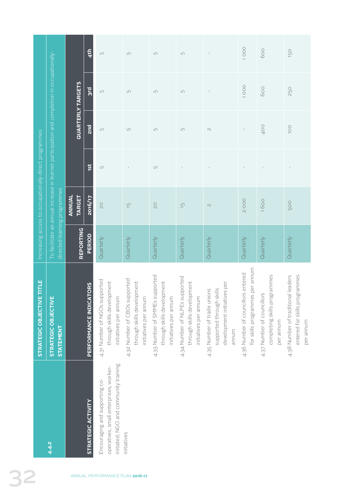|                                                       |                                                                                                                             |                                | 4 <sup>th</sup>                    | $\mathop{\hbox{\rm L}}\nolimits\cap$                                                                              | $\mathop{\hbox{\rm L}}\nolimits$                                                     | $\mathop{\cup}\limits_{\sim}$                                                         | $\Box$                                                                                | $\perp$                                                                                         | 1000                                                                  | 600                                                                     | 150                                                                              |
|-------------------------------------------------------|-----------------------------------------------------------------------------------------------------------------------------|--------------------------------|------------------------------------|-------------------------------------------------------------------------------------------------------------------|--------------------------------------------------------------------------------------|---------------------------------------------------------------------------------------|---------------------------------------------------------------------------------------|-------------------------------------------------------------------------------------------------|-----------------------------------------------------------------------|-------------------------------------------------------------------------|----------------------------------------------------------------------------------|
|                                                       |                                                                                                                             | <b>QUARTERLY TARGETS</b>       | <b>Bus</b>                         | $\Box$                                                                                                            | $\Box$                                                                               | $\mathsf{L}\cap$                                                                      | $\Box$                                                                                | $\perp$                                                                                         | 1000                                                                  | 600                                                                     | 250                                                                              |
|                                                       |                                                                                                                             |                                | <b>Purz</b>                        | $\mathop{\hbox{\rm L}}\nolimits\cap$                                                                              | $\mathop{\hbox{\rm L}}\nolimits$                                                     | $\mathop{\sqcup}\nolimits$                                                            | $\mathop{\text{L}\Omega}$                                                             | $\mathcal{O}$                                                                                   | $\mathsf I$                                                           | 400                                                                     | <b>OOL</b>                                                                       |
|                                                       |                                                                                                                             |                                | 1st                                | $\Box$                                                                                                            |                                                                                      | $\mathop{\sqcup}\nolimits$                                                            | $\mathbb{I}$                                                                          | $\mathbb{I}$                                                                                    | I.                                                                    |                                                                         |                                                                                  |
|                                                       |                                                                                                                             | <b>ANNUAL</b><br><b>TARGET</b> | <b>ZO16/17</b>                     | $\overline{\mathsf{C}}$                                                                                           | $\overline{\Box}$                                                                    | $\overline{\mathsf{C}}$                                                               | $\overline{\Box}$                                                                     | $\mathcal{O}$                                                                                   | 2000                                                                  | 1600                                                                    | 500                                                                              |
| Increasing access to occupationally-direct programmes | To facilitate an annual increase in learner participation and completion in occupationally-<br>directed learning programmes | REPORTING                      | PERIOD                             | Quarterly                                                                                                         | Quarterly                                                                            | Quarterly                                                                             | Quarterly                                                                             | Quarterly                                                                                       | Quarterly                                                             | Quarterly                                                               | Quarterly                                                                        |
| Emmue<br><b>STRATEGIC OBJECTIV</b>                    | ш<br><b>STRATEGIC OBJECTIV</b><br><b>STATEMENT</b>                                                                          |                                | <b>ATORS</b><br>PERFORMANCE INDIC/ | 4.31 Number of NGOs supported<br>through skills development<br>initiatives per annum                              | 4.32 Number of CBOs supported<br>through skills development<br>initiatives per annum | 4.33 Number of SMMEs supported<br>through skills development<br>initiatives per annum | 4.34 Number of NLPEs supported<br>through skills development<br>initiatives per annum | development initiatives per<br>4.35 Number of trade unions<br>supported through skills<br>annum | for skills programmes per annum<br>4.36 Number of councillors entered | completing skills programmes<br>4.37 Number of councillors<br>per annum | entered for skills programmes<br>4.38 Number of traditional leaders<br>per annum |
|                                                       | 4.4.2                                                                                                                       |                                | <b>STRATEGIC ACTIVITY</b>          | initiated, NGO and community training<br>operatives, small enterprises, worker-<br>Encouraging and supporting co- | initiatives                                                                          |                                                                                       |                                                                                       |                                                                                                 |                                                                       |                                                                         |                                                                                  |
|                                                       |                                                                                                                             |                                |                                    | ANNUAL PERFORMANCE PLAN 2016-17                                                                                   |                                                                                      |                                                                                       |                                                                                       |                                                                                                 |                                                                       |                                                                         |                                                                                  |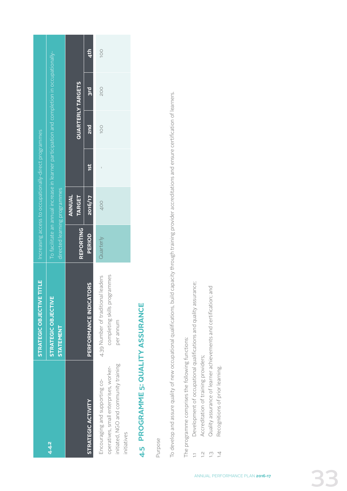|                                                                                                                                  | <b>STRATEGIC OBJECTIVE TITLE</b>                                                    |           |                              | Increasing access to occupationally-direct programmes |                          |                                                                                             |     |
|----------------------------------------------------------------------------------------------------------------------------------|-------------------------------------------------------------------------------------|-----------|------------------------------|-------------------------------------------------------|--------------------------|---------------------------------------------------------------------------------------------|-----|
| 4.4.2                                                                                                                            | STRATEGIC OBJECTIVE<br><b>STATEMENT</b>                                             |           | directed learning programmes |                                                       |                          | To facilitate an annual increase in learner participation and completion in occupationally- |     |
|                                                                                                                                  |                                                                                     | REPORTING | ANNUAL<br><b>TARGET</b>      |                                                       | <b>QUARTERLY TARGETS</b> |                                                                                             |     |
| <b>STRATEGIC ACTIVITY</b>                                                                                                        | <b>PERFORMANCE INDICATORS</b>                                                       | PERIOD    | 2016/17                      | 1st                                                   | <b>2nd</b>               | 3rd                                                                                         | 4th |
| initiated, NGO and community training<br>operatives, small enterprises, worker-<br>Encouraging and supporting co-<br>initiatives | grammes<br>4.39 Number of traditional leaders<br>completing skills pro<br>per annum | Quarterly | 400                          |                                                       | 100                      | 200                                                                                         | 100 |

# 4-5 PROGRAMME 5: QUALITY ASSURANCE **4.5 PROGRAMME 5: QUALITY ASSURANCE**

Purpose

To develop and assure quality of new occupational qualifications, build capacity through training provider accreditations and ensure certification of learners. To develop and assure quality of new occupational qualifications, build capacity through training provider accreditations and ensure certification of learners.

The programme comprises the following functions: The programme comprises the following functions:

- Development of occupational qualifications and quality assurance; 1.1 Development of occupational qualifications and quality assurance;
- Accreditation of training providers; 1.2 Accreditation of training providers;  $\begin{array}{ccc}\n\vdots & \vdots & \vdots & \vdots & \vdots\n\end{array}$
- 1.3 Quality assurance of learner achievements and certification; and Quality assurance of learner achievements and certification; and
	- Recognitions of prior learning. 1.4 Recognitions of prior learning.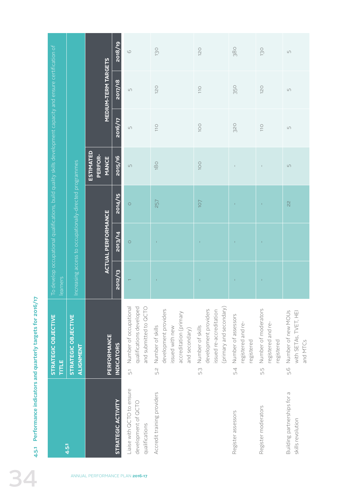| Increasing access to occupationally-directed programmes<br>2014/15<br>257<br><b>Lol</b><br>$\frac{2}{3}$<br>$\circ$<br>J.<br>÷.<br><b>ACTUAL PERFORMANCE</b><br>2013/14<br>$\circ$<br>$\mathbf{I}$<br>J.<br>÷<br>2012/13<br>learners<br>$\mathbf{I}$<br>J.<br>$\mathbf{I}$<br>T.<br>Number of occupational<br>qualifications developed<br>(primary and secondary)<br>and submitted to QCTO<br>development providers<br>development providers<br>Number of moderators<br>issued re-accreditation<br>Number of new MOUs<br>accreditation (primary<br>Number of assessors<br>STRATEGIC OBJECTIVE<br>STRATEGIC OBJECTIVE<br>registered and re-<br>registered and re-<br>Number of skills<br>Number of skills<br>issued with new<br>and secondary)<br>PERFORMANCE<br>registered<br>registered<br><b>INDICATORS</b><br>ALIGNMENT<br>TITLE<br>5.4<br>5.2<br>5.6<br>5.j<br>5:3 | To develop occupational qualifications, build quality skills development capacity and ensure certification of | <b>MEDIUM-TERM TARGETS</b><br><b>ESTIMATED</b><br>PERFOR-<br><b>MANCE</b> | 2018/19<br>2017/18<br>2016/17<br>2015/16 | $\circlearrowright$<br>$\mathop{\text{L}\Omega}$<br>$\mathop{\text{L}}\nolimits\cap$<br>$\Box$ | 130<br>120<br>$110$<br>180 | 120<br>110<br>100<br>100 | 380<br>350<br>320<br>$\mathbb{I}$ | 130<br>120<br>$110$ | $\mathop{\Box}\nolimits$<br>$\mathop{\text{L}\Omega}\nolimits$<br>$\mathop{\sqcup}\nolimits$<br>$\Box$ |
|------------------------------------------------------------------------------------------------------------------------------------------------------------------------------------------------------------------------------------------------------------------------------------------------------------------------------------------------------------------------------------------------------------------------------------------------------------------------------------------------------------------------------------------------------------------------------------------------------------------------------------------------------------------------------------------------------------------------------------------------------------------------------------------------------------------------------------------------------------------------|---------------------------------------------------------------------------------------------------------------|---------------------------------------------------------------------------|------------------------------------------|------------------------------------------------------------------------------------------------|----------------------------|--------------------------|-----------------------------------|---------------------|--------------------------------------------------------------------------------------------------------|
|                                                                                                                                                                                                                                                                                                                                                                                                                                                                                                                                                                                                                                                                                                                                                                                                                                                                        |                                                                                                               |                                                                           |                                          |                                                                                                |                            |                          |                                   |                     |                                                                                                        |
|                                                                                                                                                                                                                                                                                                                                                                                                                                                                                                                                                                                                                                                                                                                                                                                                                                                                        |                                                                                                               |                                                                           |                                          |                                                                                                |                            |                          |                                   |                     |                                                                                                        |
|                                                                                                                                                                                                                                                                                                                                                                                                                                                                                                                                                                                                                                                                                                                                                                                                                                                                        |                                                                                                               |                                                                           |                                          |                                                                                                |                            |                          |                                   |                     |                                                                                                        |
|                                                                                                                                                                                                                                                                                                                                                                                                                                                                                                                                                                                                                                                                                                                                                                                                                                                                        |                                                                                                               |                                                                           |                                          |                                                                                                |                            |                          |                                   |                     | with SETAS, TVET, HEI                                                                                  |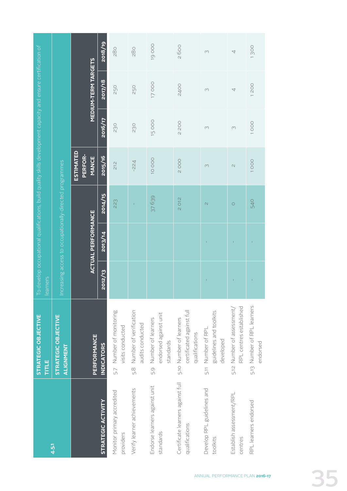|                                                     | STRATEGIC OBJECTIVE<br>TITLE                                           | learners |                           | To develop occupational qualifications, build quality skills development capacity and ensure certification of |                                             |                                        |                            |          |
|-----------------------------------------------------|------------------------------------------------------------------------|----------|---------------------------|---------------------------------------------------------------------------------------------------------------|---------------------------------------------|----------------------------------------|----------------------------|----------|
| 4.5.1                                               | STRATEGIC OBJECTIVE<br>ALIGNMENT                                       |          |                           | Increasing access to occupationally-directed programmes                                                       |                                             |                                        |                            |          |
|                                                     | PERFORMANCE                                                            |          | <b>ACTUAL PERFORMANCE</b> |                                                                                                               | <b>ESTIMATED</b><br>PERFOR-<br><b>MANCE</b> |                                        | <b>MEDIUM-TERM TARGETS</b> |          |
| <b>STRATEGIC ACTIVITY</b>                           | <b>INDICATORS</b>                                                      | 2012/13  | 2013/14                   | 2014/15                                                                                                       | 2015/16                                     | 2016/17                                | 2017/18                    | 2018/19  |
| Monitor primary accredited<br>providers             | 5.7 Number of monitoring<br>visits conducted                           |          |                           | 223                                                                                                           | 212                                         | 230                                    | 250                        | 280      |
| Verify learner achievements                         | Number of verification<br>audits conducted<br>5.8                      |          |                           |                                                                                                               | $-224$                                      | 230                                    | 250                        | 280      |
| Endorse learners against unit<br>standards          | endorsed against unit<br>Number of learners<br>standards<br>5.9        |          |                           | 37639                                                                                                         | 10 OCO                                      | 15000                                  | 17000                      | 19000    |
| Certificate learners against full<br>qualifications | certificated against full<br>5.10 Number of learners<br>qualifications |          |                           | 2012                                                                                                          | <b>2000</b>                                 | <b>200</b><br>$\overline{\mathcal{C}}$ | 2400                       | 2600     |
| Develop RPL guidelines and<br>toolkits              | guidelines and toolkits<br>5.11 Number of RPL<br>developed             |          |                           | $\mathcal{N}$                                                                                                 | $\infty$                                    | $\infty$                               | $\infty$                   | $\infty$ |
| Establish assessment/RPL<br>centres                 | RPL centres established<br>5.12 Number of assessment/                  |          |                           | $\circ$                                                                                                       | $\mathcal{O}$                               | $\infty$                               | 4                          | 4        |
| RPL learners endorsed                               | 5.13 Number of RPL learners<br>endorsed                                | Î.       | T                         | 540                                                                                                           | 1000                                        | 1000                                   | 1200                       | 1300     |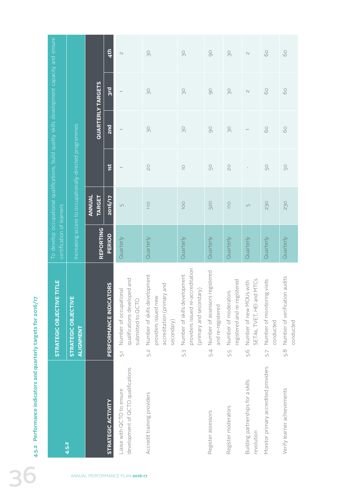|                                                                   |                                                                                              |                                                        |                          | 4th                                       | $\mathcal{O}$                                                                                 | $_{\odot}$                                                                                              | $\infty$                                                                                            | $\infty$                                                   | SO                                                          | $\mathrel{\ensuremath{\mathcal{M}}}$                        | 60                                              | $\rm ^{\circ}$                                    |
|-------------------------------------------------------------------|----------------------------------------------------------------------------------------------|--------------------------------------------------------|--------------------------|-------------------------------------------|-----------------------------------------------------------------------------------------------|---------------------------------------------------------------------------------------------------------|-----------------------------------------------------------------------------------------------------|------------------------------------------------------------|-------------------------------------------------------------|-------------------------------------------------------------|-------------------------------------------------|---------------------------------------------------|
|                                                                   |                                                                                              |                                                        |                          | 3rd                                       | $\overline{\phantom{0}}$                                                                      | $\infty$                                                                                                | $\infty$                                                                                            | $\overline{O}$                                             | SO                                                          | $\mathcal{N}$                                               | 60                                              | $\delta$                                          |
|                                                                   |                                                                                              |                                                        | <b>QUARTERLY TARGETS</b> | 2 <sub>nd</sub>                           | $\overline{\phantom{m}}$                                                                      | $\infty$                                                                                                | SO                                                                                                  | $\overline{O}$                                             | $\infty$                                                    | $\overline{\phantom{m}}$                                    | 60                                              | $\rm ^{\circ}$                                    |
|                                                                   |                                                                                              |                                                        |                          | 1St                                       | $\overline{\phantom{0}}$                                                                      | $\gtrsim$                                                                                               | $\overline{\bigcirc}$                                                                               | 50                                                         | $\overline{\mathsf{C}}$                                     |                                                             | $50\,$                                          | $\mathbb{S}^{\mathbb{O}}$                         |
|                                                                   | To develop occupational qualifications, build quality skills development capacity and ensure | ncreasing access to occupationally-directed programmes | ANNUAL<br><b>TARGET</b>  | <b>ZO16/17</b>                            | $\mathop{\text{L}\Omega}\nolimits$                                                            | 110                                                                                                     | OOI                                                                                                 | 320                                                        | 110                                                         | $\mathsf{L}\cap$                                            | 230                                             | 230                                               |
|                                                                   | certification of learners                                                                    |                                                        | REPORTING                | PERIOD                                    | Quarterly                                                                                     | Quarterly                                                                                               | Quarterly                                                                                           | Quarterly                                                  | Quarterly                                                   | Quarterly                                                   | Quarterly                                       | Quarterly                                         |
|                                                                   | ETITLE<br><b>STRATEGIC OBJECTIV</b>                                                          | ш<br>STRATEGIC OBJECTIVI<br>ALIGNMENT                  |                          | <b>ATORS</b><br><b>PERFORMANCE INDICA</b> | qualifications developed and<br>Number of occupational<br>submitted to QCTO<br>$\overline{5}$ | Number of skills development<br>accreditation (primary and<br>providers issued new<br>secondary)<br>5.2 | providers issued re-accreditation<br>Number of skills development<br>(primary and secondary)<br>5:3 | Number of assessors registered<br>and re-registered<br>5.4 | registered and re-registered<br>Number of moderators<br>5.5 | SETAS, TVET, HEI and MTCs<br>Number of new MOUs with<br>5.6 | Number of monitoring visits<br>conducted<br>5.7 | Number of verification audits<br>conducted<br>5.8 |
| Performance indicators and quarterly targets for 2016/17<br>4.5.2 |                                                                                              | 4.5.2                                                  |                          | STRATEGIC ACTIVITY                        | development of QCTO qualifications<br>Liaise with QCTO to ensure                              | Accredit training providers                                                                             |                                                                                                     | Register assessors                                         | Register moderators                                         | Building partnerships for a skills<br>revolution            | Monitor primary accredited providers            | Verify learner achievements                       |
|                                                                   |                                                                                              |                                                        |                          |                                           | ANNUAL PERFORMANCE PLAN 2016-17                                                               |                                                                                                         |                                                                                                     |                                                            |                                                             |                                                             |                                                 |                                                   |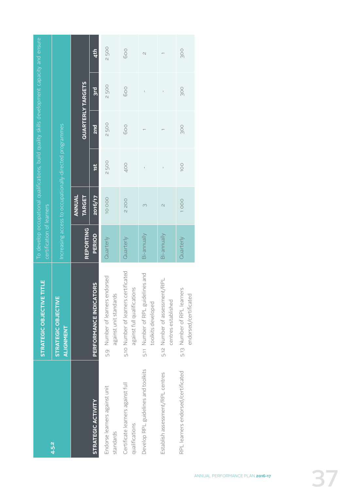|                                                     | STRATEGIC OBJECTIVE TITLE                                           | certification of learners |                          |                                                         |                          | To develop occupational qualifications, build quality skills development capacity and ensure |                          |
|-----------------------------------------------------|---------------------------------------------------------------------|---------------------------|--------------------------|---------------------------------------------------------|--------------------------|----------------------------------------------------------------------------------------------|--------------------------|
| 4.5.2                                               | <b>STRATEGIC OBJECTIVE</b><br><b>ALIGNMENT</b>                      |                           |                          | Increasing access to occupationally-directed programmes |                          |                                                                                              |                          |
|                                                     |                                                                     | <b>REPORTING</b>          | ANNUAL<br><b>TARGET</b>  |                                                         | <b>QUARTERLY TARGETS</b> |                                                                                              |                          |
| <b>STRATEGIC ACTIVITY</b>                           | PERFORMANCE INDICATORS                                              | PERIOD                    | 2016/17                  | 1st                                                     | 2nd                      | 3rd                                                                                          | 4 <sup>th</sup>          |
| Endorse learners against unit<br>standards          | 5.9 Number of learners endorsed<br>against unit standards           | Quarterly                 | 10000                    | 2500                                                    | 2500                     | <b>2500</b>                                                                                  | 2500                     |
| Certificate learners against full<br>qualifications | 5.10 Number of learners certificated<br>against full qualifications | Quarterly                 | 2200                     | 400                                                     | 600                      | 600                                                                                          | 600                      |
| Develop RPL guidelines and toolkits                 | lelines and<br>5.11 Number of RPL guid<br>toolkits developed        | Bi-annually               | 3                        | Ï                                                       |                          | $\mathbf{I}$                                                                                 | $\overline{\mathcal{C}}$ |
| Establish assessment/RPL centres                    | 5.12 Number of assessment/RPL<br>centres established                | Bi-annually               | $\overline{\mathcal{C}}$ |                                                         |                          |                                                                                              |                          |
| RPL learners endorsed/certificated                  | 5.13 Number of RPL learners<br>endorsed/certificated                | Quarterly                 | 1000                     | <b>100</b>                                              | <b>900</b>               | <b>900</b>                                                                                   | <b>900</b>               |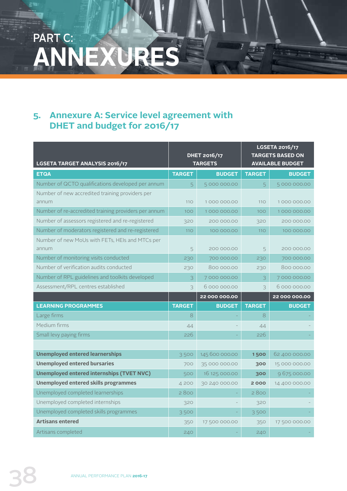# PART C: **ANNEXURES**

# **5. Annexure A: Service level agreement with DHET and budget for 2016/17**

| LGSETA TARGET ANALYSIS 2016/17                           |               | <b>DHET 2016/17</b><br><b>TARGETS</b> |               | <b>LGSETA 2016/17</b><br><b>TARGETS BASED ON</b><br><b>AVAILABLE BUDGET</b> |
|----------------------------------------------------------|---------------|---------------------------------------|---------------|-----------------------------------------------------------------------------|
| <b>ETQA</b>                                              | <b>TARGET</b> | <b>BUDGET</b>                         | <b>TARGET</b> | <b>BUDGET</b>                                                               |
| Number of QCTO qualifications developed per annum        | 5             | 5 000 000.00                          | 5             | 5 000 000.00                                                                |
| Number of new accredited training providers per<br>annum | 110           | 1000000.00                            | 110           | 1000000.00                                                                  |
| Number of re-accredited training providers per annum     | 100           | 1000000.00                            | 100           | 1000000.00                                                                  |
| Number of assessors registered and re-registered         | 320           | 200 000,00                            | 320           | 200 000,00                                                                  |
| Number of moderators registered and re-registered        | 110           | 100 000.00                            | 110           | 100 000.00                                                                  |
| Number of new MoUs with FETs, HEIs and MTCs per<br>annum | 5             | 200 000,00                            | 5             | 200 000,00                                                                  |
| Number of monitoring visits conducted                    | 230           | 700 000.00                            | 230           | 700 000.00                                                                  |
| Number of verification audits conducted                  | 230           | 800 000.00                            | 230           | 800 000.00                                                                  |
| Number of RPL guidelines and toolkits developed          | 3             | 7000000.00                            | 3             | 7000000.00                                                                  |
| Assessment/RPL centres established                       | 3             | 6000000.00                            | 3             | 6000000.00                                                                  |
|                                                          |               | 22 000 000.00                         |               | 22 000 000.00                                                               |
| <b>LEARNING PROGRAMMES</b>                               | <b>TARGET</b> | <b>BUDGET</b>                         | <b>TARGET</b> | <b>BUDGET</b>                                                               |
| Large firms                                              | 8             |                                       | 8             |                                                                             |
| Medium firms                                             | 44            |                                       | 44            |                                                                             |
| Small levy paying firms                                  | 226           |                                       | 226           |                                                                             |
|                                                          |               |                                       |               |                                                                             |
| <b>Unemployed entered learnerships</b>                   | 3500          | 145 600 000.00                        | 1500          | 62 400 000.00                                                               |
| <b>Unemployed entered bursaries</b>                      | 700           | 35 000 000.00                         | 300           | 15 000 000.00                                                               |
| <b>Unemployed entered internships (TVET NVC)</b>         | 500           | 16 125 000.00                         | 300           | 9675000.00                                                                  |
| <b>Unemployed entered skills programmes</b>              | 4 200         | 30 240 000.00                         | 2000          | 14 400 000.00                                                               |
| Unemployed completed learnerships                        | 2800          |                                       | 2800          |                                                                             |
| Unemployed completed internships                         | 320           |                                       | 320           |                                                                             |
| Unemployed completed skills programmes                   | 3500          |                                       | 3500          |                                                                             |
| <b>Artisans entered</b>                                  | 350           | 17 500 000.00                         | 350           | 17 500 000.00                                                               |
| Artisans completed                                       | 240           |                                       | 240           |                                                                             |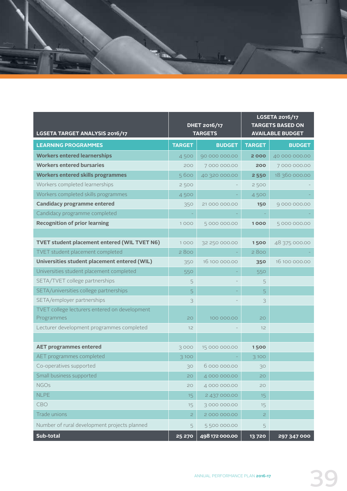

| LGSETA TARGET ANALYSIS 2016/17                      |               | <b>DHET 2016/17</b><br><b>TARGETS</b> |                | <b>LGSETA 2016/17</b><br><b>TARGETS BASED ON</b><br><b>AVAILABLE BUDGET</b> |
|-----------------------------------------------------|---------------|---------------------------------------|----------------|-----------------------------------------------------------------------------|
| <b>LEARNING PROGRAMMES</b>                          | <b>TARGET</b> | <b>BUDGET</b>                         | <b>TARGET</b>  | <b>BUDGET</b>                                                               |
| <b>Workers entered learnerships</b>                 | 4500          | 90 000 000.00                         | 2000           | 40 000 000.00                                                               |
| <b>Workers entered bursaries</b>                    | 200           | 7000000.00                            | 200            | 7000000.00                                                                  |
| <b>Workers entered skills programmes</b>            | 5600          | 40 320 000.00                         | 2 5 5 0        | 18 360 000.00                                                               |
| Workers completed learnerships                      | 2500          |                                       | 2500           |                                                                             |
| Workers completed skills programmes                 | 4500          |                                       | 4500           |                                                                             |
| <b>Candidacy programme entered</b>                  | 350           | 21 000 000.00                         | <b>150</b>     | 9000000.00                                                                  |
| Candidacy programme completed                       |               |                                       |                |                                                                             |
| <b>Recognition of prior learning</b>                | 1000          | 5000000.00                            | 1000           | 5000000.00                                                                  |
|                                                     |               |                                       |                |                                                                             |
| <b>TVET student placement entered (WIL TVET N6)</b> | 1000          | 32 250 000.00                         | 1500           | 48 375 000.00                                                               |
| TVET student placement completed                    | 2800          |                                       | 2800           |                                                                             |
| Universities student placement entered (WIL)        | 350           | 16 100 000.00                         | 350            | 16 100 000.00                                                               |
| Universities student placement completed            | 550           |                                       | 550            |                                                                             |
| SETA/TVET college partnerships                      | 5             |                                       | 5              |                                                                             |
| SETA/universities college partnerships              | 5             |                                       | 5              |                                                                             |
| SETA/employer partnerships                          | 3             |                                       | 3              |                                                                             |
| TVET college lecturers entered on development       |               |                                       |                |                                                                             |
| Programmes                                          | 20            | 100 000.00                            | 20             |                                                                             |
| Lecturer development programmes completed           | 12            |                                       | 12             |                                                                             |
|                                                     |               |                                       |                |                                                                             |
| <b>AET programmes entered</b>                       | 3000          | 15 000 000.00                         | 1500           |                                                                             |
| AET programmes completed                            | 3 100         |                                       | 3100           |                                                                             |
| Co-operatives supported                             | 30            | 6000000.00                            | 30             |                                                                             |
| Small business supported                            | 20            | 4 000 000.00                          | 20             |                                                                             |
| <b>NGOs</b>                                         | 20            | 4 000 000.00                          | 20             |                                                                             |
| <b>NLPE</b>                                         | 15            | 2 437 000.00                          | 15             |                                                                             |
| CBO                                                 | 15            | 3000000.00                            | 15             |                                                                             |
| Trade unions                                        | $\mathbf{Z}$  | 2000000.00                            | $\overline{c}$ |                                                                             |
| Number of rural development projects planned        | 5             | 5 500 000.00                          | 5              |                                                                             |
| Sub-total                                           | 25 270        | 498 172 000.00                        | 13720          | 297 347 000                                                                 |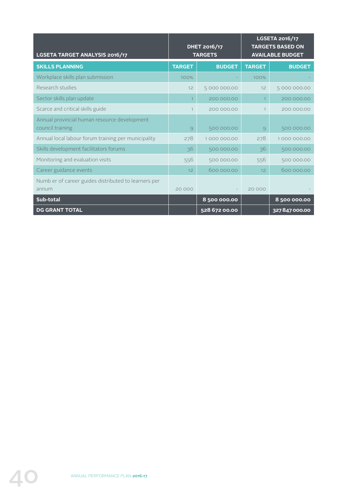| LGSETA TARGET ANALYSIS 2016/17                       |                | <b>DHET 2016/17</b><br><b>TARGETS</b> |               | <b>LGSETA 2016/17</b><br><b>TARGETS BASED ON</b><br><b>AVAILABLE BUDGET</b> |
|------------------------------------------------------|----------------|---------------------------------------|---------------|-----------------------------------------------------------------------------|
| <b>SKILLS PLANNING</b>                               | <b>TARGET</b>  | <b>BUDGET</b>                         | <b>TARGET</b> | <b>BUDGET</b>                                                               |
| Workplace skills plan submission                     | 100%           |                                       | 100%          |                                                                             |
| Research studies                                     | 12             | 5000000.00                            | 12            | 5000000.00                                                                  |
| Sector skills plan update                            | $\overline{1}$ | 200 000.00                            | $\mathbf{1}$  | 200 000.00                                                                  |
| Scarce and critical skills guide                     | 1              | 200 000,00                            |               | 200 000,00                                                                  |
| Annual provincial human resource development         |                |                                       |               |                                                                             |
| council training                                     | $\circ$        | 500 000.00                            | 9             | 500 000.00                                                                  |
| Annual local labour forum training per municipality  | 278            | 1000000.00                            | 278           | 1000000.00                                                                  |
| Skills development facilitators forums               | 36             | 500 000.00                            | 36            | 500 000.00                                                                  |
| Monitoring and evaluation visits                     | 556            | 500 000.00                            | 556           | 500 000.00                                                                  |
| Career guidance events                               | 12             | 600 000,00                            | 12            | 600 000,00                                                                  |
| Numb er of career guides distributed to learners per |                |                                       |               |                                                                             |
| annum                                                | 20 000         |                                       | 20 000        |                                                                             |
| Sub-total                                            |                | 8500000.00                            |               | 8 500 000.00                                                                |
| <b>DG GRANT TOTAL</b>                                |                | 528 672 00.00                         |               | 327847000.00                                                                |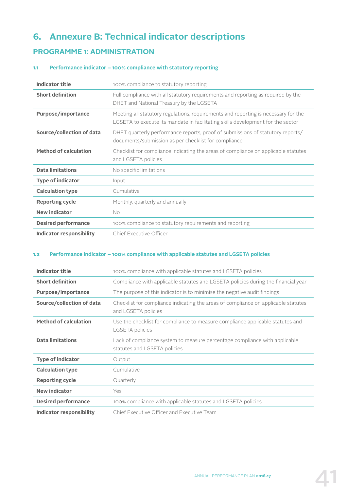# **6. Annexure B: Technical indicator descriptions**

### **PROGRAMME 1: ADMINISTRATION**

#### **1.1 Performance indicator – 100% compliance with statutory reporting**

| Indicator title              | 100% compliance to statutory reporting                                                                                                                                |
|------------------------------|-----------------------------------------------------------------------------------------------------------------------------------------------------------------------|
| <b>Short definition</b>      | Full compliance with all statutory requirements and reporting as required by the<br>DHET and National Treasury by the LGSETA                                          |
| Purpose/importance           | Meeting all statutory regulations, requirements and reporting is necessary for the<br>LGSETA to execute its mandate in facilitating skills development for the sector |
| Source/collection of data    | DHET quarterly performance reports, proof of submissions of statutory reports/<br>documents/submission as per checklist for compliance                                |
| <b>Method of calculation</b> | Checklist for compliance indicating the areas of compliance on applicable statutes<br>and LGSETA policies                                                             |
| <b>Data limitations</b>      | No specific limitations                                                                                                                                               |
| <b>Type of indicator</b>     | Input                                                                                                                                                                 |
| <b>Calculation type</b>      | Cumulative                                                                                                                                                            |
| <b>Reporting cycle</b>       | Monthly, quarterly and annually                                                                                                                                       |
| <b>New indicator</b>         | No                                                                                                                                                                    |
| <b>Desired performance</b>   | 100% compliance to statutory requirements and reporting                                                                                                               |
| Indicator responsibility     | Chief Executive Officer                                                                                                                                               |

#### **1.2 Performance indicator – 100% compliance with applicable statutes and LGSETA policies**

| <b>Indicator title</b>       | 100% compliance with applicable statutes and LGSETA policies                                               |
|------------------------------|------------------------------------------------------------------------------------------------------------|
| <b>Short definition</b>      | Compliance with applicable statutes and LGSETA policies during the financial year                          |
| Purpose/importance           | The purpose of this indicator is to minimise the negative audit findings                                   |
| Source/collection of data    | Checklist for compliance indicating the areas of compliance on applicable statutes<br>and LGSETA policies  |
| <b>Method of calculation</b> | Use the checklist for compliance to measure compliance applicable statutes and<br>LGSETA policies          |
| <b>Data limitations</b>      | Lack of compliance system to measure percentage compliance with applicable<br>statutes and LGSETA policies |
| <b>Type of indicator</b>     | Output                                                                                                     |
| <b>Calculation type</b>      | Cumulative                                                                                                 |
| <b>Reporting cycle</b>       | Quarterly                                                                                                  |
| <b>New indicator</b>         | Yes                                                                                                        |
| <b>Desired performance</b>   | 100% compliance with applicable statutes and LGSETA policies                                               |
| Indicator responsibility     | Chief Executive Officer and Executive Team                                                                 |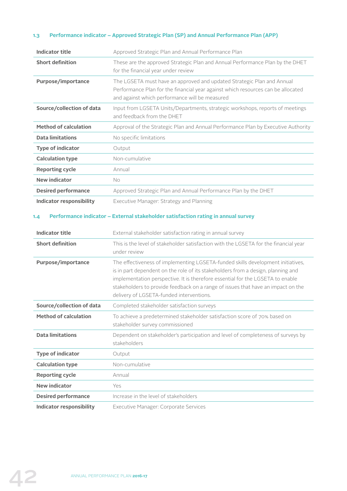#### **1.3 Performance indicator – Approved Strategic Plan (SP) and Annual Performance Plan (APP)**

| <b>Indicator title</b>                            | Approved Strategic Plan and Annual Performance Plan                                                                                                                                                                                                                                                                                                                                   |
|---------------------------------------------------|---------------------------------------------------------------------------------------------------------------------------------------------------------------------------------------------------------------------------------------------------------------------------------------------------------------------------------------------------------------------------------------|
| <b>Short definition</b>                           | These are the approved Strategic Plan and Annual Performance Plan by the DHET<br>for the financial year under review                                                                                                                                                                                                                                                                  |
| Purpose/importance                                | The LGSETA must have an approved and updated Strategic Plan and Annual<br>Performance Plan for the financial year against which resources can be allocated<br>and against which performance will be measured                                                                                                                                                                          |
| Source/collection of data                         | Input from LGSETA Units/Departments, strategic workshops, reports of meetings<br>and feedback from the DHET                                                                                                                                                                                                                                                                           |
| <b>Method of calculation</b>                      | Approval of the Strategic Plan and Annual Performance Plan by Executive Authority                                                                                                                                                                                                                                                                                                     |
| <b>Data limitations</b>                           | No specific limitations                                                                                                                                                                                                                                                                                                                                                               |
| <b>Type of indicator</b>                          | Output                                                                                                                                                                                                                                                                                                                                                                                |
| <b>Calculation type</b>                           | Non-cumulative                                                                                                                                                                                                                                                                                                                                                                        |
| <b>Reporting cycle</b>                            | Annual                                                                                                                                                                                                                                                                                                                                                                                |
| <b>New indicator</b>                              | <b>No</b>                                                                                                                                                                                                                                                                                                                                                                             |
| <b>Desired performance</b>                        | Approved Strategic Plan and Annual Performance Plan by the DHET                                                                                                                                                                                                                                                                                                                       |
| <b>Indicator responsibility</b>                   | Executive Manager: Strategy and Planning                                                                                                                                                                                                                                                                                                                                              |
| <b>Indicator title</b><br><b>Short definition</b> | External stakeholder satisfaction rating in annual survey<br>This is the level of stakeholder satisfaction with the LGSETA for the financial year<br>under review                                                                                                                                                                                                                     |
| Purpose/importance                                | The effectiveness of implementing LGSETA-funded skills development initiatives,<br>is in part dependent on the role of its stakeholders from a design, planning and<br>implementation perspective. It is therefore essential for the LGSETA to enable<br>stakeholders to provide feedback on a range of issues that have an impact on the<br>delivery of LGSETA-funded interventions. |
| Source/collection of data                         | Completed stakeholder satisfaction surveys                                                                                                                                                                                                                                                                                                                                            |
| <b>Method of calculation</b>                      | To achieve a predetermined stakeholder satisfaction score of 70% based on<br>stakeholder survey commissioned                                                                                                                                                                                                                                                                          |
| <b>Data limitations</b>                           | Dependent on stakeholder's participation and level of completeness of surveys by<br>stakeholders                                                                                                                                                                                                                                                                                      |
| <b>Type of indicator</b>                          | Output                                                                                                                                                                                                                                                                                                                                                                                |
| <b>Calculation type</b>                           | Non-cumulative                                                                                                                                                                                                                                                                                                                                                                        |
| <b>Reporting cycle</b>                            | Annual                                                                                                                                                                                                                                                                                                                                                                                |
| <b>New indicator</b>                              | Yes                                                                                                                                                                                                                                                                                                                                                                                   |
| <b>Desired performance</b>                        | Increase in the level of stakeholders                                                                                                                                                                                                                                                                                                                                                 |
| <b>Indicator responsibility</b>                   | Executive Manager: Corporate Services                                                                                                                                                                                                                                                                                                                                                 |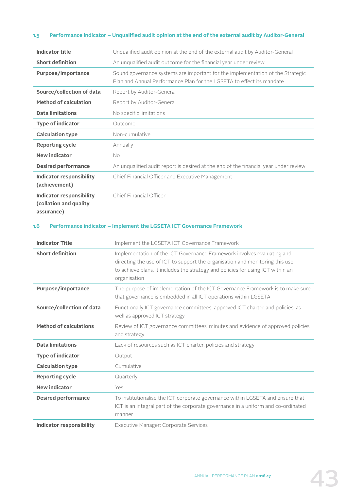#### **1.5 Performance indicator – Unqualified audit opinion at the end of the external audit by Auditor-General**

| <b>Indicator title</b>                                                  | Unqualified audit opinion at the end of the external audit by Auditor-General                                                                                                                                                                             |
|-------------------------------------------------------------------------|-----------------------------------------------------------------------------------------------------------------------------------------------------------------------------------------------------------------------------------------------------------|
| <b>Short definition</b>                                                 | An unqualified audit outcome for the financial year under review                                                                                                                                                                                          |
| Purpose/importance                                                      | Sound governance systems are important for the implementation of the Strategic<br>Plan and Annual Performance Plan for the LGSETA to effect its mandate                                                                                                   |
| Source/collection of data                                               | Report by Auditor-General                                                                                                                                                                                                                                 |
| <b>Method of calculation</b>                                            | Report by Auditor-General                                                                                                                                                                                                                                 |
| <b>Data limitations</b>                                                 | No specific limitations                                                                                                                                                                                                                                   |
| <b>Type of indicator</b>                                                | Outcome                                                                                                                                                                                                                                                   |
| <b>Calculation type</b>                                                 | Non-cumulative                                                                                                                                                                                                                                            |
| <b>Reporting cycle</b>                                                  | Annually                                                                                                                                                                                                                                                  |
| <b>New indicator</b>                                                    | No.                                                                                                                                                                                                                                                       |
| <b>Desired performance</b>                                              | An unqualified audit report is desired at the end of the financial year under review                                                                                                                                                                      |
| <b>Indicator responsibility</b><br>(achievement)                        | Chief Financial Officer and Executive Management                                                                                                                                                                                                          |
| <b>Indicator responsibility</b><br>(collation and quality<br>assurance) | Chief Financial Officer                                                                                                                                                                                                                                   |
| 1.6<br><b>Indicator Title</b>                                           | Performance indicator - Implement the LGSETA ICT Governance Framework<br>Implement the LGSETA ICT Governance Framework                                                                                                                                    |
| <b>Short definition</b>                                                 | Implementation of the ICT Governance Framework involves evaluating and<br>directing the use of ICT to support the organisation and monitoring this use<br>to achieve plans. It includes the strategy and policies for using ICT within an<br>organisation |
| Purpose/importance                                                      | The purpose of implementation of the ICT Governance Framework is to make sure<br>that governance is embedded in all ICT operations within LGSETA                                                                                                          |
| Source/collection of data                                               | Functionally ICT governance committees; approved ICT charter and policies; as<br>well as approved ICT strategy                                                                                                                                            |
| <b>Method of calculations</b>                                           | Review of ICT governance committees' minutes and evidence of approved policies<br>and strategy                                                                                                                                                            |
| <b>Data limitations</b>                                                 | Lack of resources such as ICT charter, policies and strategy                                                                                                                                                                                              |
| <b>Type of indicator</b>                                                | Output                                                                                                                                                                                                                                                    |
| <b>Calculation type</b>                                                 | Cumulative                                                                                                                                                                                                                                                |
| <b>Reporting cycle</b>                                                  | Quarterly                                                                                                                                                                                                                                                 |
| <b>New indicator</b>                                                    | Yes                                                                                                                                                                                                                                                       |
| <b>Desired performance</b>                                              | To institutionalise the ICT corporate governance within LGSETA and ensure that<br>ICT is an integral part of the corporate governance in a uniform and co-ordinated                                                                                       |
|                                                                         | manner                                                                                                                                                                                                                                                    |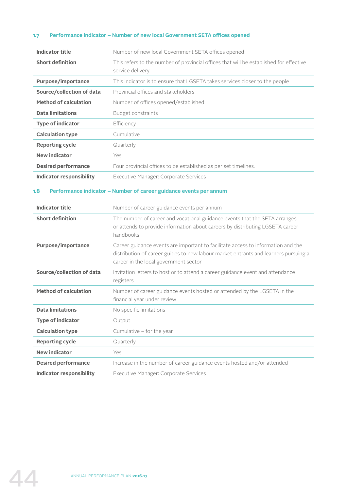#### **1.7 Performance indicator – Number of new local Government SETA offices opened**

| <b>Indicator title</b>       | Number of new local Government SETA offices opened                                                         |
|------------------------------|------------------------------------------------------------------------------------------------------------|
| <b>Short definition</b>      | This refers to the number of provincial offices that will be established for effective<br>service delivery |
| Purpose/importance           | This indicator is to ensure that LGSETA takes services closer to the people                                |
| Source/collection of data    | Provincial offices and stakeholders                                                                        |
| <b>Method of calculation</b> | Number of offices opened/established                                                                       |
| <b>Data limitations</b>      | Budget constraints                                                                                         |
| <b>Type of indicator</b>     | Efficiency                                                                                                 |
| <b>Calculation type</b>      | Cumulative                                                                                                 |
| <b>Reporting cycle</b>       | Quarterly                                                                                                  |
| <b>New indicator</b>         | Yes                                                                                                        |
| <b>Desired performance</b>   | Four provincial offices to be established as per set timelines.                                            |
| Indicator responsibility     | Executive Manager: Corporate Services                                                                      |

#### **1.8 Performance indicator – Number of career guidance events per annum**

| <b>Indicator title</b>       | Number of career guidance events per annum                                                                                                                                                                       |
|------------------------------|------------------------------------------------------------------------------------------------------------------------------------------------------------------------------------------------------------------|
| <b>Short definition</b>      | The number of career and vocational guidance events that the SETA arranges<br>or attends to provide information about careers by distributing LGSETA career<br>handbooks                                         |
| Purpose/importance           | Career guidance events are important to facilitate access to information and the<br>distribution of career guides to new labour market entrants and learners pursuing a<br>career in the local government sector |
| Source/collection of data    | Invitation letters to host or to attend a career guidance event and attendance<br>registers                                                                                                                      |
| <b>Method of calculation</b> | Number of career guidance events hosted or attended by the LGSETA in the<br>financial year under review                                                                                                          |
| <b>Data limitations</b>      | No specific limitations                                                                                                                                                                                          |
| <b>Type of indicator</b>     | Output                                                                                                                                                                                                           |
| <b>Calculation type</b>      | Cumulative – for the year                                                                                                                                                                                        |
| <b>Reporting cycle</b>       | Quarterly                                                                                                                                                                                                        |
| <b>New indicator</b>         | Yes                                                                                                                                                                                                              |
| <b>Desired performance</b>   | Increase in the number of career guidance events hosted and/or attended                                                                                                                                          |
| Indicator responsibility     | Executive Manager: Corporate Services                                                                                                                                                                            |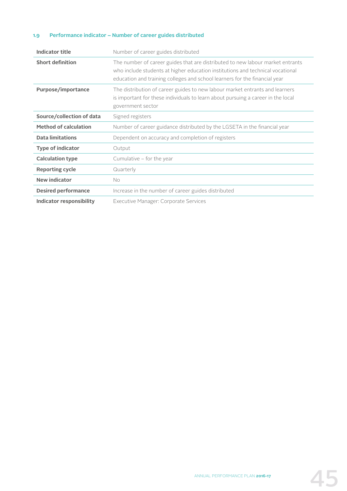#### **1.9 Performance indicator – Number of career guides distributed**

| <b>Indicator title</b>       | Number of career guides distributed                                                                                                                                                                                                            |
|------------------------------|------------------------------------------------------------------------------------------------------------------------------------------------------------------------------------------------------------------------------------------------|
| <b>Short definition</b>      | The number of career guides that are distributed to new labour market entrants<br>who include students at higher education institutions and technical vocational<br>education and training colleges and school learners for the financial year |
| Purpose/importance           | The distribution of career guides to new labour market entrants and learners<br>is important for these individuals to learn about pursuing a career in the local<br>government sector                                                          |
| Source/collection of data    | Signed registers                                                                                                                                                                                                                               |
| <b>Method of calculation</b> | Number of career guidance distributed by the LGSETA in the financial year                                                                                                                                                                      |
| <b>Data limitations</b>      | Dependent on accuracy and completion of registers                                                                                                                                                                                              |
| <b>Type of indicator</b>     | Output                                                                                                                                                                                                                                         |
| <b>Calculation type</b>      | Cumulative - for the year                                                                                                                                                                                                                      |
| <b>Reporting cycle</b>       | Quarterly                                                                                                                                                                                                                                      |
| <b>New indicator</b>         | No.                                                                                                                                                                                                                                            |
| <b>Desired performance</b>   | Increase in the number of career guides distributed                                                                                                                                                                                            |
| Indicator responsibility     | Executive Manager: Corporate Services                                                                                                                                                                                                          |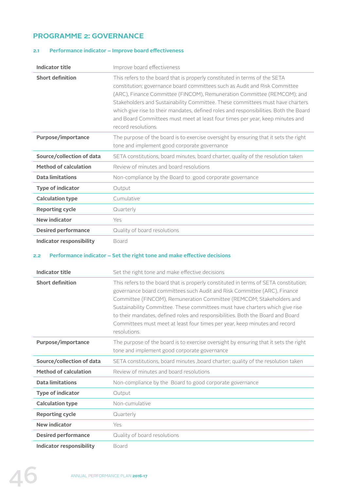# **PROGRAMME 2: GOVERNANCE**

#### **2.1 Performance indicator – Improve board effectiveness**

| <b>Indicator title</b>          | Improve board effectiveness                                                                                                                                                                                                                                                                                                                                                                                                                                                                                            |
|---------------------------------|------------------------------------------------------------------------------------------------------------------------------------------------------------------------------------------------------------------------------------------------------------------------------------------------------------------------------------------------------------------------------------------------------------------------------------------------------------------------------------------------------------------------|
| <b>Short definition</b>         | This refers to the board that is properly constituted in terms of the SETA<br>constitution; governance board committees such as Audit and Risk Committee<br>(ARC), Finance Committee (FINCOM), Remuneration Committee (REMCOM); and<br>Stakeholders and Sustainability Committee. These committees must have charters<br>which give rise to their mandates, defined roles and responsibilities. Both the Board<br>and Board Committees must meet at least four times per year, keep minutes and<br>record resolutions. |
| <b>Purpose/importance</b>       | The purpose of the board is to exercise oversight by ensuring that it sets the right<br>tone and implement good corporate governance                                                                                                                                                                                                                                                                                                                                                                                   |
| Source/collection of data       | SETA constitutions, board minutes, board charter, quality of the resolution taken                                                                                                                                                                                                                                                                                                                                                                                                                                      |
| <b>Method of calculation</b>    | Review of minutes and board resolutions                                                                                                                                                                                                                                                                                                                                                                                                                                                                                |
| <b>Data limitations</b>         | Non-compliance by the Board to good corporate governance                                                                                                                                                                                                                                                                                                                                                                                                                                                               |
| <b>Type of indicator</b>        | Output                                                                                                                                                                                                                                                                                                                                                                                                                                                                                                                 |
| <b>Calculation type</b>         | Cumulative                                                                                                                                                                                                                                                                                                                                                                                                                                                                                                             |
| <b>Reporting cycle</b>          | Quarterly                                                                                                                                                                                                                                                                                                                                                                                                                                                                                                              |
| <b>New indicator</b>            | Yes                                                                                                                                                                                                                                                                                                                                                                                                                                                                                                                    |
| <b>Desired performance</b>      | Quality of board resolutions                                                                                                                                                                                                                                                                                                                                                                                                                                                                                           |
| <b>Indicator responsibility</b> | Board                                                                                                                                                                                                                                                                                                                                                                                                                                                                                                                  |

#### **2.2 Performance indicator – Set the right tone and make effective decisions**

| <b>Indicator title</b>       | Set the right tone and make effective decisions                                                                                                                                                                                                                                                                                                                                                                                                                                                            |
|------------------------------|------------------------------------------------------------------------------------------------------------------------------------------------------------------------------------------------------------------------------------------------------------------------------------------------------------------------------------------------------------------------------------------------------------------------------------------------------------------------------------------------------------|
| <b>Short definition</b>      | This refers to the board that is properly constituted in terms of SETA constitution;<br>governance board committees such Audit and Risk Committee (ARC), Finance<br>Committee (FINCOM), Remuneration Committee (REMCOM; Stakeholders and<br>Sustainability Committee. These committees must have charters which give rise<br>to their mandates, defined roles and responsibilities. Both the Board and Board<br>Committees must meet at least four times per year, keep minutes and record<br>resolutions. |
| <b>Purpose/importance</b>    | The purpose of the board is to exercise oversight by ensuring that it sets the right<br>tone and implement good corporate governance                                                                                                                                                                                                                                                                                                                                                                       |
| Source/collection of data    | SETA constitutions, board minutes, board charter; quality of the resolution taken                                                                                                                                                                                                                                                                                                                                                                                                                          |
| <b>Method of calculation</b> | Review of minutes and board resolutions                                                                                                                                                                                                                                                                                                                                                                                                                                                                    |
| <b>Data limitations</b>      | Non-compliance by the Board to good corporate governance                                                                                                                                                                                                                                                                                                                                                                                                                                                   |
| <b>Type of indicator</b>     | Output                                                                                                                                                                                                                                                                                                                                                                                                                                                                                                     |
| <b>Calculation type</b>      | Non-cumulative                                                                                                                                                                                                                                                                                                                                                                                                                                                                                             |
| <b>Reporting cycle</b>       | Quarterly                                                                                                                                                                                                                                                                                                                                                                                                                                                                                                  |
| New indicator                | Yes                                                                                                                                                                                                                                                                                                                                                                                                                                                                                                        |
| <b>Desired performance</b>   | Quality of board resolutions                                                                                                                                                                                                                                                                                                                                                                                                                                                                               |
| Indicator responsibility     | Board                                                                                                                                                                                                                                                                                                                                                                                                                                                                                                      |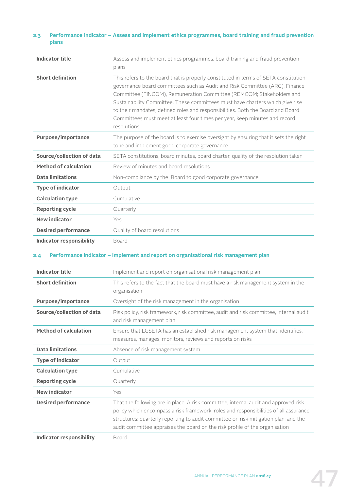#### **2.3 Performance indicator – Assess and implement ethics programmes, board training and fraud prevention plans**

| <b>Indicator title</b>       | Assess and implement ethics programmes, board training and fraud prevention<br>plans                                                                                                                                                                                                                                                                                                                                                                                                                          |
|------------------------------|---------------------------------------------------------------------------------------------------------------------------------------------------------------------------------------------------------------------------------------------------------------------------------------------------------------------------------------------------------------------------------------------------------------------------------------------------------------------------------------------------------------|
| <b>Short definition</b>      | This refers to the board that is properly constituted in terms of SETA constitution;<br>governance board committees such as Audit and Risk Committee (ARC), Finance<br>Committee (FINCOM), Remuneration Committee (REMCOM; Stakeholders and<br>Sustainability Committee. These committees must have charters which give rise<br>to their mandates, defined roles and responsibilities. Both the Board and Board<br>Committees must meet at least four times per year, keep minutes and record<br>resolutions. |
| Purpose/importance           | The purpose of the board is to exercise oversight by ensuring that it sets the right<br>tone and implement good corporate governance.                                                                                                                                                                                                                                                                                                                                                                         |
| Source/collection of data    | SETA constitutions, board minutes, board charter, quality of the resolution taken                                                                                                                                                                                                                                                                                                                                                                                                                             |
| <b>Method of calculation</b> | Review of minutes and board resolutions                                                                                                                                                                                                                                                                                                                                                                                                                                                                       |
| <b>Data limitations</b>      | Non-compliance by the Board to good corporate governance                                                                                                                                                                                                                                                                                                                                                                                                                                                      |
| <b>Type of indicator</b>     | Output                                                                                                                                                                                                                                                                                                                                                                                                                                                                                                        |
| <b>Calculation type</b>      | Cumulative                                                                                                                                                                                                                                                                                                                                                                                                                                                                                                    |
| <b>Reporting cycle</b>       | Quarterly                                                                                                                                                                                                                                                                                                                                                                                                                                                                                                     |
| <b>New indicator</b>         | Yes                                                                                                                                                                                                                                                                                                                                                                                                                                                                                                           |
| <b>Desired performance</b>   | Quality of board resolutions                                                                                                                                                                                                                                                                                                                                                                                                                                                                                  |
| Indicator responsibility     | Board                                                                                                                                                                                                                                                                                                                                                                                                                                                                                                         |

#### **2.4 Performance indicator – Implement and report on organisational risk management plan**

| <b>Indicator title</b>          | Implement and report on organisational risk management plan                                                                                                                                                                                                                                                                                       |
|---------------------------------|---------------------------------------------------------------------------------------------------------------------------------------------------------------------------------------------------------------------------------------------------------------------------------------------------------------------------------------------------|
| <b>Short definition</b>         | This refers to the fact that the board must have a risk management system in the<br>organisation                                                                                                                                                                                                                                                  |
| <b>Purpose/importance</b>       | Oversight of the risk management in the organisation                                                                                                                                                                                                                                                                                              |
| Source/collection of data       | Risk policy, risk framework, risk committee, audit and risk committee, internal audit<br>and risk management plan                                                                                                                                                                                                                                 |
| <b>Method of calculation</b>    | Ensure that LGSETA has an established risk management system that identifies,<br>measures, manages, monitors, reviews and reports on risks                                                                                                                                                                                                        |
| <b>Data limitations</b>         | Absence of risk management system                                                                                                                                                                                                                                                                                                                 |
| <b>Type of indicator</b>        | Output                                                                                                                                                                                                                                                                                                                                            |
| <b>Calculation type</b>         | Cumulative                                                                                                                                                                                                                                                                                                                                        |
| <b>Reporting cycle</b>          | Quarterly                                                                                                                                                                                                                                                                                                                                         |
| <b>New indicator</b>            | Yes                                                                                                                                                                                                                                                                                                                                               |
| <b>Desired performance</b>      | That the following are in place: A risk committee, internal audit and approved risk<br>policy which encompass a risk framework, roles and responsibilities of all assurance<br>structures; quarterly reporting to audit committee on risk mitigation plan; and the<br>audit committee appraises the board on the risk profile of the organisation |
| <b>Indicator responsibility</b> | Board                                                                                                                                                                                                                                                                                                                                             |

ANNUAL PERFORMANCE PLAN **2016-17**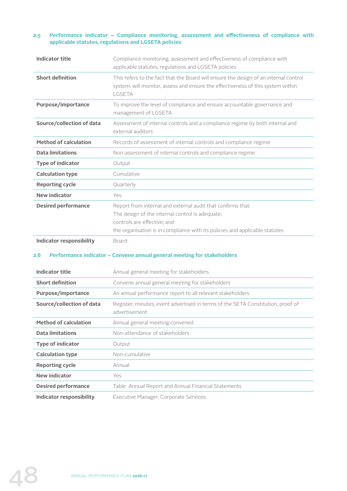#### **2.5 Performance indicator – Compliance monitoring, assessment and effectiveness of compliance with applicable statutes, regulations and LGSETA policies**

| <b>Indicator title</b>       | Compliance monitoring, assessment and effectiveness of compliance with<br>applicable statutes, regulations and LGSETA policies                                                                                               |
|------------------------------|------------------------------------------------------------------------------------------------------------------------------------------------------------------------------------------------------------------------------|
| <b>Short definition</b>      | This refers to the fact that the Board will ensure the design of an internal control<br>system, will monitor, assess and ensure the effectiveness of this system within<br>LGSETA                                            |
| Purpose/importance           | To improve the level of compliance and ensure accountable governance and<br>management of LGSETA                                                                                                                             |
| Source/collection of data    | Assessment of internal controls and a compliance regime by both internal and<br>external auditors                                                                                                                            |
| <b>Method of calculation</b> | Records of assessment of internal controls and compliance regime                                                                                                                                                             |
| <b>Data limitations</b>      | Non-assessment of internal controls and compliance regime                                                                                                                                                                    |
| <b>Type of indicator</b>     | Output                                                                                                                                                                                                                       |
| <b>Calculation type</b>      | Cumulative                                                                                                                                                                                                                   |
| <b>Reporting cycle</b>       | Quarterly                                                                                                                                                                                                                    |
| <b>New indicator</b>         | Yes                                                                                                                                                                                                                          |
| <b>Desired performance</b>   | Report from internal and external audit that confirms that:<br>The design of the internal control is adequate;<br>controls are effective; and<br>the organisation is in compliance with its policies and applicable statutes |
| Indicator responsibility     | Board                                                                                                                                                                                                                        |

#### **2.6 Performance indicator – Convene annual general meeting for stakeholders**

| <b>Indicator title</b>       | Annual general meeting for stakeholders                                                          |
|------------------------------|--------------------------------------------------------------------------------------------------|
| <b>Short definition</b>      | Convene annual general meeting for stakeholders                                                  |
| Purpose/importance           | An annual performance report to all relevant stakeholders                                        |
| Source/collection of data    | Register, minutes, event advertised in terms of the SETA Constitution, proof of<br>advertisement |
| <b>Method of calculation</b> | Annual general meeting convened                                                                  |
| <b>Data limitations</b>      | Non-attendance of stakeholders                                                                   |
| <b>Type of indicator</b>     | Output                                                                                           |
| <b>Calculation type</b>      | Non-cumulative                                                                                   |
| <b>Reporting cycle</b>       | Annual                                                                                           |
| New indicator                | Yes                                                                                              |
| <b>Desired performance</b>   | Table Annual Report and Annual Financial Statements                                              |
| Indicator responsibility     | Executive Manager: Corporate Services                                                            |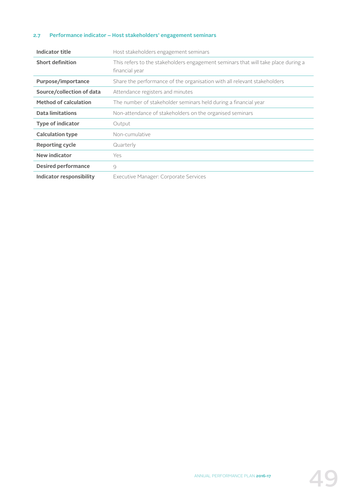#### **2.7 Performance indicator – Host stakeholders' engagement seminars**

| Indicator title              | Host stakeholders engagement seminars                                                               |
|------------------------------|-----------------------------------------------------------------------------------------------------|
| <b>Short definition</b>      | This refers to the stakeholders engagement seminars that will take place during a<br>financial year |
| Purpose/importance           | Share the performance of the organisation with all relevant stakeholders                            |
| Source/collection of data    | Attendance registers and minutes                                                                    |
| <b>Method of calculation</b> | The number of stakeholder seminars held during a financial year                                     |
| <b>Data limitations</b>      | Non-attendance of stakeholders on the organised seminars                                            |
| <b>Type of indicator</b>     | Output                                                                                              |
| <b>Calculation type</b>      | Non-cumulative                                                                                      |
| <b>Reporting cycle</b>       | Quarterly                                                                                           |
| <b>New indicator</b>         | Yes                                                                                                 |
| <b>Desired performance</b>   | 9                                                                                                   |
| Indicator responsibility     | Executive Manager: Corporate Services                                                               |

ANNUAL PERFORMANCE PLAN **2016-17**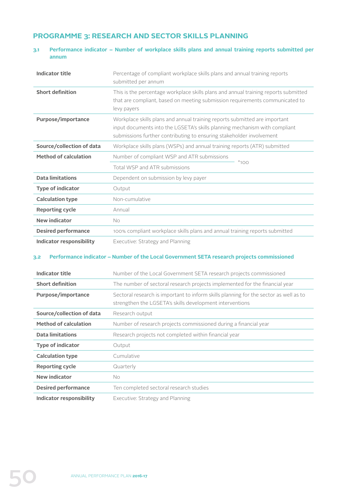# **PROGRAMME 3: RESEARCH AND SECTOR SKILLS PLANNING**

#### **3.1 Performance indicator – Number of workplace skills plans and annual training reports submitted per annum**

| <b>Indicator title</b>          | Percentage of compliant workplace skills plans and annual training reports<br>submitted per annum                                                                                                                                |
|---------------------------------|----------------------------------------------------------------------------------------------------------------------------------------------------------------------------------------------------------------------------------|
| <b>Short definition</b>         | This is the percentage workplace skills plans and annual training reports submitted<br>that are compliant, based on meeting submission requirements communicated to<br>levy payers                                               |
| Purpose/importance              | Workplace skills plans and annual training reports submitted are important<br>input documents into the LGSETA's skills planning mechanism with compliant<br>submissions further contributing to ensuring stakeholder involvement |
| Source/collection of data       | Workplace skills plans (WSPs) and annual training reports (ATR) submitted                                                                                                                                                        |
| <b>Method of calculation</b>    | Number of compliant WSP and ATR submissions<br>$*100$                                                                                                                                                                            |
|                                 | Total WSP and ATR submissions                                                                                                                                                                                                    |
| <b>Data limitations</b>         | Dependent on submission by levy payer                                                                                                                                                                                            |
| <b>Type of indicator</b>        | Output                                                                                                                                                                                                                           |
| <b>Calculation type</b>         | Non-cumulative                                                                                                                                                                                                                   |
| <b>Reporting cycle</b>          | Annual                                                                                                                                                                                                                           |
| <b>New indicator</b>            | No                                                                                                                                                                                                                               |
| <b>Desired performance</b>      | 100% compliant workplace skills plans and annual training reports submitted                                                                                                                                                      |
| <b>Indicator responsibility</b> | Executive: Strategy and Planning                                                                                                                                                                                                 |

#### **3.2 Performance indicator – Number of the Local Government SETA research projects commissioned**

| <b>Indicator title</b>       | Number of the Local Government SETA research projects commissioned                                                                                |
|------------------------------|---------------------------------------------------------------------------------------------------------------------------------------------------|
| <b>Short definition</b>      | The number of sectoral research projects implemented for the financial year                                                                       |
| Purpose/importance           | Sectoral research is important to inform skills planning for the sector as well as to<br>strengthen the LGSETA's skills development interventions |
| Source/collection of data    | Research output                                                                                                                                   |
| <b>Method of calculation</b> | Number of research projects commissioned during a financial year                                                                                  |
| Data limitations             | Research projects not completed within financial year                                                                                             |
| <b>Type of indicator</b>     | Output                                                                                                                                            |
| <b>Calculation type</b>      | Cumulative                                                                                                                                        |
| <b>Reporting cycle</b>       | Quarterly                                                                                                                                         |
| <b>New indicator</b>         | No.                                                                                                                                               |
| <b>Desired performance</b>   | Ten completed sectoral research studies                                                                                                           |
| Indicator responsibility     | Executive: Strategy and Planning                                                                                                                  |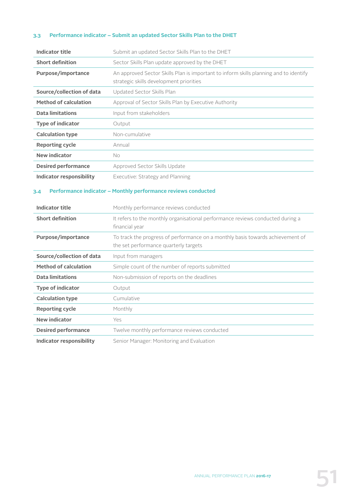#### **3.3 Performance indicator – Submit an updated Sector Skills Plan to the DHET**

| <b>Indicator title</b>          | Submit an updated Sector Skills Plan to the DHET                                                                                 |
|---------------------------------|----------------------------------------------------------------------------------------------------------------------------------|
| <b>Short definition</b>         | Sector Skills Plan update approved by the DHET                                                                                   |
| Purpose/importance              | An approved Sector Skills Plan is important to inform skills planning and to identify<br>strategic skills development priorities |
| Source/collection of data       | Updated Sector Skills Plan                                                                                                       |
| <b>Method of calculation</b>    | Approval of Sector Skills Plan by Executive Authority                                                                            |
| <b>Data limitations</b>         | Input from stakeholders                                                                                                          |
| <b>Type of indicator</b>        | Output                                                                                                                           |
| <b>Calculation type</b>         | Non-cumulative                                                                                                                   |
| <b>Reporting cycle</b>          | Annual                                                                                                                           |
| <b>New indicator</b>            | No                                                                                                                               |
| <b>Desired performance</b>      | Approved Sector Skills Update                                                                                                    |
| <b>Indicator responsibility</b> | Executive: Strategy and Planning                                                                                                 |
| <b>Indicator title</b>          | Monthly performance reviews conducted                                                                                            |
| 3.4                             | Performance indicator - Monthly performance reviews conducted                                                                    |
| <b>Short definition</b>         | It refers to the monthly organisational performance reviews conducted during a<br>financial year                                 |
| Purpose/importance              | To track the progress of performance on a monthly basis towards achievement of<br>the set performance quarterly targets          |
| Source/collection of data       | Input from managers                                                                                                              |
| <b>Method of calculation</b>    | Simple count of the number of reports submitted                                                                                  |
| <b>Data limitations</b>         |                                                                                                                                  |
| <b>Type of indicator</b>        | Non-submission of reports on the deadlines                                                                                       |
|                                 | Output                                                                                                                           |
| <b>Calculation type</b>         | Cumulative                                                                                                                       |
| <b>Reporting cycle</b>          | Monthly                                                                                                                          |
| <b>New indicator</b>            | Yes                                                                                                                              |
| <b>Desired performance</b>      | Twelve monthly performance reviews conducted                                                                                     |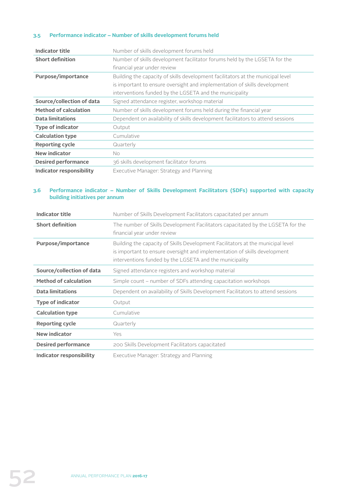#### **3.5 Performance indicator – Number of skills development forums held**

| <b>Indicator title</b>          | Number of skills development forums held                                        |
|---------------------------------|---------------------------------------------------------------------------------|
| <b>Short definition</b>         | Number of skills development facilitator forums held by the LGSETA for the      |
|                                 | financial year under review                                                     |
| Purpose/importance              | Building the capacity of skills development facilitators at the municipal level |
|                                 | is important to ensure oversight and implementation of skills development       |
|                                 | interventions funded by the LGSETA and the municipality                         |
| Source/collection of data       | Signed attendance register, workshop material                                   |
| <b>Method of calculation</b>    | Number of skills development forums held during the financial year              |
| <b>Data limitations</b>         | Dependent on availability of skills development facilitators to attend sessions |
| <b>Type of indicator</b>        | Output                                                                          |
| <b>Calculation type</b>         | Cumulative                                                                      |
| <b>Reporting cycle</b>          | Quarterly                                                                       |
| New indicator                   | No.                                                                             |
| <b>Desired performance</b>      | 36 skills development facilitator forums                                        |
| <b>Indicator responsibility</b> | Executive Manager: Strategy and Planning                                        |

#### **3.6 Performance indicator – Number of Skills Development Facilitators (SDFs) supported with capacity building initiatives per annum**

| <b>Indicator title</b>       | Number of Skills Development Facilitators capacitated per annum                                                                                                                                                         |
|------------------------------|-------------------------------------------------------------------------------------------------------------------------------------------------------------------------------------------------------------------------|
| <b>Short definition</b>      | The number of Skills Development Facilitators capacitated by the LGSETA for the<br>financial year under review                                                                                                          |
| <b>Purpose/importance</b>    | Building the capacity of Skills Development Facilitators at the municipal level<br>is important to ensure oversight and implementation of skills development<br>interventions funded by the LGSETA and the municipality |
| Source/collection of data    | Signed attendance registers and workshop material                                                                                                                                                                       |
| <b>Method of calculation</b> | Simple count – number of SDFs attending capacitation workshops                                                                                                                                                          |
| <b>Data limitations</b>      | Dependent on availability of Skills Development Facilitators to attend sessions                                                                                                                                         |
| <b>Type of indicator</b>     | Output                                                                                                                                                                                                                  |
| <b>Calculation type</b>      | Cumulative                                                                                                                                                                                                              |
| <b>Reporting cycle</b>       | Quarterly                                                                                                                                                                                                               |
| <b>New indicator</b>         | Yes                                                                                                                                                                                                                     |
| <b>Desired performance</b>   | 200 Skills Development Facilitators capacitated                                                                                                                                                                         |
| Indicator responsibility     | Executive Manager: Strategy and Planning                                                                                                                                                                                |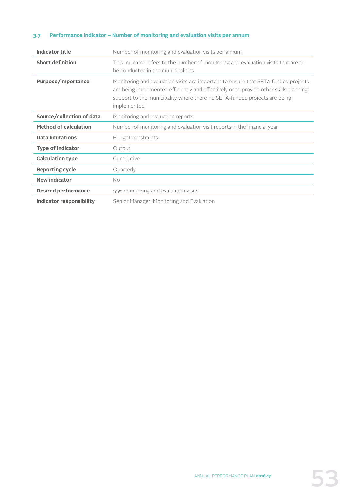#### **3.7 Performance indicator – Number of monitoring and evaluation visits per annum**

| <b>Indicator title</b>       | Number of monitoring and evaluation visits per annum                                                                                                                                                                                                                    |
|------------------------------|-------------------------------------------------------------------------------------------------------------------------------------------------------------------------------------------------------------------------------------------------------------------------|
| <b>Short definition</b>      | This indicator refers to the number of monitoring and evaluation visits that are to<br>be conducted in the municipalities                                                                                                                                               |
| Purpose/importance           | Monitoring and evaluation visits are important to ensure that SETA funded projects<br>are being implemented efficiently and effectively or to provide other skills planning<br>support to the municipality where there no SETA-funded projects are being<br>implemented |
| Source/collection of data    | Monitoring and evaluation reports                                                                                                                                                                                                                                       |
| <b>Method of calculation</b> | Number of monitoring and evaluation visit reports in the financial year                                                                                                                                                                                                 |
| <b>Data limitations</b>      | Budget constraints                                                                                                                                                                                                                                                      |
| <b>Type of indicator</b>     | Output                                                                                                                                                                                                                                                                  |
| <b>Calculation type</b>      | Cumulative                                                                                                                                                                                                                                                              |
| <b>Reporting cycle</b>       | Quarterly                                                                                                                                                                                                                                                               |
| <b>New indicator</b>         | No.                                                                                                                                                                                                                                                                     |
| <b>Desired performance</b>   | 556 monitoring and evaluation visits                                                                                                                                                                                                                                    |
| Indicator responsibility     | Senior Manager: Monitoring and Evaluation                                                                                                                                                                                                                               |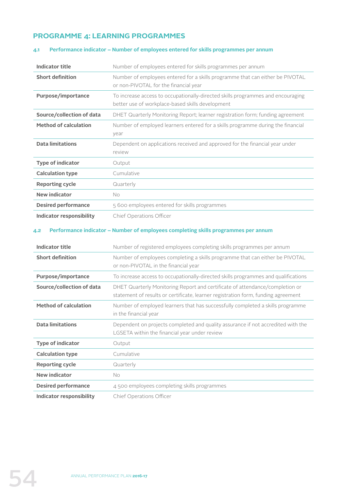#### **PROGRAMME 4: LEARNING PROGRAMMES**

# **Indicator title** Number of employees entered for skills programmes per annum **Short definition** Number of employees entered for a skills programme that can either be PIVOTAL or non-PIVOTAL for the financial year **Purpose/importance** To increase access to occupationally-directed skills programmes and encouraging better use of workplace-based skills development **Source/collection of data** DHET Quarterly Monitoring Report; learner registration form; funding agreement **Method of calculation** Number of employed learners entered for a skills programme during the financial year **Data limitations** Dependent on applications received and approved for the financial year under review **Type of indicator** Output **Calculation type Cumulative Reporting cycle** Quarterly **New indicator** No **Desired performance** 5 600 employees entered for skills programmes **Indicator responsibility** Chief Operations Officer

#### **4.1 Performance indicator – Number of employees entered for skills programmes per annum**

#### **4.2 Performance indicator – Number of employees completing skills programmes per annum**

| Indicator title                 | Number of registered employees completing skills programmes per annum                                                                                             |
|---------------------------------|-------------------------------------------------------------------------------------------------------------------------------------------------------------------|
| <b>Short definition</b>         | Number of employees completing a skills programme that can either be PIVOTAL<br>or non-PIVOTAL in the financial year                                              |
| Purpose/importance              | To increase access to occupationally-directed skills programmes and qualifications                                                                                |
| Source/collection of data       | DHET Quarterly Monitoring Report and certificate of attendance/completion or<br>statement of results or certificate, learner registration form, funding agreement |
| <b>Method of calculation</b>    | Number of employed learners that has successfully completed a skills programme<br>in the financial year                                                           |
| <b>Data limitations</b>         | Dependent on projects completed and quality assurance if not accredited with the<br>LGSETA within the financial year under review                                 |
| <b>Type of indicator</b>        | Output                                                                                                                                                            |
| <b>Calculation type</b>         | Cumulative                                                                                                                                                        |
| <b>Reporting cycle</b>          | Quarterly                                                                                                                                                         |
| New indicator                   | No.                                                                                                                                                               |
| <b>Desired performance</b>      | 4 500 employees completing skills programmes                                                                                                                      |
| <b>Indicator responsibility</b> | Chief Operations Officer                                                                                                                                          |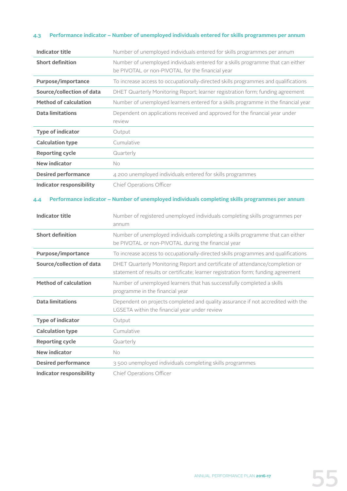#### **4.3 Performance indicator – Number of unemployed individuals entered for skills programmes per annum**

| <b>Indicator title</b>          | Number of unemployed individuals entered for skills programmes per annum                                                                                          |
|---------------------------------|-------------------------------------------------------------------------------------------------------------------------------------------------------------------|
| <b>Short definition</b>         | Number of unemployed individuals entered for a skills programme that can either<br>be PIVOTAL or non-PIVOTAL for the financial year                               |
| <b>Purpose/importance</b>       | To increase access to occupationally-directed skills programmes and qualifications                                                                                |
| Source/collection of data       | DHET Quarterly Monitoring Report; learner registration form; funding agreement                                                                                    |
| <b>Method of calculation</b>    | Number of unemployed learners entered for a skills programme in the financial year                                                                                |
| <b>Data limitations</b>         | Dependent on applications received and approved for the financial year under<br>review                                                                            |
| <b>Type of indicator</b>        | Output                                                                                                                                                            |
| <b>Calculation type</b>         | Cumulative                                                                                                                                                        |
| <b>Reporting cycle</b>          | Quarterly                                                                                                                                                         |
| <b>New indicator</b>            | No.                                                                                                                                                               |
| <b>Desired performance</b>      | 4 200 unemployed individuals entered for skills programmes                                                                                                        |
| <b>Indicator responsibility</b> | Chief Operations Officer                                                                                                                                          |
|                                 |                                                                                                                                                                   |
|                                 |                                                                                                                                                                   |
| <b>Indicator title</b>          | Number of registered unemployed individuals completing skills programmes per<br>annum                                                                             |
| <b>Short definition</b>         | Number of unemployed individuals completing a skills programme that can either<br>be PIVOTAL or non-PIVOTAL during the financial year                             |
| Purpose/importance              | To increase access to occupationally-directed skills programmes and qualifications                                                                                |
| Source/collection of data       | DHET Quarterly Monitoring Report and certificate of attendance/completion or<br>statement of results or certificate; learner registration form; funding agreement |
| <b>Method of calculation</b>    | Number of unemployed learners that has successfully completed a skills<br>programme in the financial year                                                         |
| <b>Data limitations</b>         | Dependent on projects completed and quality assurance if not accredited with the<br>LGSETA within the financial year under review                                 |
| <b>Type of indicator</b>        | Output                                                                                                                                                            |
| <b>Calculation type</b>         | Cumulative                                                                                                                                                        |
| <b>Reporting cycle</b>          | Quarterly                                                                                                                                                         |
| <b>New indicator</b>            | No                                                                                                                                                                |
| <b>Desired performance</b>      | 3500 unemployed individuals completing skills programmes                                                                                                          |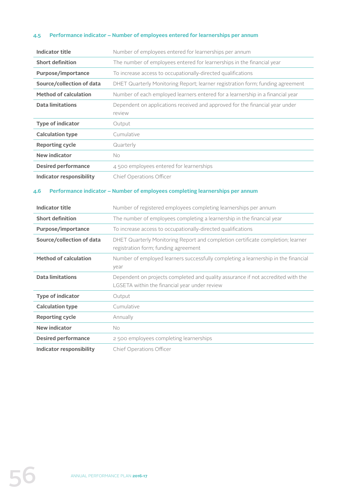#### **4.5 Performance indicator – Number of employees entered for learnerships per annum**

| <b>Indicator title</b>          | Number of employees entered for learnerships per annum                                 |
|---------------------------------|----------------------------------------------------------------------------------------|
| <b>Short definition</b>         | The number of employees entered for learnerships in the financial year                 |
| Purpose/importance              | To increase access to occupationally-directed qualifications                           |
| Source/collection of data       | DHET Quarterly Monitoring Report; learner registration form; funding agreement         |
| <b>Method of calculation</b>    | Number of each employed learners entered for a learnership in a financial year         |
| <b>Data limitations</b>         | Dependent on applications received and approved for the financial year under<br>review |
| <b>Type of indicator</b>        | Output                                                                                 |
| <b>Calculation type</b>         | Cumulative                                                                             |
| <b>Reporting cycle</b>          | Quarterly                                                                              |
| <b>New indicator</b>            | <b>No</b>                                                                              |
| <b>Desired performance</b>      | 4500 employees entered for learnerships                                                |
| <b>Indicator responsibility</b> | Chief Operations Officer                                                               |

#### **4.6 Performance indicator – Number of employees completing learnerships per annum**

| <b>Indicator title</b>       | Number of registered employees completing learnerships per annum                                                                  |
|------------------------------|-----------------------------------------------------------------------------------------------------------------------------------|
| <b>Short definition</b>      | The number of employees completing a learnership in the financial year                                                            |
| Purpose/importance           | To increase access to occupationally-directed qualifications                                                                      |
| Source/collection of data    | DHET Quarterly Monitoring Report and completion certificate completion; learner<br>registration form; funding agreement           |
| <b>Method of calculation</b> | Number of employed learners successfully completing a learnership in the financial<br>year                                        |
| <b>Data limitations</b>      | Dependent on projects completed and quality assurance if not accredited with the<br>LGSETA within the financial year under review |
| <b>Type of indicator</b>     | Output                                                                                                                            |
| <b>Calculation type</b>      | Cumulative                                                                                                                        |
| <b>Reporting cycle</b>       | Annually                                                                                                                          |
| New indicator                | No.                                                                                                                               |
| <b>Desired performance</b>   | 2500 employees completing learnerships                                                                                            |
| Indicator responsibility     | Chief Operations Officer                                                                                                          |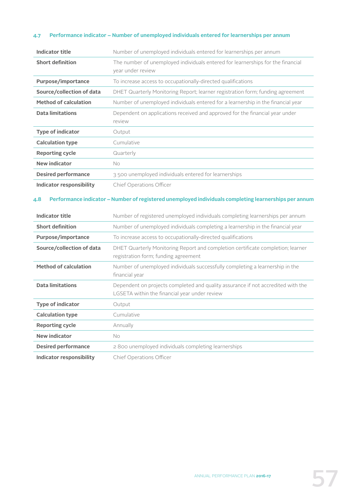#### **4.7 Performance indicator – Number of unemployed individuals entered for learnerships per annum**

| Indicator title              | Number of unemployed individuals entered for learnerships per annum                                  |
|------------------------------|------------------------------------------------------------------------------------------------------|
| <b>Short definition</b>      | The number of unemployed individuals entered for learnerships for the financial<br>year under review |
| Purpose/importance           | To increase access to occupationally-directed qualifications                                         |
| Source/collection of data    | DHET Quarterly Monitoring Report; learner registration form; funding agreement                       |
| <b>Method of calculation</b> | Number of unemployed individuals entered for a learnership in the financial year                     |
| <b>Data limitations</b>      | Dependent on applications received and approved for the financial year under<br>review               |
| <b>Type of indicator</b>     | Output                                                                                               |
| <b>Calculation type</b>      | Cumulative                                                                                           |
| <b>Reporting cycle</b>       | Quarterly                                                                                            |
| <b>New indicator</b>         | No.                                                                                                  |
| <b>Desired performance</b>   | 3500 unemployed individuals entered for learnerships                                                 |
| Indicator responsibility     | Chief Operations Officer                                                                             |

#### **4.8 Performance indicator – Number of registered unemployed individuals completing learnerships per annum**

| <b>Indicator title</b>       | Number of registered unemployed individuals completing learnerships per annum                                                     |
|------------------------------|-----------------------------------------------------------------------------------------------------------------------------------|
| <b>Short definition</b>      | Number of unemployed individuals completing a learnership in the financial year                                                   |
| Purpose/importance           | To increase access to occupationally-directed qualifications                                                                      |
| Source/collection of data    | DHET Quarterly Monitoring Report and completion certificate completion; learner<br>registration form; funding agreement           |
| <b>Method of calculation</b> | Number of unemployed individuals successfully completing a learnership in the<br>financial year                                   |
| <b>Data limitations</b>      | Dependent on projects completed and quality assurance if not accredited with the<br>LGSETA within the financial year under review |
| <b>Type of indicator</b>     | Output                                                                                                                            |
| <b>Calculation type</b>      | Cumulative                                                                                                                        |
| <b>Reporting cycle</b>       | Annually                                                                                                                          |
| <b>New indicator</b>         | No                                                                                                                                |
| <b>Desired performance</b>   | 2800 unemployed individuals completing learnerships                                                                               |
| Indicator responsibility     | Chief Operations Officer                                                                                                          |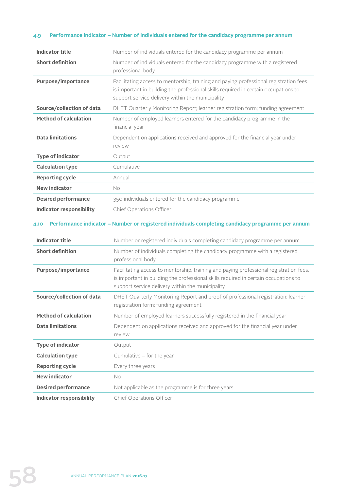#### **4.9 Performance indicator – Number of individuals entered for the candidacy programme per annum**

| <b>Indicator title</b>          | Number of individuals entered for the candidacy programme per annum                                                                                                                                                               |
|---------------------------------|-----------------------------------------------------------------------------------------------------------------------------------------------------------------------------------------------------------------------------------|
| <b>Short definition</b>         | Number of individuals entered for the candidacy programme with a registered<br>professional body                                                                                                                                  |
| Purpose/importance              | Facilitating access to mentorship, training and paying professional registration fees<br>is important in building the professional skills required in certain occupations to<br>support service delivery within the municipality  |
| Source/collection of data       | DHET Quarterly Monitoring Report; learner registration form; funding agreement                                                                                                                                                    |
| <b>Method of calculation</b>    | Number of employed learners entered for the candidacy programme in the<br>financial year                                                                                                                                          |
| <b>Data limitations</b>         | Dependent on applications received and approved for the financial year under<br>review                                                                                                                                            |
| <b>Type of indicator</b>        | Output                                                                                                                                                                                                                            |
| <b>Calculation type</b>         | Cumulative                                                                                                                                                                                                                        |
| <b>Reporting cycle</b>          | Annual                                                                                                                                                                                                                            |
| <b>New indicator</b>            | No                                                                                                                                                                                                                                |
| <b>Desired performance</b>      | 350 individuals entered for the candidacy programme                                                                                                                                                                               |
| <b>Indicator responsibility</b> | Chief Operations Officer                                                                                                                                                                                                          |
| 4.10                            | Performance indicator - Number or registered individuals completing candidacy programme per annum                                                                                                                                 |
| <b>Indicator title</b>          | Number or registered individuals completing candidacy programme per annum                                                                                                                                                         |
| <b>Short definition</b>         | Number of individuals completing the candidacy programme with a registered<br>professional body                                                                                                                                   |
| Purpose/importance              | Facilitating access to mentorship, training and paying professional registration fees,<br>is important in building the professional skills required in certain occupations to<br>support service delivery within the municipality |
| Source/collection of data       | DHET Quarterly Monitoring Report and proof of professional registration; learner<br>registration form; funding agreement                                                                                                          |
| <b>Method of calculation</b>    | Number of employed learners successfully registered in the financial year                                                                                                                                                         |
| <b>Data limitations</b>         | Dependent on applications received and approved for the financial year under<br>review                                                                                                                                            |
| <b>Type of indicator</b>        | Output                                                                                                                                                                                                                            |
| <b>Calculation type</b>         | Cumulative - for the year                                                                                                                                                                                                         |
| <b>Reporting cycle</b>          | Every three years                                                                                                                                                                                                                 |
| <b>New indicator</b>            | No                                                                                                                                                                                                                                |
| <b>Desired performance</b>      | Not applicable as the programme is for three years                                                                                                                                                                                |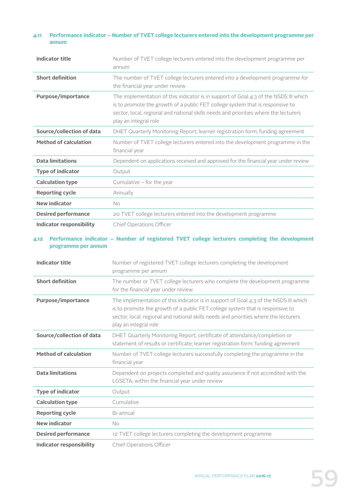#### **4.11 Performance indicator – Number of TVET college lecturers entered into the development programme per annum**

| Indicator title                 | Number of TVET college lecturers entered into the development programme per<br>annum                                                                                                                                                                                                     |
|---------------------------------|------------------------------------------------------------------------------------------------------------------------------------------------------------------------------------------------------------------------------------------------------------------------------------------|
| <b>Short definition</b>         | The number of TVET college lecturers entered into a development programme for<br>the financial year under review                                                                                                                                                                         |
| <b>Purpose/importance</b>       | The implementation of this indicator is in support of Goal $4.3$ of the NSDS III which<br>is to promote the growth of a public FET college system that is responsive to<br>sector, local, regional and national skills needs and priorities where the lecturers<br>play an integral role |
| Source/collection of data       | DHET Quarterly Monitoring Report; learner registration form; funding agreement                                                                                                                                                                                                           |
| <b>Method of calculation</b>    | Number of TVET college lecturers entered into the development programme in the<br>financial year                                                                                                                                                                                         |
| <b>Data limitations</b>         | Dependent on applications received and approved for the financial year under review                                                                                                                                                                                                      |
| <b>Type of indicator</b>        | Output                                                                                                                                                                                                                                                                                   |
| <b>Calculation type</b>         | Cumulative - for the year                                                                                                                                                                                                                                                                |
| <b>Reporting cycle</b>          | Annually                                                                                                                                                                                                                                                                                 |
| New indicator                   | No                                                                                                                                                                                                                                                                                       |
| <b>Desired performance</b>      | 20 TVET college lecturers entered into the development programme                                                                                                                                                                                                                         |
| <b>Indicator responsibility</b> | Chief Operations Officer                                                                                                                                                                                                                                                                 |

#### **4.12 Performance indicator – Number of registered TVET college lecturers completing the development programme per annum**

| <b>Indicator title</b>          | Number of registered TVET college lecturers completing the development<br>programme per annum                                                                                                                                                                                          |
|---------------------------------|----------------------------------------------------------------------------------------------------------------------------------------------------------------------------------------------------------------------------------------------------------------------------------------|
| <b>Short definition</b>         | The number or TVET college lecturers who complete the development programme<br>for the financial year under review                                                                                                                                                                     |
| Purpose/importance              | The implementation of this indicator is in support of Goal 4.3 of the NSDS III which<br>is to promote the growth of a public FET college system that is responsive to<br>sector, local, regional and national skills needs and priorities where the lecturers<br>play an integral role |
| Source/collection of data       | DHET Quarterly Monitoring Report; certificate of attendance/completion or<br>statement of results or certificate; learner registration form; funding agreement                                                                                                                         |
| <b>Method of calculation</b>    | Number of TVET college lecturers successfully completing the programme in the<br>financial year                                                                                                                                                                                        |
| <b>Data limitations</b>         | Dependent on projects completed and quality assurance if not accredited with the<br>LGSETA, within the financial year under review                                                                                                                                                     |
| <b>Type of indicator</b>        | Output                                                                                                                                                                                                                                                                                 |
| <b>Calculation type</b>         | Cumulative                                                                                                                                                                                                                                                                             |
| <b>Reporting cycle</b>          | Bi-annual                                                                                                                                                                                                                                                                              |
| <b>New indicator</b>            | <b>No</b>                                                                                                                                                                                                                                                                              |
| <b>Desired performance</b>      | 12 TVET college lecturers completing the development programme                                                                                                                                                                                                                         |
| <b>Indicator responsibility</b> | Chief Operations Officer                                                                                                                                                                                                                                                               |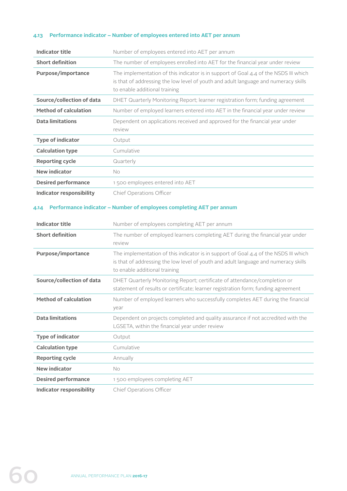#### **4.13 Performance indicator – Number of employees entered into AET per annum**

| <b>Indicator title</b>          | Number of employees entered into AET per annum                                                                                                                                                                 |
|---------------------------------|----------------------------------------------------------------------------------------------------------------------------------------------------------------------------------------------------------------|
| <b>Short definition</b>         | The number of employees enrolled into AET for the financial year under review                                                                                                                                  |
| <b>Purpose/importance</b>       | The implementation of this indicator is in support of Goal $4.4$ of the NSDS III which<br>is that of addressing the low level of youth and adult language and numeracy skills<br>to enable additional training |
| Source/collection of data       | DHET Quarterly Monitoring Report; learner registration form; funding agreement                                                                                                                                 |
| <b>Method of calculation</b>    | Number of employed learners entered into AET in the financial year under review                                                                                                                                |
| <b>Data limitations</b>         | Dependent on applications received and approved for the financial year under<br>review                                                                                                                         |
| <b>Type of indicator</b>        | Output                                                                                                                                                                                                         |
| <b>Calculation type</b>         | Cumulative                                                                                                                                                                                                     |
| <b>Reporting cycle</b>          | Quarterly                                                                                                                                                                                                      |
| <b>New indicator</b>            | No.                                                                                                                                                                                                            |
| <b>Desired performance</b>      | 1500 employees entered into AET                                                                                                                                                                                |
| <b>Indicator responsibility</b> | Chief Operations Officer                                                                                                                                                                                       |

#### **4.14 Performance indicator – Number of employees completing AET per annum**

| <b>Indicator title</b>       | Number of employees completing AET per annum                                                                                                                                                                   |
|------------------------------|----------------------------------------------------------------------------------------------------------------------------------------------------------------------------------------------------------------|
| <b>Short definition</b>      | The number of employed learners completing AET during the financial year under<br>review                                                                                                                       |
| Purpose/importance           | The implementation of this indicator is in support of Goal $4.4$ of the NSDS III which<br>is that of addressing the low level of youth and adult language and numeracy skills<br>to enable additional training |
| Source/collection of data    | DHET Quarterly Monitoring Report; certificate of attendance/completion or<br>statement of results or certificate; learner registration form; funding agreement                                                 |
| <b>Method of calculation</b> | Number of employed learners who successfully completes AET during the financial<br>year                                                                                                                        |
| <b>Data limitations</b>      | Dependent on projects completed and quality assurance if not accredited with the<br>LGSETA, within the financial year under review                                                                             |
| <b>Type of indicator</b>     | Output                                                                                                                                                                                                         |
| <b>Calculation type</b>      | Cumulative                                                                                                                                                                                                     |
| <b>Reporting cycle</b>       | Annually                                                                                                                                                                                                       |
| <b>New indicator</b>         | No.                                                                                                                                                                                                            |
| <b>Desired performance</b>   | 1500 employees completing AET                                                                                                                                                                                  |
| Indicator responsibility     | Chief Operations Officer                                                                                                                                                                                       |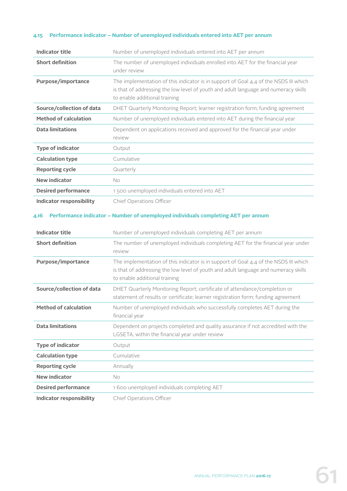#### **4.15 Performance indicator – Number of unemployed individuals entered into AET per annum**

| <b>Indicator title</b>          | Number of unemployed individuals entered into AET per annum                                                                                                                                                  |
|---------------------------------|--------------------------------------------------------------------------------------------------------------------------------------------------------------------------------------------------------------|
| <b>Short definition</b>         | The number of unemployed individuals enrolled into AET for the financial year<br>under review                                                                                                                |
| Purpose/importance              | The implementation of this indicator is in support of Goal 4.4 of the NSDS III which<br>is that of addressing the low level of youth and adult language and numeracy skills<br>to enable additional training |
| Source/collection of data       | DHET Quarterly Monitoring Report; learner registration form; funding agreement                                                                                                                               |
| <b>Method of calculation</b>    | Number of unemployed individuals entered into AET during the financial year                                                                                                                                  |
| <b>Data limitations</b>         | Dependent on applications received and approved for the financial year under<br>review                                                                                                                       |
| <b>Type of indicator</b>        | Output                                                                                                                                                                                                       |
| <b>Calculation type</b>         | Cumulative                                                                                                                                                                                                   |
| <b>Reporting cycle</b>          | Quarterly                                                                                                                                                                                                    |
| <b>New indicator</b>            | <b>No</b>                                                                                                                                                                                                    |
| <b>Desired performance</b>      | 1500 unemployed individuals entered into AET                                                                                                                                                                 |
| <b>Indicator responsibility</b> | Chief Operations Officer                                                                                                                                                                                     |
| 4.16                            | Performance indicator - Number of unemployed individuals completing AET per annum                                                                                                                            |
| <b>Indicator title</b>          | Number of unemployed individuals completing AET per annum                                                                                                                                                    |
| <b>Short definition</b>         | The number of unemployed individuals completing AET for the financial year under<br>review                                                                                                                   |
| Purpose/importance              | The implementation of this indicator is in support of Goal 4.4 of the NSDS III which<br>is that of addressing the low level of youth and adult language and numeracy skills<br>to enable additional training |
| Source/collection of data       | DHET Quarterly Monitoring Report; certificate of attendance/completion or<br>statement of results or certificate; learner registration form; funding agreement                                               |
| <b>Method of calculation</b>    | Number of unemployed individuals who successfully completes AET during the<br>financial year                                                                                                                 |
| <b>Data limitations</b>         | Dependent on projects completed and quality assurance if not accredited with the                                                                                                                             |
|                                 | LGSETA, within the financial year under review                                                                                                                                                               |

**Calculation type Cumulative Reporting cycle** Annually

**Indicator responsibility** Chief Operations Officer

**Desired performance** 1 600 unemployed individuals completing AET

**New indicator** No

61 ANNUAL PERFORMANCE PLAN **2016-17**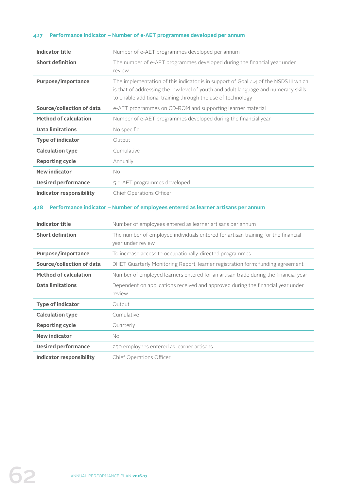#### **4.17 Performance indicator – Number of e-AET programmes developed per annum**

| Indicator title              | Number of e-AET programmes developed per annum                                                                                                                                                                                               |
|------------------------------|----------------------------------------------------------------------------------------------------------------------------------------------------------------------------------------------------------------------------------------------|
| <b>Short definition</b>      | The number of e-AET programmes developed during the financial year under<br>review                                                                                                                                                           |
| Purpose/importance           | The implementation of this indicator is in support of Goal $4.4$ of the NSDS III which<br>is that of addressing the low level of youth and adult language and numeracy skills<br>to enable additional training through the use of technology |
| Source/collection of data    | e-AET programmes on CD-ROM and supporting learner material                                                                                                                                                                                   |
| <b>Method of calculation</b> | Number of e-AET programmes developed during the financial year                                                                                                                                                                               |
| <b>Data limitations</b>      | No specific                                                                                                                                                                                                                                  |
| <b>Type of indicator</b>     | Output                                                                                                                                                                                                                                       |
| <b>Calculation type</b>      | Cumulative                                                                                                                                                                                                                                   |
| <b>Reporting cycle</b>       | Annually                                                                                                                                                                                                                                     |
| <b>New indicator</b>         | <b>No</b>                                                                                                                                                                                                                                    |
| <b>Desired performance</b>   | 5 e-AET programmes developed                                                                                                                                                                                                                 |
| Indicator responsibility     | Chief Operations Officer                                                                                                                                                                                                                     |

#### **4.18 Performance indicator – Number of employees entered as learner artisans per annum**

| Indicator title              | Number of employees entered as learner artisans per annum                                              |
|------------------------------|--------------------------------------------------------------------------------------------------------|
| <b>Short definition</b>      | The number of employed individuals entered for artisan training for the financial<br>year under review |
| Purpose/importance           | To increase access to occupationally-directed programmes                                               |
| Source/collection of data    | DHET Quarterly Monitoring Report; learner registration form; funding agreement                         |
| <b>Method of calculation</b> | Number of employed learners entered for an artisan trade during the financial year                     |
| <b>Data limitations</b>      | Dependent on applications received and approved during the financial year under<br>review              |
| <b>Type of indicator</b>     | Output                                                                                                 |
| <b>Calculation type</b>      | Cumulative                                                                                             |
| <b>Reporting cycle</b>       | Quarterly                                                                                              |
| <b>New indicator</b>         | No.                                                                                                    |
| <b>Desired performance</b>   | 250 employees entered as learner artisans                                                              |
| Indicator responsibility     | Chief Operations Officer                                                                               |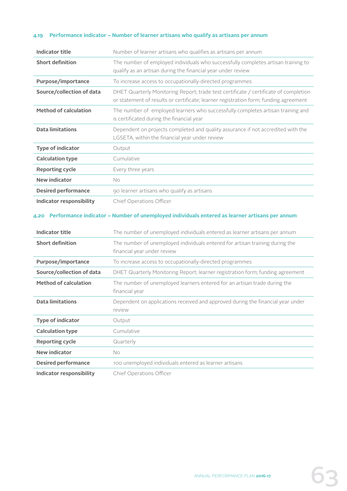#### **4.19 Performance indicator – Number of learner artisans who qualify as artisans per annum**

| <b>Indicator title</b>             | Number of learner artisans who qualifies as artisans per annum                                                                                                               |
|------------------------------------|------------------------------------------------------------------------------------------------------------------------------------------------------------------------------|
| <b>Short definition</b>            | The number of employed individuals who successfully completes artisan training to<br>qualify as an artisan during the financial year under review                            |
| Purpose/importance                 | To increase access to occupationally-directed programmes                                                                                                                     |
| Source/collection of data          | DHET Quarterly Monitoring Report; trade test certificate / certificate of completion<br>or statement of results or certificate; learner registration form; funding agreement |
| <b>Method of calculation</b>       | The number of employed learners who successfully completes artisan training and<br>is certificated during the financial year                                                 |
| <b>Data limitations</b>            | Dependent on projects completed and quality assurance if not accredited with the<br>LGSETA, within the financial year under review                                           |
| <b>Type of indicator</b>           | Output                                                                                                                                                                       |
| <b>Calculation type</b>            | Cumulative                                                                                                                                                                   |
| <b>Reporting cycle</b>             | Every three years                                                                                                                                                            |
| <b>New indicator</b>               | No                                                                                                                                                                           |
| <b>Desired performance</b>         | 90 learner artisans who qualify as artisans                                                                                                                                  |
| <b>Indicator responsibility</b>    | Chief Operations Officer                                                                                                                                                     |
|                                    |                                                                                                                                                                              |
| <b>Indicator title</b>             | Performance indicator - Number of unemployed individuals entered as learner artisans per annum<br>The number of unemployed individuals entered as learner artisans per annum |
| <b>Short definition</b>            | The number of unemployed individuals entered for artisan training during the<br>financial year under review                                                                  |
| Purpose/importance                 | To increase access to occupationally-directed programmes                                                                                                                     |
| Source/collection of data          | DHET Quarterly Monitoring Report; learner registration form; funding agreement                                                                                               |
| <b>Method of calculation</b>       | The number of unemployed learners entered for an artisan trade during the<br>financial year                                                                                  |
| <b>Data limitations</b>            | Dependent on applications received and approved during the financial year under<br>review                                                                                    |
| <b>Type of indicator</b>           | Output                                                                                                                                                                       |
| <b>Calculation type</b>            | Cumulative                                                                                                                                                                   |
| <b>Reporting cycle</b>             | Quarterly                                                                                                                                                                    |
| <b>New indicator</b>               | No                                                                                                                                                                           |
| 4.20<br><b>Desired performance</b> | 100 unemployed individuals entered as learner artisans                                                                                                                       |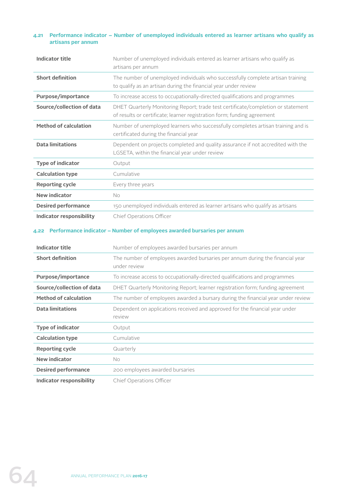#### **4.21 Performance indicator – Number of unemployed individuals entered as learner artisans who qualify as artisans per annum**

| <b>Indicator title</b>       | Number of unemployed individuals entered as learner artisans who qualify as<br>artisans per annum                                                           |
|------------------------------|-------------------------------------------------------------------------------------------------------------------------------------------------------------|
| <b>Short definition</b>      | The number of unemployed individuals who successfully complete artisan training<br>to qualify as an artisan during the financial year under review          |
| Purpose/importance           | To increase access to occupationally-directed qualifications and programmes                                                                                 |
| Source/collection of data    | DHET Quarterly Monitoring Report; trade test certificate/completion or statement<br>of results or certificate; learner registration form; funding agreement |
| <b>Method of calculation</b> | Number of unemployed learners who successfully completes artisan training and is<br>certificated during the financial year                                  |
| <b>Data limitations</b>      | Dependent on projects completed and quality assurance if not accredited with the<br>LGSETA, within the financial year under review                          |
| <b>Type of indicator</b>     | Output                                                                                                                                                      |
| <b>Calculation type</b>      | Cumulative                                                                                                                                                  |
| <b>Reporting cycle</b>       | Every three years                                                                                                                                           |
| <b>New indicator</b>         | No.                                                                                                                                                         |
| <b>Desired performance</b>   | 150 unemployed individuals entered as learner artisans who qualify as artisans                                                                              |
| Indicator responsibility     | Chief Operations Officer                                                                                                                                    |

#### **4.22 Performance indicator – Number of employees awarded bursaries per annum**

| Indicator title              | Number of employees awarded bursaries per annum                                               |
|------------------------------|-----------------------------------------------------------------------------------------------|
| <b>Short definition</b>      | The number of employees awarded bursaries per annum during the financial year<br>under review |
| Purpose/importance           | To increase access to occupationally-directed qualifications and programmes                   |
| Source/collection of data    | DHET Quarterly Monitoring Report; learner registration form; funding agreement                |
| <b>Method of calculation</b> | The number of employees awarded a bursary during the financial year under review              |
| <b>Data limitations</b>      | Dependent on applications received and approved for the financial year under<br>review        |
| <b>Type of indicator</b>     | Output                                                                                        |
| <b>Calculation type</b>      | Cumulative                                                                                    |
| <b>Reporting cycle</b>       | Quarterly                                                                                     |
| New indicator                | No                                                                                            |
| <b>Desired performance</b>   | 200 employees awarded bursaries                                                               |
| Indicator responsibility     | Chief Operations Officer                                                                      |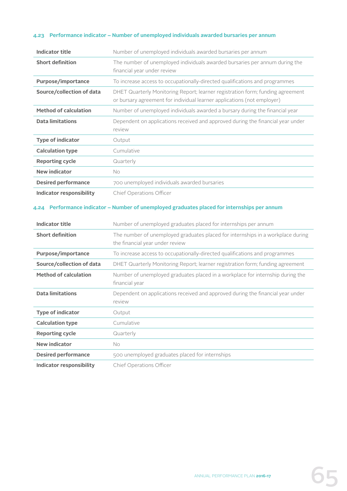#### **4.23 Performance indicator – Number of unemployed individuals awarded bursaries per annum**

| <b>Indicator title</b>       | Number of unemployed individuals awarded bursaries per annum                                                                                              |
|------------------------------|-----------------------------------------------------------------------------------------------------------------------------------------------------------|
| <b>Short definition</b>      | The number of unemployed individuals awarded bursaries per annum during the<br>financial year under review                                                |
| Purpose/importance           | To increase access to occupationally-directed qualifications and programmes                                                                               |
| Source/collection of data    | DHET Quarterly Monitoring Report; learner registration form; funding agreement<br>or bursary agreement for individual learner applications (not employer) |
| <b>Method of calculation</b> | Number of unemployed individuals awarded a bursary during the financial year                                                                              |
| <b>Data limitations</b>      | Dependent on applications received and approved during the financial year under<br>review                                                                 |
| <b>Type of indicator</b>     | Output                                                                                                                                                    |
| <b>Calculation type</b>      | Cumulative                                                                                                                                                |
| <b>Reporting cycle</b>       | Quarterly                                                                                                                                                 |
| <b>New indicator</b>         | <b>No</b>                                                                                                                                                 |
| <b>Desired performance</b>   | 700 unemployed individuals awarded bursaries                                                                                                              |
| Indicator responsibility     | Chief Operations Officer                                                                                                                                  |

#### **4.24 Performance indicator – Number of unemployed graduates placed for internships per annum**

| <b>Indicator title</b>       | Number of unemployed graduates placed for internships per annum                                                    |
|------------------------------|--------------------------------------------------------------------------------------------------------------------|
| <b>Short definition</b>      | The number of unemployed graduates placed for internships in a workplace during<br>the financial year under review |
| Purpose/importance           | To increase access to occupationally-directed qualifications and programmes                                        |
| Source/collection of data    | DHET Quarterly Monitoring Report; learner registration form; funding agreement                                     |
| <b>Method of calculation</b> | Number of unemployed graduates placed in a workplace for internship during the<br>financial year                   |
| <b>Data limitations</b>      | Dependent on applications received and approved during the financial year under<br>review                          |
| <b>Type of indicator</b>     | Output                                                                                                             |
| <b>Calculation type</b>      | Cumulative                                                                                                         |
| <b>Reporting cycle</b>       | Quarterly                                                                                                          |
| <b>New indicator</b>         | No.                                                                                                                |
| <b>Desired performance</b>   | 500 unemployed graduates placed for internships                                                                    |
| Indicator responsibility     | Chief Operations Officer                                                                                           |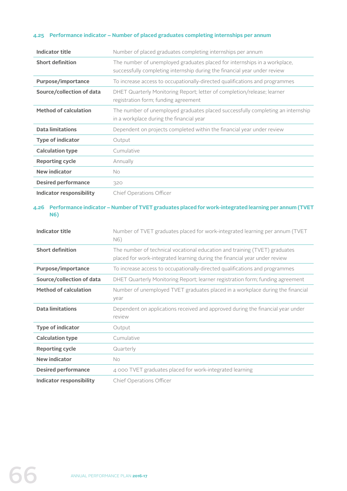#### **4.25 Performance indicator – Number of placed graduates completing internships per annum**

| Indicator title              | Number of placed graduates completing internships per annum                                                                                            |
|------------------------------|--------------------------------------------------------------------------------------------------------------------------------------------------------|
| <b>Short definition</b>      | The number of unemployed graduates placed for internships in a workplace,<br>successfully completing internship during the financial year under review |
| Purpose/importance           | To increase access to occupationally-directed qualifications and programmes                                                                            |
| Source/collection of data    | DHET Quarterly Monitoring Report; letter of completion/release; learner<br>registration form; funding agreement                                        |
| <b>Method of calculation</b> | The number of unemployed graduates placed successfully completing an internship<br>in a workplace during the financial year                            |
| <b>Data limitations</b>      | Dependent on projects completed within the financial year under review                                                                                 |
| <b>Type of indicator</b>     | Output                                                                                                                                                 |
| <b>Calculation type</b>      | Cumulative                                                                                                                                             |
| <b>Reporting cycle</b>       | Annually                                                                                                                                               |
| <b>New indicator</b>         | No.                                                                                                                                                    |
| <b>Desired performance</b>   | 320                                                                                                                                                    |
| Indicator responsibility     | Chief Operations Officer                                                                                                                               |

#### **4.26 Performance indicator – Number of TVET graduates placed for work-integrated learning per annum (TVET N6)**

| <b>Indicator title</b>          | Number of TVET graduates placed for work-integrated learning per annum (TVET<br>N6)                                                                      |
|---------------------------------|----------------------------------------------------------------------------------------------------------------------------------------------------------|
| <b>Short definition</b>         | The number of technical vocational education and training (TVET) graduates<br>placed for work-integrated learning during the financial year under review |
| Purpose/importance              | To increase access to occupationally-directed qualifications and programmes                                                                              |
| Source/collection of data       | DHET Quarterly Monitoring Report; learner registration form; funding agreement                                                                           |
| <b>Method of calculation</b>    | Number of unemployed TVET graduates placed in a workplace during the financial<br>year                                                                   |
| <b>Data limitations</b>         | Dependent on applications received and approved during the financial year under<br>review                                                                |
| <b>Type of indicator</b>        | Output                                                                                                                                                   |
| <b>Calculation type</b>         | Cumulative                                                                                                                                               |
| <b>Reporting cycle</b>          | Quarterly                                                                                                                                                |
| <b>New indicator</b>            | <b>No</b>                                                                                                                                                |
| <b>Desired performance</b>      | 4 000 TVET graduates placed for work-integrated learning                                                                                                 |
| <b>Indicator responsibility</b> | Chief Operations Officer                                                                                                                                 |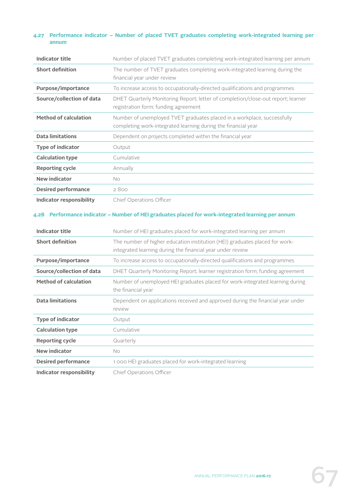#### **4.27 Performance indicator – Number of placed TVET graduates completing work-integrated learning per annum**

| <b>Indicator title</b>       | Number of placed TVET graduates completing work-integrated learning per annum                                                            |
|------------------------------|------------------------------------------------------------------------------------------------------------------------------------------|
| <b>Short definition</b>      | The number of TVET graduates completing work-integrated learning during the<br>financial year under review                               |
| Purpose/importance           | To increase access to occupationally-directed qualifications and programmes                                                              |
| Source/collection of data    | DHET Quarterly Monitoring Report; letter of completion/close-out report; learner<br>registration form; funding agreement                 |
| <b>Method of calculation</b> | Number of unemployed TVET graduates placed in a workplace, successfully<br>completing work-integrated learning during the financial year |
| <b>Data limitations</b>      | Dependent on projects completed within the financial year                                                                                |
| <b>Type of indicator</b>     | Output                                                                                                                                   |
| <b>Calculation type</b>      | Cumulative                                                                                                                               |
| <b>Reporting cycle</b>       | Annually                                                                                                                                 |
| <b>New indicator</b>         | <b>No</b>                                                                                                                                |
| <b>Desired performance</b>   | 2800                                                                                                                                     |
| Indicator responsibility     | Chief Operations Officer                                                                                                                 |

#### **4.28 Performance indicator – Number of HEI graduates placed for work-integrated learning per annum**

| <b>Indicator title</b>       | Number of HEI graduates placed for work-integrated learning per annum                                                                     |
|------------------------------|-------------------------------------------------------------------------------------------------------------------------------------------|
| <b>Short definition</b>      | The number of higher education institution (HEI) graduates placed for work-<br>integrated learning during the financial year under review |
| Purpose/importance           | To increase access to occupationally-directed qualifications and programmes                                                               |
| Source/collection of data    | DHET Quarterly Monitoring Report; learner registration form; funding agreement                                                            |
| <b>Method of calculation</b> | Number of unemployed HEI graduates placed for work-integrated learning during<br>the financial year                                       |
| <b>Data limitations</b>      | Dependent on applications received and approved during the financial year under<br>review                                                 |
| <b>Type of indicator</b>     | Output                                                                                                                                    |
| <b>Calculation type</b>      | Cumulative                                                                                                                                |
| <b>Reporting cycle</b>       | Quarterly                                                                                                                                 |
| <b>New indicator</b>         | No.                                                                                                                                       |
| <b>Desired performance</b>   | 1 000 HEI graduates placed for work-integrated learning                                                                                   |
| Indicator responsibility     | Chief Operations Officer                                                                                                                  |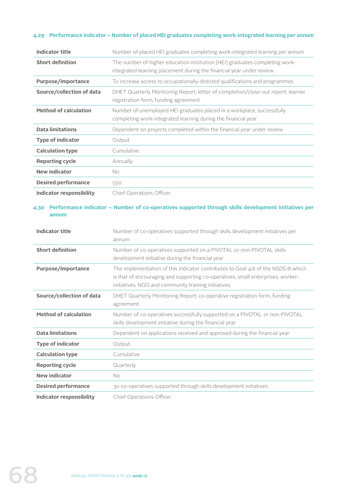#### **4.29 Performance indicator – Number of placed HEI graduates completing work-integrated learning per annum**

| <b>Indicator title</b>          | Number of placed HEI graduates completing work-integrated learning per annum                                                                                                                                                 |
|---------------------------------|------------------------------------------------------------------------------------------------------------------------------------------------------------------------------------------------------------------------------|
| <b>Short definition</b>         | The number of higher education institution (HEI) graduates completing work-<br>integrated learning placement during the financial year under review                                                                          |
| <b>Purpose/importance</b>       | To increase access to occupationally-directed qualifications and programmes                                                                                                                                                  |
| Source/collection of data       | DHET Quarterly Monitoring Report; letter of completion/close-out report; learner<br>registration form; funding agreement                                                                                                     |
| <b>Method of calculation</b>    | Number of unemployed HEI graduates placed in a workplace, successfully<br>completing work-integrated learning during the financial year                                                                                      |
| <b>Data limitations</b>         | Dependent on projects completed within the financial year under review                                                                                                                                                       |
| <b>Type of indicator</b>        | Output                                                                                                                                                                                                                       |
| <b>Calculation type</b>         | Cumulative                                                                                                                                                                                                                   |
| <b>Reporting cycle</b>          | Annually                                                                                                                                                                                                                     |
| <b>New indicator</b>            | <b>No</b>                                                                                                                                                                                                                    |
| <b>Desired performance</b>      | 550                                                                                                                                                                                                                          |
| <b>Indicator responsibility</b> | Chief Operations Officer                                                                                                                                                                                                     |
| 4.30<br>annum                   | Performance indicator - Number of co-operatives supported through skills development initiatives per                                                                                                                         |
| <b>Indicator title</b>          | Number of co-operatives supported through skills development initiatives per<br>annum                                                                                                                                        |
|                                 |                                                                                                                                                                                                                              |
| <b>Short definition</b>         | Number of co-operatives supported on a PIVOTAL or non-PIVOTAL skills<br>development initiative during the financial year                                                                                                     |
| Purpose/importance              | The implementation of this indicator contributes to Goal 4.6 of the NSDS III which<br>is that of encouraging and supporting co-operatives, small enterprises, worker-<br>initiatives, NGO and community training initiatives |
| Source/collection of data       | DHET Quarterly Monitoring Report; co-operative registration form; funding<br>agreement                                                                                                                                       |
| <b>Method of calculation</b>    | Number of co-operatives successfully supported on a PIVOTAL or non-PIVOTAL<br>skills development initiative during the financial year                                                                                        |
| <b>Data limitations</b>         | Dependent on applications received and approved during the financial year                                                                                                                                                    |
| Type of indicator               | Output                                                                                                                                                                                                                       |
| <b>Calculation type</b>         | Cumulative                                                                                                                                                                                                                   |
| <b>Reporting cycle</b>          | Quarterly                                                                                                                                                                                                                    |
| <b>New indicator</b>            | No                                                                                                                                                                                                                           |
| <b>Desired performance</b>      | 30 co-operatives supported through skills development initiatives                                                                                                                                                            |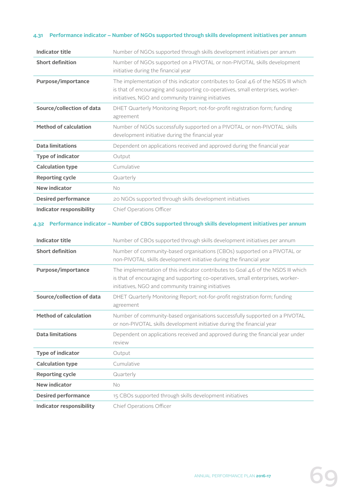## **4.31 Performance indicator – Number of NGOs supported through skills development initiatives per annum**

| <b>Indicator title</b>          | Number of NGOs supported through skills development initiatives per annum                                                                                                                                                    |
|---------------------------------|------------------------------------------------------------------------------------------------------------------------------------------------------------------------------------------------------------------------------|
| <b>Short definition</b>         | Number of NGOs supported on a PIVOTAL or non-PIVOTAL skills development<br>initiative during the financial year                                                                                                              |
| Purpose/importance              | The implementation of this indicator contributes to Goal 4.6 of the NSDS III which<br>is that of encouraging and supporting co-operatives, small enterprises, worker-<br>initiatives, NGO and community training initiatives |
| Source/collection of data       | DHET Quarterly Monitoring Report; not-for-profit registration form; funding<br>agreement                                                                                                                                     |
| <b>Method of calculation</b>    | Number of NGOs successfully supported on a PIVOTAL or non-PIVOTAL skills<br>development initiative during the financial year                                                                                                 |
| <b>Data limitations</b>         | Dependent on applications received and approved during the financial year                                                                                                                                                    |
| <b>Type of indicator</b>        | Output                                                                                                                                                                                                                       |
| <b>Calculation type</b>         | Cumulative                                                                                                                                                                                                                   |
| <b>Reporting cycle</b>          | Quarterly                                                                                                                                                                                                                    |
| <b>New indicator</b>            | No.                                                                                                                                                                                                                          |
| <b>Desired performance</b>      | 20 NGOs supported through skills development initiatives                                                                                                                                                                     |
| <b>Indicator responsibility</b> | Chief Operations Officer                                                                                                                                                                                                     |
| <b>Indicator title</b>          | Number of CBOs supported through skills development initiatives per annum                                                                                                                                                    |
| <b>Short definition</b>         | Number of community-based organisations (CBOs) supported on a PIVOTAL or<br>non-PIVOTAL skills development initiative during the financial year                                                                              |
| Purpose/importance              | The implementation of this indicator contributes to Goal 4.6 of the NSDS III which<br>is that of encouraging and supporting co-operatives, small enterprises, worker-<br>initiatives, NGO and community training initiatives |
| Source/collection of data       | DHET Quarterly Monitoring Report; not-for-profit registration form; funding<br>agreement                                                                                                                                     |
| <b>Method of calculation</b>    | Number of community-based organisations successfully supported on a PIVOTAL<br>or non-PIVOTAL skills development initiative during the financial year                                                                        |
| <b>Data limitations</b>         | Dependent on applications received and approved during the financial year under<br>review                                                                                                                                    |
| <b>Type of indicator</b>        | Output                                                                                                                                                                                                                       |
| <b>Calculation type</b>         | Cumulative                                                                                                                                                                                                                   |
| <b>Reporting cycle</b>          | Quarterly                                                                                                                                                                                                                    |
| <b>New indicator</b>            | No                                                                                                                                                                                                                           |
| <b>Desired performance</b>      | 15 CBOs supported through skills development initiatives                                                                                                                                                                     |
|                                 |                                                                                                                                                                                                                              |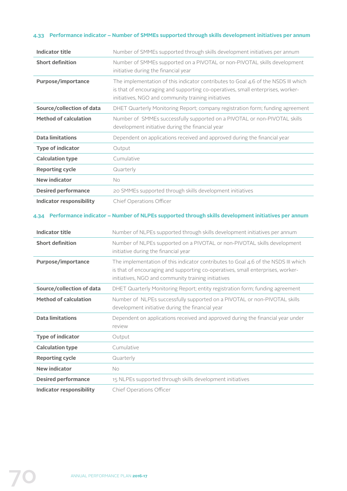## **4.33 Performance indicator – Number of SMMEs supported through skills development initiatives per annum**

| <b>Indicator title</b>          | Number of SMMEs supported through skills development initiatives per annum                                                                                                                                                   |
|---------------------------------|------------------------------------------------------------------------------------------------------------------------------------------------------------------------------------------------------------------------------|
| <b>Short definition</b>         | Number of SMMEs supported on a PIVOTAL or non-PIVOTAL skills development<br>initiative during the financial year                                                                                                             |
| Purpose/importance              | The implementation of this indicator contributes to Goal 4.6 of the NSDS III which<br>is that of encouraging and supporting co-operatives, small enterprises, worker-<br>initiatives, NGO and community training initiatives |
| Source/collection of data       | DHET Quarterly Monitoring Report; company registration form; funding agreement                                                                                                                                               |
| <b>Method of calculation</b>    | Number of SMMEs successfully supported on a PIVOTAL or non-PIVOTAL skills<br>development initiative during the financial year                                                                                                |
| <b>Data limitations</b>         | Dependent on applications received and approved during the financial year                                                                                                                                                    |
| <b>Type of indicator</b>        | Output                                                                                                                                                                                                                       |
| <b>Calculation type</b>         | Cumulative                                                                                                                                                                                                                   |
| <b>Reporting cycle</b>          | Quarterly                                                                                                                                                                                                                    |
| <b>New indicator</b>            | No                                                                                                                                                                                                                           |
| <b>Desired performance</b>      | 20 SMMEs supported through skills development initiatives                                                                                                                                                                    |
| <b>Indicator responsibility</b> | Chief Operations Officer                                                                                                                                                                                                     |
|                                 | 4.34 Performance indicator - Number of NLPEs supported through skills development initiatives per annum                                                                                                                      |
| <b>Indicator title</b>          | Number of NLPEs supported through skills development initiatives per annum                                                                                                                                                   |
| <b>Short definition</b>         | Number of NLPEs supported on a PIVOTAL or non-PIVOTAL skills development<br>initiative during the financial year                                                                                                             |
| Purpose/importance              | The implementation of this indicator contributes to Goal 4.6 of the NSDS III which<br>is that of encouraging and supporting co-operatives, small enterprises, worker-<br>initiatives, NGO and community training initiatives |
| Source/collection of data       | DHET Quarterly Monitoring Report; entity registration form; funding agreement                                                                                                                                                |
| <b>Method of calculation</b>    | Number of NLPEs successfully supported on a PIVOTAL or non-PIVOTAL skills<br>development initiative during the financial year                                                                                                |
| <b>Data limitations</b>         | Dependent on applications received and approved during the financial year under                                                                                                                                              |

| <b>Data limitations</b>    | Dependent on applications received and approved during the financial year under<br>review |
|----------------------------|-------------------------------------------------------------------------------------------|
| <b>Type of indicator</b>   | Output                                                                                    |
| <b>Calculation type</b>    | Cumulative                                                                                |
| <b>Reporting cycle</b>     | Quarterly                                                                                 |
| <b>New indicator</b>       | No                                                                                        |
| <b>Desired performance</b> | 15 NLPEs supported through skills development initiatives                                 |
|                            |                                                                                           |

**Indicator responsibility** Chief Operations Officer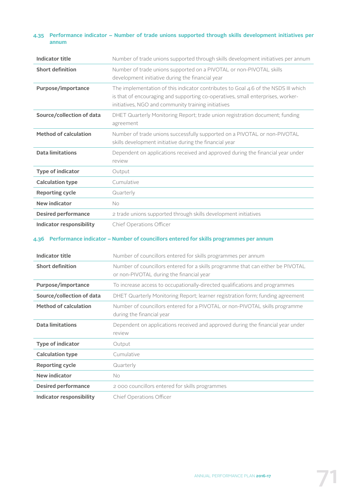### **4.35 Performance indicator – Number of trade unions supported through skills development initiatives per annum**

| Indicator title              | Number of trade unions supported through skills development initiatives per annum                                                                                                                                            |
|------------------------------|------------------------------------------------------------------------------------------------------------------------------------------------------------------------------------------------------------------------------|
| <b>Short definition</b>      | Number of trade unions supported on a PIVOTAL or non-PIVOTAL skills<br>development initiative during the financial year                                                                                                      |
| Purpose/importance           | The implementation of this indicator contributes to Goal 4.6 of the NSDS III which<br>is that of encouraging and supporting co-operatives, small enterprises, worker-<br>initiatives, NGO and community training initiatives |
| Source/collection of data    | DHET Quarterly Monitoring Report; trade union registration document; funding<br>agreement                                                                                                                                    |
| <b>Method of calculation</b> | Number of trade unions successfully supported on a PIVOTAL or non-PIVOTAL<br>skills development initiative during the financial year                                                                                         |
| <b>Data limitations</b>      | Dependent on applications received and approved during the financial year under<br>review                                                                                                                                    |
| <b>Type of indicator</b>     | Output                                                                                                                                                                                                                       |
| <b>Calculation type</b>      | Cumulative                                                                                                                                                                                                                   |
| <b>Reporting cycle</b>       | Quarterly                                                                                                                                                                                                                    |
| <b>New indicator</b>         | No                                                                                                                                                                                                                           |
| <b>Desired performance</b>   | 2 trade unions supported through skills development initiatives                                                                                                                                                              |
| Indicator responsibility     | Chief Operations Officer                                                                                                                                                                                                     |

#### **4.36 Performance indicator – Number of councillors entered for skills programmes per annum**

| Indicator title              | Number of councillors entered for skills programmes per annum                                                               |
|------------------------------|-----------------------------------------------------------------------------------------------------------------------------|
| <b>Short definition</b>      | Number of councillors entered for a skills programme that can either be PIVOTAL<br>or non-PIVOTAL during the financial year |
| Purpose/importance           | To increase access to occupationally-directed qualifications and programmes                                                 |
| Source/collection of data    | DHET Quarterly Monitoring Report; learner registration form; funding agreement                                              |
| <b>Method of calculation</b> | Number of councillors entered for a PIVOTAL or non-PIVOTAL skills programme<br>during the financial year                    |
| <b>Data limitations</b>      | Dependent on applications received and approved during the financial year under<br>review                                   |
| <b>Type of indicator</b>     | Output                                                                                                                      |
| <b>Calculation type</b>      | Cumulative                                                                                                                  |
| <b>Reporting cycle</b>       | Quarterly                                                                                                                   |
| <b>New indicator</b>         | No                                                                                                                          |
| <b>Desired performance</b>   | 2000 councillors entered for skills programmes                                                                              |
| Indicator responsibility     | Chief Operations Officer                                                                                                    |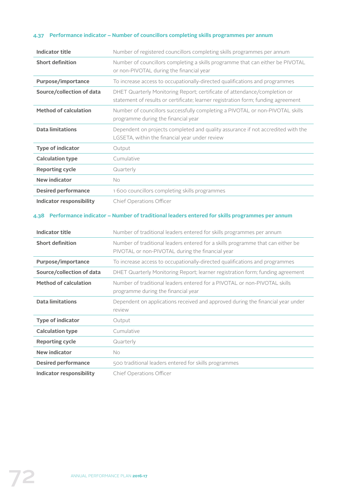# **4.37 Performance indicator – Number of councillors completing skills programmes per annum**

| <b>Indicator title</b>                                    | Number of registered councillors completing skills programmes per annum                                                                                                |
|-----------------------------------------------------------|------------------------------------------------------------------------------------------------------------------------------------------------------------------------|
| <b>Short definition</b>                                   | Number of councillors completing a skills programme that can either be PIVOTAL<br>or non-PIVOTAL during the financial year                                             |
| Purpose/importance                                        | To increase access to occupationally-directed qualifications and programmes                                                                                            |
| Source/collection of data                                 | DHET Quarterly Monitoring Report; certificate of attendance/completion or<br>statement of results or certificate; learner registration form; funding agreement         |
| <b>Method of calculation</b>                              | Number of councillors successfully completing a PIVOTAL or non-PIVOTAL skills<br>programme during the financial year                                                   |
| <b>Data limitations</b>                                   | Dependent on projects completed and quality assurance if not accredited with the<br>LGSETA, within the financial year under review                                     |
| <b>Type of indicator</b>                                  | Output                                                                                                                                                                 |
| <b>Calculation type</b>                                   | Cumulative                                                                                                                                                             |
| <b>Reporting cycle</b>                                    | Quarterly                                                                                                                                                              |
| <b>New indicator</b>                                      | <b>No</b>                                                                                                                                                              |
|                                                           |                                                                                                                                                                        |
| <b>Desired performance</b>                                | 1 600 councillors completing skills programmes                                                                                                                         |
|                                                           | Chief Operations Officer                                                                                                                                               |
| <b>Indicator responsibility</b><br><b>Indicator title</b> | Performance indicator - Number of traditional leaders entered for skills programmes per annum<br>Number of traditional leaders entered for skills programmes per annum |
| <b>Short definition</b>                                   | Number of traditional leaders entered for a skills programme that can either be<br>PIVOTAL or non-PIVOTAL during the financial year                                    |
|                                                           | To increase access to occupationally-directed qualifications and programmes                                                                                            |
| Purpose/importance<br>Source/collection of data           | DHET Quarterly Monitoring Report; learner registration form; funding agreement                                                                                         |
| <b>Method of calculation</b>                              | Number of traditional leaders entered for a PIVOTAL or non-PIVOTAL skills<br>programme during the financial year                                                       |
| <b>Data limitations</b>                                   | Dependent on applications received and approved during the financial year under<br>review                                                                              |
| <b>Type of indicator</b>                                  | Output                                                                                                                                                                 |
| <b>Calculation type</b>                                   | Cumulative                                                                                                                                                             |
| <b>Reporting cycle</b>                                    | Quarterly                                                                                                                                                              |
| <b>New indicator</b>                                      | No                                                                                                                                                                     |
| 4.38<br><b>Desired performance</b>                        | 500 traditional leaders entered for skills programmes                                                                                                                  |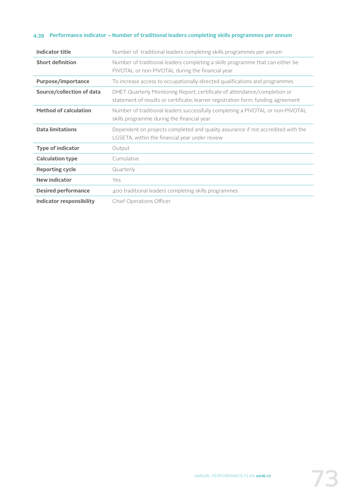## **4.39 Performance indicator – Number of traditional leaders completing skills programmes per annum**

| <b>Indicator title</b>       | Number of traditional leaders completing skills programmes per annum                                                                                           |
|------------------------------|----------------------------------------------------------------------------------------------------------------------------------------------------------------|
| <b>Short definition</b>      | Number of traditional leaders completing a skills programme that can either be<br>PIVOTAL or non-PIVOTAL during the financial year                             |
| Purpose/importance           | To increase access to occupationally-directed qualifications and programmes                                                                                    |
| Source/collection of data    | DHET Quarterly Monitoring Report; certificate of attendance/completion or<br>statement of results or certificate; learner registration form; funding agreement |
| <b>Method of calculation</b> | Number of traditional leaders successfully completing a PIVOTAL or non-PIVOTAL<br>skills programme during the financial year                                   |
| <b>Data limitations</b>      | Dependent on projects completed and quality assurance if not accredited with the<br>LGSETA, within the financial year under review                             |
| <b>Type of indicator</b>     | Output                                                                                                                                                         |
| <b>Calculation type</b>      | Cumulative                                                                                                                                                     |
| <b>Reporting cycle</b>       | Quarterly                                                                                                                                                      |
| <b>New indicator</b>         | Yes                                                                                                                                                            |
| <b>Desired performance</b>   | 400 traditional leaders completing skills programmes                                                                                                           |
| Indicator responsibility     | Chief Operations Officer                                                                                                                                       |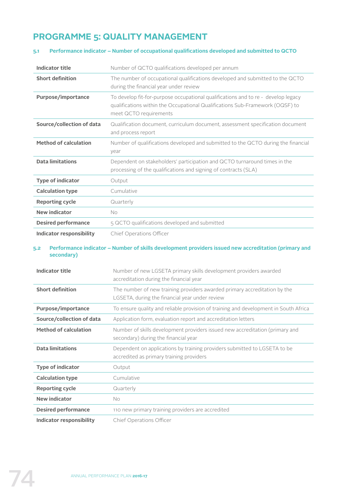# **PROGRAMME 5: QUALITY MANAGEMENT**

# **5.1 Performance indicator – Number of occupational qualifications developed and submitted to QCTO**

| <b>Indicator title</b>       | Number of QCTO qualifications developed per annum                                                                                                                                            |
|------------------------------|----------------------------------------------------------------------------------------------------------------------------------------------------------------------------------------------|
| <b>Short definition</b>      | The number of occupational qualifications developed and submitted to the QCTO<br>during the financial year under review                                                                      |
| Purpose/importance           | To develop fit-for-purpose occupational qualifications and to re - develop legacy<br>qualifications within the Occupational Qualifications Sub-Framework (OQSF) to<br>meet QCTO requirements |
| Source/collection of data    | Qualification document, curriculum document, assessment specification document<br>and process report                                                                                         |
| <b>Method of calculation</b> | Number of qualifications developed and submitted to the QCTO during the financial<br>year                                                                                                    |
| <b>Data limitations</b>      | Dependent on stakeholders' participation and QCTO turnaround times in the<br>processing of the qualifications and signing of contracts (SLA)                                                 |
| <b>Type of indicator</b>     | Output                                                                                                                                                                                       |
| <b>Calculation type</b>      | Cumulative                                                                                                                                                                                   |
| <b>Reporting cycle</b>       | Quarterly                                                                                                                                                                                    |
| <b>New indicator</b>         | No.                                                                                                                                                                                          |
|                              |                                                                                                                                                                                              |
| <b>Desired performance</b>   | 5 QCTO qualifications developed and submitted                                                                                                                                                |

#### **5.2 Performance indicator – Number of skills development providers issued new accreditation (primary and secondary)**

| <b>Indicator title</b>       | Number of new LGSETA primary skills development providers awarded<br>accreditation during the financial year                |
|------------------------------|-----------------------------------------------------------------------------------------------------------------------------|
| <b>Short definition</b>      | The number of new training providers awarded primary accreditation by the<br>LGSETA, during the financial year under review |
| Purpose/importance           | To ensure quality and reliable provision of training and development in South Africa                                        |
| Source/collection of data    | Application form, evaluation report and accreditation letters                                                               |
| <b>Method of calculation</b> | Number of skills development providers issued new accreditation (primary and<br>secondary) during the financial year        |
| <b>Data limitations</b>      | Dependent on applications by training providers submitted to LGSETA to be<br>accredited as primary training providers       |
| <b>Type of indicator</b>     | Output                                                                                                                      |
| <b>Calculation type</b>      | Cumulative                                                                                                                  |
| <b>Reporting cycle</b>       | Quarterly                                                                                                                   |
| <b>New indicator</b>         | No.                                                                                                                         |
| <b>Desired performance</b>   | 110 new primary training providers are accredited                                                                           |
| Indicator responsibility     | <b>Chief Operations Officer</b>                                                                                             |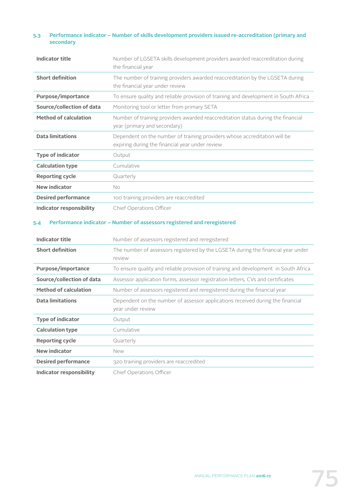## **5.3 Performance indicator – Number of skills development providers issued re-accreditation (primary and secondary**

| <b>Indicator title</b>       | Number of LGSETA skills development providers awarded reaccreditation during<br>the financial year                           |
|------------------------------|------------------------------------------------------------------------------------------------------------------------------|
| <b>Short definition</b>      | The number of training providers awarded reaccreditation by the LGSETA during<br>the financial year under review             |
| Purpose/importance           | To ensure quality and reliable provision of training and development in South Africa                                         |
| Source/collection of data    | Monitoring tool or letter from primary SETA                                                                                  |
| <b>Method of calculation</b> | Number of training providers awarded reaccreditation status during the financial<br>year (primary and secondary)             |
| <b>Data limitations</b>      | Dependent on the number of training providers whose accreditation will be<br>expiring during the financial year under review |
| <b>Type of indicator</b>     | Output                                                                                                                       |
| <b>Calculation type</b>      | Cumulative                                                                                                                   |
| <b>Reporting cycle</b>       | Quarterly                                                                                                                    |
| <b>New indicator</b>         | No.                                                                                                                          |
| <b>Desired performance</b>   | 100 training providers are reaccredited                                                                                      |
| Indicator responsibility     | Chief Operations Officer                                                                                                     |

## **5.4 Performance indicator – Number of assessors registered and reregistered**

| Indicator title              | Number of assessors registered and reregistered                                                     |
|------------------------------|-----------------------------------------------------------------------------------------------------|
| <b>Short definition</b>      | The number of assessors registered by the LGSETA during the financial year under<br>review          |
| Purpose/importance           | To ensure quality and reliable provision of training and development in South Africa                |
| Source/collection of data    | Assessor application forms, assessor registration letters, CVs and certificates                     |
| <b>Method of calculation</b> | Number of assessors registered and reregistered during the financial year                           |
| <b>Data limitations</b>      | Dependent on the number of assessor applications received during the financial<br>year under review |
| <b>Type of indicator</b>     | Output                                                                                              |
| <b>Calculation type</b>      | Cumulative                                                                                          |
| <b>Reporting cycle</b>       | Quarterly                                                                                           |
| <b>New indicator</b>         | New                                                                                                 |
| <b>Desired performance</b>   | 320 training providers are reaccredited                                                             |
| Indicator responsibility     | Chief Operations Officer                                                                            |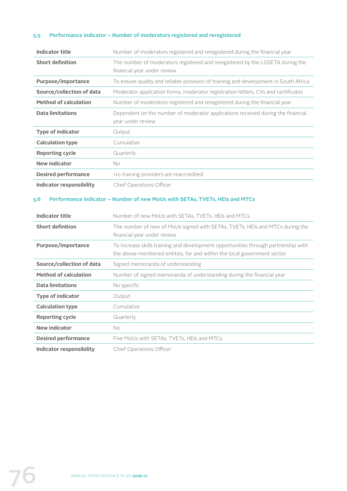# **5.5 Performance indicator – Number of moderators registered and reregistered**

| <b>Indicator title</b>          | Number of moderators registered and reregistered during the financial year                                                                                     |
|---------------------------------|----------------------------------------------------------------------------------------------------------------------------------------------------------------|
| <b>Short definition</b>         | The number of moderators registered and reregistered by the LGSETA during the<br>financial year under review                                                   |
| Purpose/importance              | To ensure quality and reliable provision of training and development in South Africa                                                                           |
| Source/collection of data       | Moderator application forms, moderator registration letters, CVs and certificates                                                                              |
| <b>Method of calculation</b>    | Number of moderators registered and reregistered during the financial year                                                                                     |
| <b>Data limitations</b>         | Dependent on the number of moderator applications received during the financial<br>year under review                                                           |
| <b>Type of indicator</b>        | Output                                                                                                                                                         |
| <b>Calculation type</b>         | Cumulative                                                                                                                                                     |
| <b>Reporting cycle</b>          | Quarterly                                                                                                                                                      |
| <b>New indicator</b>            | No.                                                                                                                                                            |
| <b>Desired performance</b>      | 110 training providers are reaccredited                                                                                                                        |
|                                 | Chief Operations Officer                                                                                                                                       |
| <b>Indicator responsibility</b> |                                                                                                                                                                |
| 5.6<br><b>Indicator title</b>   | Performance indicator - Number of new MoUs with SETAs, TVETs, HEIs and MTCs<br>Number of new MoUs with SETAs, TVETs, HEIs and MTCs                             |
| <b>Short definition</b>         | The number of new of MoUs signed with SETAs, TVETs, HEIs and MTCs during the<br>financial year under review                                                    |
| Purpose/importance              | To increase skills training and development opportunities through partnership with<br>the above-mentioned entities, for and within the local government sector |
| Source/collection of data       | Signed memoranda of understanding                                                                                                                              |
| <b>Method of calculation</b>    | Number of signed memoranda of understanding during the financial year                                                                                          |
| <b>Data limitations</b>         | No specific                                                                                                                                                    |
| <b>Type of indicator</b>        | Output                                                                                                                                                         |
| <b>Calculation type</b>         | Cumulative                                                                                                                                                     |
| <b>Reporting cycle</b>          | Quarterly                                                                                                                                                      |
| <b>New indicator</b>            | No                                                                                                                                                             |
| <b>Desired performance</b>      | Five MoUs with SETAs, TVETs, HEIs and MTCs                                                                                                                     |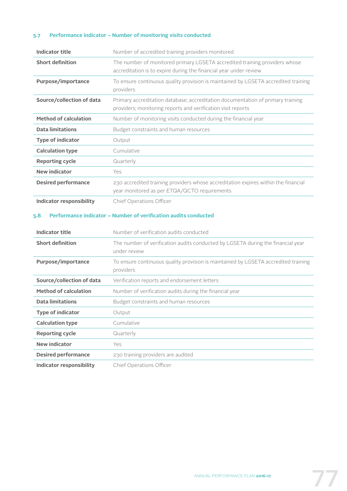## **5.7 Performance indicator – Number of monitoring visits conducted**

| Indicator title              | Number of accredited training providers monitored                                                                                               |
|------------------------------|-------------------------------------------------------------------------------------------------------------------------------------------------|
| <b>Short definition</b>      | The number of monitored primary LGSETA accredited training providers whose<br>accreditation is to expire during the financial year under review |
| Purpose/importance           | To ensure continuous quality provision is maintained by LGSETA accredited training<br>providers                                                 |
| Source/collection of data    | Primary accreditation database; accreditation documentation of primary training<br>providers; monitoring reports and verification visit reports |
| <b>Method of calculation</b> | Number of monitoring visits conducted during the financial year                                                                                 |
| <b>Data limitations</b>      | Budget constraints and human resources                                                                                                          |
| <b>Type of indicator</b>     | Output                                                                                                                                          |
| <b>Calculation type</b>      | Cumulative                                                                                                                                      |
| <b>Reporting cycle</b>       | Quarterly                                                                                                                                       |
| New indicator                | Yes                                                                                                                                             |
| <b>Desired performance</b>   | 230 accredited training providers whose accreditation expires within the financial<br>year monitored as per ETQA/QCTO requirements              |
| Indicator responsibility     | Chief Operations Officer                                                                                                                        |

# **5.8 Performance indicator – Number of verification audits conducted**

| <b>Indicator title</b>       | Number of verification audits conducted                                                         |
|------------------------------|-------------------------------------------------------------------------------------------------|
| <b>Short definition</b>      | The number of verification audits conducted by LGSETA during the financial year<br>under review |
| Purpose/importance           | To ensure continuous quality provision is maintained by LGSETA accredited training<br>providers |
| Source/collection of data    | Verification reports and endorsement letters                                                    |
| <b>Method of calculation</b> | Number of verification audits during the financial year                                         |
| <b>Data limitations</b>      | Budget constraints and human resources                                                          |
| <b>Type of indicator</b>     | Output                                                                                          |
| <b>Calculation type</b>      | Cumulative                                                                                      |
| <b>Reporting cycle</b>       | Quarterly                                                                                       |
| <b>New indicator</b>         | Yes                                                                                             |
| <b>Desired performance</b>   | 230 training providers are audited                                                              |
| Indicator responsibility     | Chief Operations Officer                                                                        |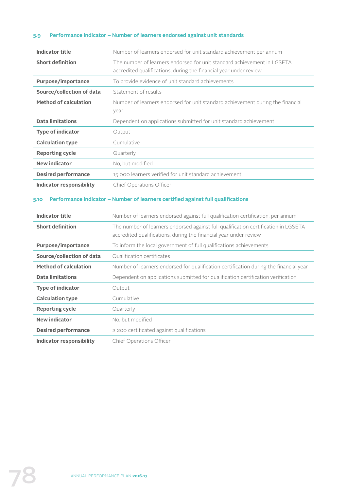# **5.9 Performance indicator – Number of learners endorsed against unit standards**

| <b>Indicator title</b>           | Number of learners endorsed for unit standard achievement per annum                                                                                                 |
|----------------------------------|---------------------------------------------------------------------------------------------------------------------------------------------------------------------|
| <b>Short definition</b>          | The number of learners endorsed for unit standard achievement in LGSETA<br>accredited qualifications, during the financial year under review                        |
| Purpose/importance               | To provide evidence of unit standard achievements                                                                                                                   |
| Source/collection of data        | Statement of results                                                                                                                                                |
| <b>Method of calculation</b>     | Number of learners endorsed for unit standard achievement during the financial<br>year                                                                              |
| <b>Data limitations</b>          | Dependent on applications submitted for unit standard achievement                                                                                                   |
| <b>Type of indicator</b>         | Output                                                                                                                                                              |
| <b>Calculation type</b>          | Cumulative                                                                                                                                                          |
| <b>Reporting cycle</b>           | Quarterly                                                                                                                                                           |
| <b>New indicator</b>             | No, but modified                                                                                                                                                    |
| <b>Desired performance</b>       | 15 000 learners verified for unit standard achievement                                                                                                              |
| <b>Indicator responsibility</b>  | Chief Operations Officer                                                                                                                                            |
|                                  |                                                                                                                                                                     |
| <b>Indicator title</b>           | Performance indicator - Number of learners certified against full qualifications<br>Number of learners endorsed against full qualification certification, per annum |
| <b>Short definition</b>          | The number of learners endorsed against full qualification certification in LGSETA<br>accredited qualifications, during the financial year under review             |
| Purpose/importance               | To inform the local government of full qualifications achievements                                                                                                  |
| Source/collection of data        | Qualification certificates                                                                                                                                          |
| <b>Method of calculation</b>     | Number of learners endorsed for qualification certification during the financial year                                                                               |
| <b>Data limitations</b>          | Dependent on applications submitted for qualification certification verification                                                                                    |
| 5.10<br><b>Type of indicator</b> | Output                                                                                                                                                              |
| <b>Calculation type</b>          | Cumulative                                                                                                                                                          |
| <b>Reporting cycle</b>           | Quarterly                                                                                                                                                           |
| <b>New indicator</b>             | No, but modified                                                                                                                                                    |
| <b>Desired performance</b>       | 2 200 certificated against qualifications                                                                                                                           |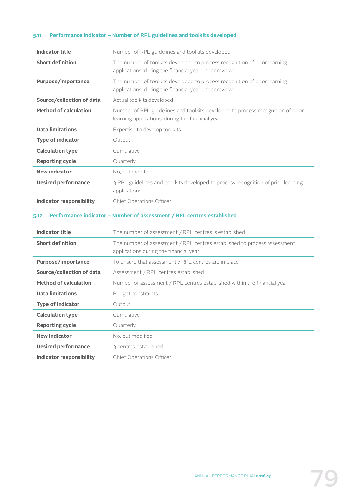## **5.11 Performance indicator – Number of RPL guidelines and toolkits developed**

| <b>Indicator title</b>             | Number of RPL guidelines and toolkits developed                                                                                                                             |
|------------------------------------|-----------------------------------------------------------------------------------------------------------------------------------------------------------------------------|
| <b>Short definition</b>            | The number of toolkits developed to process recognition of prior learning<br>applications, during the financial year under review                                           |
| Purpose/importance                 | The number of toolkits developed to process recognition of prior learning<br>applications, during the financial year under review                                           |
| Source/collection of data          | Actual toolkits developed                                                                                                                                                   |
| <b>Method of calculation</b>       | Number of RPL guidelines and toolkits developed to process recognition of prior<br>learning applications, during the financial year                                         |
| <b>Data limitations</b>            | Expertise to develop toolkits                                                                                                                                               |
| <b>Type of indicator</b>           | Output                                                                                                                                                                      |
| <b>Calculation type</b>            | Cumulative                                                                                                                                                                  |
| <b>Reporting cycle</b>             | Quarterly                                                                                                                                                                   |
| <b>New indicator</b>               | No, but modified                                                                                                                                                            |
| <b>Desired performance</b>         | 3 RPL guidelines and toolkits developed to process recognition of prior learning                                                                                            |
| <b>Indicator responsibility</b>    | applications<br>Chief Operations Officer                                                                                                                                    |
| <b>Indicator title</b>             | Performance indicator - Number of assessment / RPL centres established                                                                                                      |
| <b>Short definition</b>            | The number of assessment / RPL centres is established<br>The number of assessment / RPL centres established to process assessment<br>applications during the financial year |
| Purpose/importance                 | To ensure that assessment / RPL centres are in place                                                                                                                        |
| Source/collection of data          | Assessment / RPL centres established                                                                                                                                        |
| <b>Method of calculation</b>       | Number of assessment / RPL centres established within the financial year                                                                                                    |
| <b>Data limitations</b>            | <b>Budget constraints</b>                                                                                                                                                   |
| <b>Type of indicator</b>           | Output                                                                                                                                                                      |
| <b>Calculation type</b>            | Cumulative                                                                                                                                                                  |
| <b>Reporting cycle</b>             | Quarterly                                                                                                                                                                   |
| <b>New indicator</b>               | No, but modified                                                                                                                                                            |
| 5.12<br><b>Desired performance</b> | 3 centres established                                                                                                                                                       |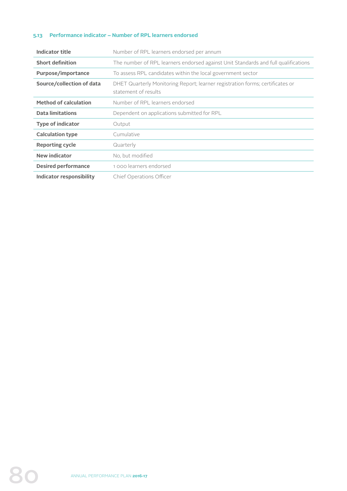## **5.13 Performance indicator – Number of RPL learners endorsed**

| Indicator title              | Number of RPL learners endorsed per annum                                                             |
|------------------------------|-------------------------------------------------------------------------------------------------------|
| <b>Short definition</b>      | The number of RPL learners endorsed against Unit Standards and full qualifications                    |
| Purpose/importance           | To assess RPL candidates within the local government sector                                           |
| Source/collection of data    | DHET Quarterly Monitoring Report; learner registration forms; certificates or<br>statement of results |
| <b>Method of calculation</b> | Number of RPL learners endorsed                                                                       |
| Data limitations             | Dependent on applications submitted for RPL                                                           |
| <b>Type of indicator</b>     | Output                                                                                                |
| <b>Calculation type</b>      | Cumulative                                                                                            |
| <b>Reporting cycle</b>       | Quarterly                                                                                             |
| <b>New indicator</b>         | No, but modified                                                                                      |
| <b>Desired performance</b>   | 1000 learners endorsed                                                                                |
| Indicator responsibility     | Chief Operations Officer                                                                              |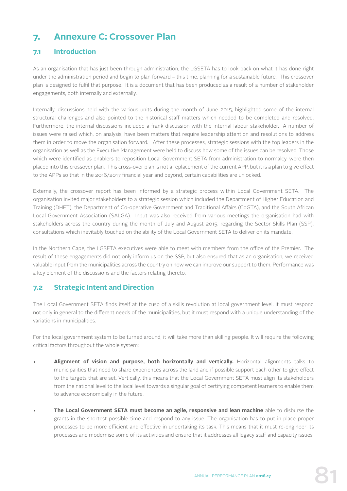# **7. Annexure C: Crossover Plan**

# **7.1 Introduction**

As an organisation that has just been through administration, the LGSETA has to look back on what it has done right under the administration period and begin to plan forward – this time, planning for a sustainable future. This crossover plan is designed to fulfil that purpose. It is a document that has been produced as a result of a number of stakeholder engagements, both internally and externally.

Internally, discussions held with the various units during the month of June 2015, highlighted some of the internal structural challenges and also pointed to the historical staff matters which needed to be completed and resolved. Furthermore, the internal discussions included a frank discussion with the internal labour stakeholder. A number of issues were raised which, on analysis, have been matters that require leadership attention and resolutions to address them in order to move the organisation forward. After these processes, strategic sessions with the top leaders in the organisation as well as the Executive Management were held to discuss how some of the issues can be resolved. Those which were identified as enablers to reposition Local Government SETA from administration to normalcy, were then placed into this crossover plan. This cross-over plan is not a replacement of the current APP, but it is a plan to give effect to the APPs so that in the 2016/2017 financial year and beyond, certain capabilities are unlocked.

Externally, the crossover report has been informed by a strategic process within Local Government SETA. The organisation invited major stakeholders to a strategic session which included the Department of Higher Education and Training (DHET), the Department of Co-operative Government and Traditional Affairs (CoGTA), and the South African Local Government Association (SALGA). Input was also received from various meetings the organisation had with stakeholders across the country during the month of July and August 2015, regarding the Sector Skills Plan (SSP), consultations which inevitably touched on the ability of the Local Government SETA to deliver on its mandate.

In the Northern Cape, the LGSETA executives were able to meet with members from the office of the Premier. The result of these engagements did not only inform us on the SSP, but also ensured that as an organisation, we received valuable input from the municipalities across the country on how we can improve our support to them. Performance was a key element of the discussions and the factors relating thereto.

# **7.2 Strategic Intent and Direction**

The Local Government SETA finds itself at the cusp of a skills revolution at local government level. It must respond not only in general to the different needs of the municipalities, but it must respond with a unique understanding of the variations in municipalities.

For the local government system to be turned around, it will take more than skilling people. It will require the following critical factors throughout the whole system:

- **Alignment of vision and purpose, both horizontally and vertically.** Horizontal alignments talks to municipalities that need to share experiences across the land and if possible support each other to give effect to the targets that are set. Vertically, this means that the Local Government SETA must align its stakeholders from the national level to the local level towards a singular goal of certifying competent learners to enable them to advance economically in the future.
- **The Local Government SETA must become an agile, responsive and lean machine** able to disburse the grants in the shortest possible time and respond to any issue. The organisation has to put in place proper processes to be more efficient and effective in undertaking its task. This means that it must re-engineer its processes and modernise some of its activities and ensure that it addresses all legacy staff and capacity issues.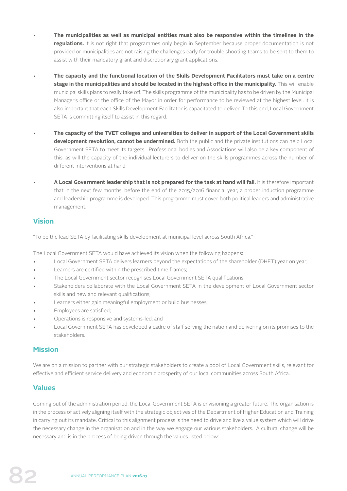- **The municipalities as well as municipal entities must also be responsive within the timelines in the regulations.** It is not right that programmes only begin in September because proper documentation is not provided or municipalities are not raising the challenges early for trouble shooting teams to be sent to them to assist with their mandatory grant and discretionary grant applications.
- **The capacity and the functional location of the Skills Development Facilitators must take on a centre stage in the municipalities and should be located in the highest office in the municipality.** This will enable municipal skills plans to really take off. The skills programme of the municipality has to be driven by the Municipal Manager's office or the office of the Mayor in order for performance to be reviewed at the highest level. It is also important that each Skills Development Facilitator is capacitated to deliver. To this end, Local Government SETA is committing itself to assist in this regard.
- **The capacity of the TVET colleges and universities to deliver in support of the Local Government skills development revolution, cannot be undermined.** Both the public and the private institutions can help Local Government SETA to meet its targets. Professional bodies and Associations will also be a key component of this, as will the capacity of the individual lecturers to deliver on the skills programmes across the number of different interventions at hand.
- **A Local Government leadership that is not prepared for the task at hand will fail.** It is therefore important that in the next few months, before the end of the 2015/2016 financial year, a proper induction programme and leadership programme is developed. This programme must cover both political leaders and administrative management.

# **Vision**

"To be the lead SETA by facilitating skills development at municipal level across South Africa."

The Local Government SETA would have achieved its vision when the following happens:

- Local Government SETA delivers learners beyond the expectations of the shareholder (DHET) year on year;
- Learners are certified within the prescribed time frames;
- The Local Government sector recognises Local Government SETA qualifications;
- Stakeholders collaborate with the Local Government SETA in the development of Local Government sector skills and new and relevant qualifications;
- Learners either gain meaningful employment or build businesses;
- Employees are satisfied;
- Operations is responsive and systems-led; and
- Local Government SETA has developed a cadre of staff serving the nation and delivering on its promises to the stakeholders.

# **Mission**

We are on a mission to partner with our strategic stakeholders to create a pool of Local Government skills, relevant for effective and efficient service delivery and economic prosperity of our local communities across South Africa.

# **Values**

Coming out of the administration period, the Local Government SETA is envisioning a greater future. The organisation is in the process of actively aligning itself with the strategic objectives of the Department of Higher Education and Training in carrying out its mandate. Critical to this alignment process is the need to drive and live a value system which will drive the necessary change in the organisation and in the way we engage our various stakeholders. A cultural change will be necessary and is in the process of being driven through the values listed below: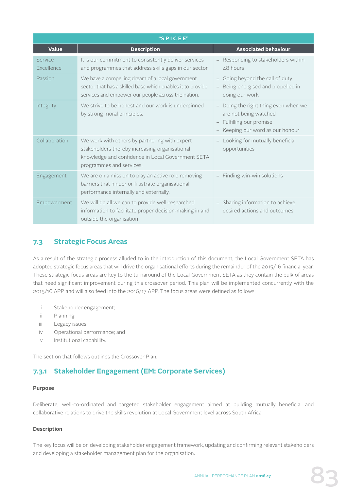|                       | "SPICEE"                                                                                                                                                                         |                                                                                                                           |
|-----------------------|----------------------------------------------------------------------------------------------------------------------------------------------------------------------------------|---------------------------------------------------------------------------------------------------------------------------|
| <b>Value</b>          | <b>Description</b>                                                                                                                                                               | <b>Associated behaviour</b>                                                                                               |
| Service<br>Excellence | It is our commitment to consistently deliver services<br>and programmes that address skills gaps in our sector.                                                                  | Responding to stakeholders within<br>$\Delta$ 8 hours                                                                     |
| Passion               | We have a compelling dream of a local government<br>sector that has a skilled base which enables it to provide<br>services and empower our people across the nation.             | Going beyond the call of duty<br>Being energised and propelled in<br>doing our work                                       |
| Integrity             | We strive to be honest and our work is underpinned<br>by strong moral principles.                                                                                                | Doing the right thing even when we<br>are not being watched<br>- Fulfilling our promise<br>Keeping our word as our honour |
| Collaboration         | We work with others by partnering with expert<br>stakeholders thereby increasing organisational<br>knowledge and confidence in Local Government SETA<br>programmes and services. | Looking for mutually beneficial<br>opportunities                                                                          |
| Engagement            | We are on a mission to play an active role removing<br>barriers that hinder or frustrate organisational<br>performance internally and externally.                                | Finding win-win solutions<br>$\overline{\phantom{a}}$                                                                     |
| Empowerment           | We will do all we can to provide well-researched<br>information to facilitate proper decision-making in and<br>outside the organisation                                          | Sharing information to achieve<br>desired actions and outcomes                                                            |

# **7.3 Strategic Focus Areas**

As a result of the strategic process alluded to in the introduction of this document, the Local Government SETA has adopted strategic focus areas that will drive the organisational efforts during the remainder of the 2015/16 financial year. These strategic focus areas are key to the turnaround of the Local Government SETA as they contain the bulk of areas that need significant improvement during this crossover period. This plan will be implemented concurrently with the 2015/16 APP and will also feed into the 2016/17 APP. The focus areas were defined as follows:

- i. Stakeholder engagement;
- ii. Planning;
- iii. Legacy issues;
- iv. Operational performance; and
- v. Institutional capability.

The section that follows outlines the Crossover Plan.

# **7.3.1 Stakeholder Engagement (EM: Corporate Services)**

#### **Purpose**

Deliberate, well-co-ordinated and targeted stakeholder engagement aimed at building mutually beneficial and collaborative relations to drive the skills revolution at Local Government level across South Africa.

### **Description**

The key focus will be on developing stakeholder engagement framework, updating and confirming relevant stakeholders and developing a stakeholder management plan for the organisation.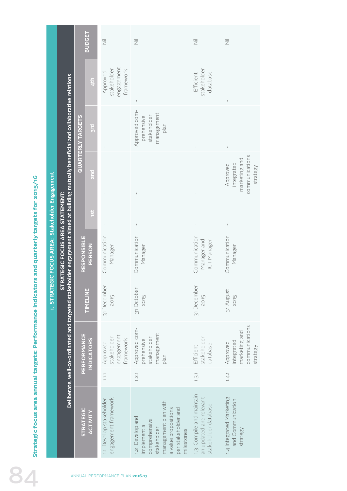|                                                                                               |                                         |                                                                                                                                                                        |                          | <b>BUDGET</b>     | $\overline{\overline{z}}$                          | $\overline{\overline{z}}$                                                                                                                           | $\overline{\overline{z}}$                                                   | 三                                                                     |
|-----------------------------------------------------------------------------------------------|-----------------------------------------|------------------------------------------------------------------------------------------------------------------------------------------------------------------------|--------------------------|-------------------|----------------------------------------------------|-----------------------------------------------------------------------------------------------------------------------------------------------------|-----------------------------------------------------------------------------|-----------------------------------------------------------------------|
|                                                                                               |                                         |                                                                                                                                                                        |                          | 4th               | engagement<br>stakeholder<br>framework<br>Approved |                                                                                                                                                     | stakeholder<br>database<br>Efficient                                        |                                                                       |
|                                                                                               |                                         |                                                                                                                                                                        | <b>QUARTERLY TARGETS</b> | <b>D.IS</b>       |                                                    | Approved com-<br>management<br>stakeholder<br>prehensive<br>plan                                                                                    |                                                                             | $\bar{1}$                                                             |
|                                                                                               |                                         |                                                                                                                                                                        |                          | <b>Pus</b>        |                                                    |                                                                                                                                                     |                                                                             | communications<br>marketing and<br>integrated<br>Approved<br>strategy |
|                                                                                               |                                         |                                                                                                                                                                        |                          | 1st               |                                                    |                                                                                                                                                     |                                                                             |                                                                       |
|                                                                                               | EGIC FOCUS AREA: Stakeholder Engagement | Deliberate, well-co-ordinated and targeted stakeholder engagement aimed at building mutually beneficial and collaborative relations<br>STRATEGIC FOCUS AREA STATEMENT: | <b>RESPONSIBLE</b>       | PERSON            | Communication<br>Manager                           | Communication<br>Manager                                                                                                                            | Communication<br>ICT Manager<br>Manager and                                 | Communication<br>Manager                                              |
|                                                                                               | 1. STRAT                                |                                                                                                                                                                        |                          | TIMELINE          | 31 December<br>2015                                | 31 October<br>2015                                                                                                                                  | 31 December<br>2015                                                         | 31 August<br>2015                                                     |
|                                                                                               |                                         |                                                                                                                                                                        | PERFORMANCE              | <b>INDICATORS</b> | engagement<br>stakeholder<br>framework<br>Approved | Approved com-<br>management<br>stakeholder<br>prehensive<br>plan                                                                                    | stakeholder<br>database<br>Efficient                                        | communications<br>marketing and<br>integrated<br>Approved<br>strategy |
|                                                                                               |                                         |                                                                                                                                                                        |                          |                   | $\overline{1.1}$                                   | 1.2.1                                                                                                                                               | 1.3.1                                                                       | 1.4.1                                                                 |
| Strategic focus area annual targets: Performance indicators and quarterly targets for 2015/16 |                                         |                                                                                                                                                                        | <b>STRATEGIC</b>         | ACTIVITY          | engagement framework<br>1.1 Develop stakeholder    | management plan with<br>a value propositions<br>per stakeholder and<br>1.2 Develop and<br>comprehensive<br>implement a<br>stakeholder<br>milestones | 1.3 Compile and maintain<br>an updated and relevant<br>stakeholder database | 1.4 Integrated Marketing<br>and Communication<br>strategy             |
|                                                                                               |                                         |                                                                                                                                                                        |                          |                   | ANNUAL PERFORMANCE PLAN 2016-17                    |                                                                                                                                                     |                                                                             |                                                                       |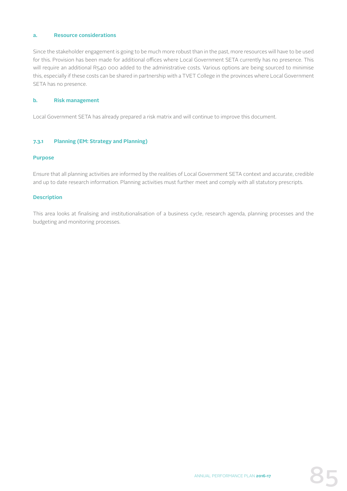## **a. Resource considerations**

Since the stakeholder engagement is going to be much more robust than in the past, more resources will have to be used for this. Provision has been made for additional offices where Local Government SETA currently has no presence. This will require an additional R540 000 added to the administrative costs. Various options are being sourced to minimise this, especially if these costs can be shared in partnership with a TVET College in the provinces where Local Government SETA has no presence.

#### **b. Risk management**

Local Government SETA has already prepared a risk matrix and will continue to improve this document.

#### **7.3.1 Planning (EM: Strategy and Planning)**

#### **Purpose**

Ensure that all planning activities are informed by the realities of Local Government SETA context and accurate, credible and up to date research information. Planning activities must further meet and comply with all statutory prescripts.

#### **Description**

This area looks at finalising and institutionalisation of a business cycle, research agenda, planning processes and the budgeting and monitoring processes.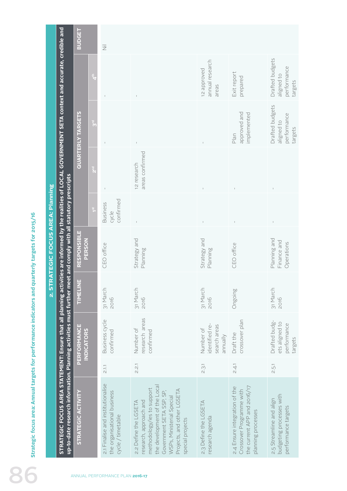|                                   |                                                                                                                                 | <b>BUDGET</b>                    |                  | $\overline{\overline{z}}$                                                             |                                                                                                                                                                                                                          |                                                         |                                                                                                                |                                                                             |
|-----------------------------------|---------------------------------------------------------------------------------------------------------------------------------|----------------------------------|------------------|---------------------------------------------------------------------------------------|--------------------------------------------------------------------------------------------------------------------------------------------------------------------------------------------------------------------------|---------------------------------------------------------|----------------------------------------------------------------------------------------------------------------|-----------------------------------------------------------------------------|
|                                   |                                                                                                                                 |                                  | $\frac{1}{2}$    | $\mathsf I$                                                                           |                                                                                                                                                                                                                          | annual research<br>12 approved<br>areas                 | Exit report<br>prepared                                                                                        | Drafted budgets<br>performance<br>aligned to<br>targets                     |
|                                   |                                                                                                                                 | <b>QUARTERLY TARGETS</b>         | $\overline{S}$   | $\mathsf I$                                                                           |                                                                                                                                                                                                                          |                                                         | approved and<br>implemented<br>Plan                                                                            | Drafted budgets<br>performance<br>aligned to<br>targets                     |
|                                   | ctivities are informed by the realities of LOCAL GOVERNMENT SETA context and accurate, credible and                             |                                  | $\sum_{n=1}^{n}$ | $\mathsf I$                                                                           | areas confirmed<br>12 research                                                                                                                                                                                           |                                                         |                                                                                                                |                                                                             |
|                                   |                                                                                                                                 |                                  | $\frac{6}{3}$    | confirmed<br><b>Business</b><br>cycle                                                 |                                                                                                                                                                                                                          | $\mathsf I$                                             |                                                                                                                |                                                                             |
| 2. STRATEGIC FOCUS AREA: Planning | meet and comply with all statutory prescripts                                                                                   | <b>RESPONSIBLE</b><br>PERSON     |                  | CEO office                                                                            | Strategy and<br>Planning                                                                                                                                                                                                 | Strategy and<br>Planning                                | CEO office                                                                                                     | Planning and<br>Finance and<br>Operations                                   |
|                                   |                                                                                                                                 | TIMELINE                         |                  | 31 March<br>2016                                                                      | 31 March<br>2016                                                                                                                                                                                                         | 31 March<br>2016                                        | Ongoing                                                                                                        | 31 March<br>2016                                                            |
|                                   |                                                                                                                                 | PERFORMANCE<br><b>INDICATORS</b> |                  | Business cycle<br>confirmed                                                           | research areas<br>Number of<br>confirmed                                                                                                                                                                                 | identified re-<br>search areas<br>Number of<br>annually | crossover plan<br>Draft the                                                                                    | Drafted budg-<br>ets aligned to<br>performance<br>targets                   |
|                                   |                                                                                                                                 |                                  |                  | 2.1.1                                                                                 | 2.21                                                                                                                                                                                                                     | 2.3.1                                                   | 2.4.1                                                                                                          | 2.5.1                                                                       |
|                                   | STRATEGIC FOCUS AREA STATEMENT: Ensure that all planning a<br>up-to-date research information. Planning activities must further | STRATEGIC ACTIVITY               |                  | 2.1 Finalise and institutionalise<br>the organisational business<br>cycle / timetable | the development of the Local<br>methodology/ies to support<br>Projects, and other LGSETA<br>Government SETA SSP, SP,<br>WSPs, Ministerial Special<br>research, approach and<br>2.2 Define the LGSETA<br>special projects | 2.3 Define the LGSETA<br>research agenda                | the current APP and 2016/17<br>2.4 Ensure integration of the<br>Crossover Programme with<br>planning processes | budgeting processes with<br>2.5 Streamline and align<br>performance targets |
|                                   |                                                                                                                                 |                                  |                  | ANNUAL PERFORMANCE PLAN 2016-17                                                       |                                                                                                                                                                                                                          |                                                         |                                                                                                                |                                                                             |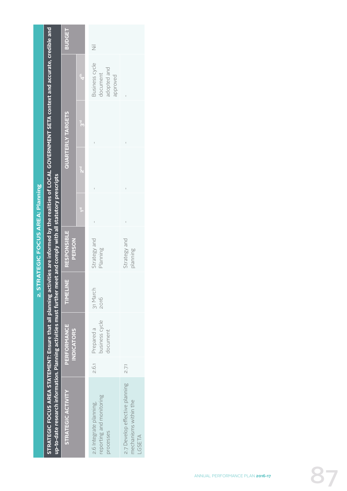|                                                                                                                                                                                                                                                                                  |       |                                          |                  | 2. STRATEGIC FOCUS AREA: Planning   |                 |          |                          |                                                       |                |
|----------------------------------------------------------------------------------------------------------------------------------------------------------------------------------------------------------------------------------------------------------------------------------|-------|------------------------------------------|------------------|-------------------------------------|-----------------|----------|--------------------------|-------------------------------------------------------|----------------|
| STRATEGIC FOCUS AREA STATEMENT: Ensure that all planning activities are informed by the realities of LOCAL GOVERNMENT SETA context and accurate, credible and<br>up-to-date research information. Planning activities must further meet and comply with all statutory prescripts |       |                                          |                  |                                     |                 |          |                          |                                                       |                |
| <b>STRATEGIC ACTIVITY</b>                                                                                                                                                                                                                                                        |       | <b>PERFORMANCE</b><br><b>INDICATORS</b>  | TIMELINE         | <b>RESPONSIBLE</b><br><b>PERSON</b> |                 |          | <b>QUARTERLY TARGETS</b> |                                                       | <b>BUDGET</b>  |
|                                                                                                                                                                                                                                                                                  |       |                                          |                  |                                     | $\frac{51}{12}$ | ייב<br>ה | $\frac{1}{3}$            | $\mathbf{A}^{\text{th}}$                              |                |
| reporting and monitoring<br>2.6 Integrate planning,<br>processes                                                                                                                                                                                                                 | 2.6.1 | pusiness cycle<br>Prepared a<br>document | 31 March<br>2016 | Strategy and<br>Planning            |                 |          |                          | Business cycle<br>adopted and<br>document<br>approved | $\overline{z}$ |
| 2.7 Develop effective planning<br>mechanisms within the<br>LGSETA                                                                                                                                                                                                                | 2.71  |                                          |                  | Strategy and<br>planning            |                 |          |                          |                                                       |                |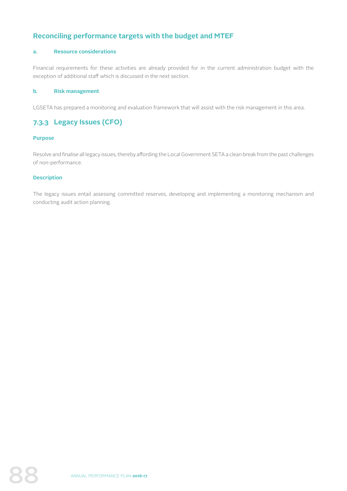# **Reconciling performance targets with the budget and MTEF**

## **a. Resource considerations**

Financial requirements for these activities are already provided for in the current administration budget with the exception of additional staff which is discussed in the next section.

#### **b. Risk management**

LGSETA has prepared a monitoring and evaluation framework that will assist with the risk management in this area.

# **7.3.3 Legacy Issues (CFO)**

#### **Purpose**

Resolve and finalise all legacy issues, thereby affording the Local Government SETA a clean break from the past challenges of non-performance.

#### **Description**

The legacy issues entail assessing committed reserves, developing and implementing a monitoring mechanism and conducting audit action planning.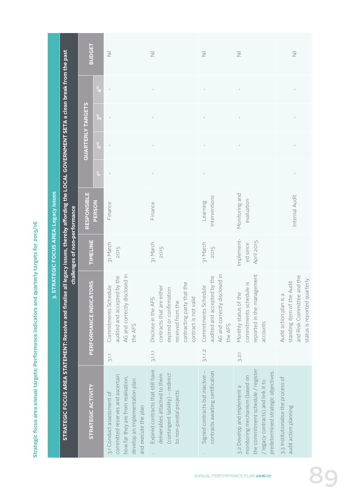Strategic focus area annual targets: Performance indicators and quarterly targets for 2015/16 **Strategic focus area annual targets: Performance indicators and quarterly targets for 2015/16**

| I                                                                                                                     |                                             |
|-----------------------------------------------------------------------------------------------------------------------|---------------------------------------------|
|                                                                                                                       |                                             |
|                                                                                                                       |                                             |
|                                                                                                                       |                                             |
|                                                                                                                       |                                             |
|                                                                                                                       |                                             |
|                                                                                                                       |                                             |
| l                                                                                                                     |                                             |
|                                                                                                                       |                                             |
| Ì                                                                                                                     |                                             |
| <b>Contract Contract Contract Contract Contract Contract Contract Contract Contract Contract Contract Contract Co</b> |                                             |
|                                                                                                                       |                                             |
|                                                                                                                       |                                             |
|                                                                                                                       |                                             |
| l                                                                                                                     |                                             |
| í<br>I                                                                                                                |                                             |
|                                                                                                                       |                                             |
|                                                                                                                       |                                             |
| ֖֖֖֖֧ׅ֖֧֖֧֧֖֧֧֧֪֧֪֧֪֧֪֪֧֧֧֚֚֚֚֚֚֚֚֚֚֚֚֚֚֚֚֚֚֚֚֚֚֚֚֚֚֚֚֚֚֚֬֝֝֝֓֞֝֓֞֝֬֝֓֞֝֬֞֝֬֝֬֝֬֝֬֝֬֝֬                                |                                             |
| j                                                                                                                     |                                             |
|                                                                                                                       |                                             |
|                                                                                                                       |                                             |
|                                                                                                                       |                                             |
| I<br>i                                                                                                                |                                             |
|                                                                                                                       |                                             |
| l                                                                                                                     |                                             |
| ֖֖֚֚֚֚֚֚֡֬                                                                                                            |                                             |
|                                                                                                                       |                                             |
| ׇ֚֘֝֬֝                                                                                                                |                                             |
|                                                                                                                       |                                             |
|                                                                                                                       |                                             |
|                                                                                                                       |                                             |
| I<br>֠                                                                                                                |                                             |
|                                                                                                                       |                                             |
|                                                                                                                       |                                             |
|                                                                                                                       |                                             |
|                                                                                                                       |                                             |
|                                                                                                                       |                                             |
| İ                                                                                                                     |                                             |
|                                                                                                                       |                                             |
|                                                                                                                       |                                             |
|                                                                                                                       |                                             |
|                                                                                                                       |                                             |
|                                                                                                                       |                                             |
| l                                                                                                                     |                                             |
| l<br>֚֚֬                                                                                                              |                                             |
|                                                                                                                       |                                             |
|                                                                                                                       |                                             |
| Ì<br>٠                                                                                                                | ֖֖֖֖֧֪ׅ֪֪֪ׅ֖֚֚֚֚֚֚֚֚֚֚֚֚֚֚֚֚֚֚֚֚֚֬֝֝֝֝֝֝֝֝֝ |
|                                                                                                                       |                                             |

**STRATEGIC FOCUS AREA STATEMENT: Resolve and finalise all legacy issues, thereby affording the LOCAL GOVERNMENT SETA a clean break from the past**  CTDATEGIC EQCIIS ADEA CTATEMENT: Dacolus and finalise all largev issues. thoroby afforming tha LQCAI GOVEDNMENT SETA a claam hroa*t fro*m th

|                                                                                                                                                                                                                                | <b>BUDGET</b>            |                               | 运                                                                                                                                                             | $\overline{\overline{z}}$                                                                                                                               | 三                                                                                               | 运                                                                                                                                                                               | $\overline{\overline{z}}$                                                                                          |
|--------------------------------------------------------------------------------------------------------------------------------------------------------------------------------------------------------------------------------|--------------------------|-------------------------------|---------------------------------------------------------------------------------------------------------------------------------------------------------------|---------------------------------------------------------------------------------------------------------------------------------------------------------|-------------------------------------------------------------------------------------------------|---------------------------------------------------------------------------------------------------------------------------------------------------------------------------------|--------------------------------------------------------------------------------------------------------------------|
|                                                                                                                                                                                                                                |                          | $\mathfrak{t}^{\mathfrak{t}}$ | $\mathbf{I}$                                                                                                                                                  | $\mathsf I$                                                                                                                                             | $\mathbb{I}$                                                                                    | $\mathbb{I}$                                                                                                                                                                    | $\mathsf I$                                                                                                        |
|                                                                                                                                                                                                                                |                          | $\mathbf{S}^{\mathrm{d}}$     | $\mathsf I$                                                                                                                                                   | $\mathsf I$                                                                                                                                             | $\mathbb{I}$                                                                                    | $\mathbb{I}$                                                                                                                                                                    | $\mathsf I$                                                                                                        |
|                                                                                                                                                                                                                                | <b>QUARTERLY TARGETS</b> | $\sum_{i=1}^{n}$              | $\mathsf I$                                                                                                                                                   | $\mathsf I$                                                                                                                                             |                                                                                                 | $\mathsf I$                                                                                                                                                                     | $\mathsf I$                                                                                                        |
|                                                                                                                                                                                                                                |                          | $\widetilde{\mathbf{1}}$      | $\mathbf{I}$                                                                                                                                                  | $\vert$                                                                                                                                                 |                                                                                                 |                                                                                                                                                                                 | $\mathsf I$                                                                                                        |
|                                                                                                                                                                                                                                | <b>RESPONSIBLE</b>       | PERSON                        | Finance                                                                                                                                                       | Finance                                                                                                                                                 | Interventions<br>Learning                                                                       | Monitoring and<br>evaluation                                                                                                                                                    | Internal Audit                                                                                                     |
| challenges of non-performance                                                                                                                                                                                                  | <b>TIMELINE</b>          |                               | 31 March<br>2015                                                                                                                                              | 31 March<br>2015                                                                                                                                        | 31 March<br>2015                                                                                | Implement-<br>April 2015<br>ed since                                                                                                                                            |                                                                                                                    |
|                                                                                                                                                                                                                                | PERFORMANCE INDICATORS   |                               | AG and correctly disclosed in<br>audited and accepted by the<br>Commitments Schedule<br>the AFS                                                               | contracting party that the<br>contracts that are either<br>expired or confirmation<br>Disclose in the AFS<br>contract is not valid<br>received from the | AG and correctly disclosed in<br>audited and accepted by the<br>Commitments Schedule<br>the AFS | reported in the management<br>commitments schedule is<br>Monthly status of the<br>accounts                                                                                      | and Risk Committee and the<br>status is reported quarterly<br>standing item of the Audit<br>Audit action plan is a |
|                                                                                                                                                                                                                                |                          |                               | 3.1.1                                                                                                                                                         | 3.1.1.1                                                                                                                                                 | 3.1.1.2                                                                                         | 3.2.1                                                                                                                                                                           |                                                                                                                    |
| o the strip of the strip of the strip of the strip of the strip of the strip of the strip of the strip of the strip of the strip of the past of the past of the past of the past of the past of the past of the past of the st | STRATEGIC ACTIVITY       |                               | committed reserves and ascertain<br>how far they are from realisation,<br>develop an implementation plan<br>3.1 Conduct assessment of<br>and execute the plan | Expired contracts that still have<br>(contingent liability) - redirect<br>deliverables attached to them<br>to non-pivotal projects                      | contracts awaiting certification<br>Signed contracts but inactive                               | the commitment schedule / register<br>predetermined strategic objectives<br>monitoring mechanism (based on<br>/ legacy contracts) and link it to<br>3.2 Develop and implement a | 3.3 Institutionalise the process of<br>audit action planning                                                       |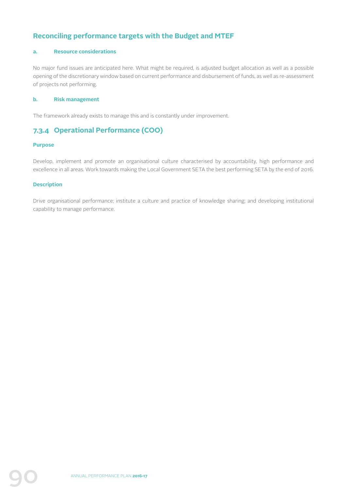# **Reconciling performance targets with the Budget and MTEF**

## **a. Resource considerations**

No major fund issues are anticipated here. What might be required, is adjusted budget allocation as well as a possible opening of the discretionary window based on current performance and disbursement of funds, as well as re-assessment of projects not performing.

#### **b. Risk management**

The framework already exists to manage this and is constantly under improvement.

# **7.3.4 Operational Performance (COO)**

#### **Purpose**

Develop, implement and promote an organisational culture characterised by accountability, high performance and excellence in all areas. Work towards making the Local Government SETA the best performing SETA by the end of 2016.

#### **Description**

Drive organisational performance; institute a culture and practice of knowledge sharing; and developing institutional capability to manage performance.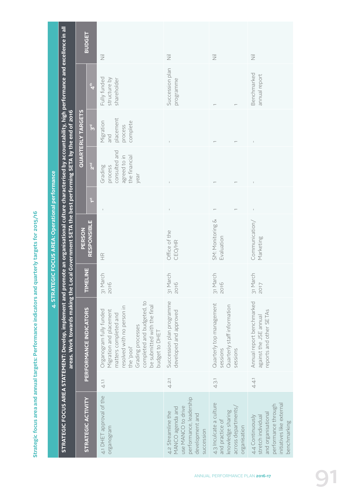|                                                  |                                                                                                                                                              | <b>BUDGET</b>          |                           | $\overline{\overline{z}}$                                                                                                                                                                                                   | $\overline{\overline{z}}$                                                                                                | 运                                                                                                      | 运                                                                                                                               |
|--------------------------------------------------|--------------------------------------------------------------------------------------------------------------------------------------------------------------|------------------------|---------------------------|-----------------------------------------------------------------------------------------------------------------------------------------------------------------------------------------------------------------------------|--------------------------------------------------------------------------------------------------------------------------|--------------------------------------------------------------------------------------------------------|---------------------------------------------------------------------------------------------------------------------------------|
|                                                  |                                                                                                                                                              |                        | $\frac{4}{4}$             | Fully funded<br>structure by<br>shareholder                                                                                                                                                                                 | Succession plan<br>programme                                                                                             |                                                                                                        | Benchmarked<br>annual report                                                                                                    |
|                                                  |                                                                                                                                                              | QUARTERLY TARGETS      | $\mathbf{S}^{\mathrm{d}}$ | placement<br>Migration<br>complete<br>process<br>and                                                                                                                                                                        |                                                                                                                          |                                                                                                        |                                                                                                                                 |
|                                                  |                                                                                                                                                              |                        | 2 <sup>nd</sup>           | consulted and<br>agreed to in<br>the financial<br>Grading<br>process<br>year                                                                                                                                                |                                                                                                                          |                                                                                                        |                                                                                                                                 |
|                                                  |                                                                                                                                                              |                        | $\widetilde{\mathbf{f}}$  |                                                                                                                                                                                                                             |                                                                                                                          |                                                                                                        |                                                                                                                                 |
| 4. STRATEGIC FOCUS AREA: Operational performance | omote an organisational culture characterised by accountability, high performance and excellence in all'                                                     | <b>PERSON</b>          | <b>RESPONSIBLE</b>        | $\frac{\alpha}{\pm}$                                                                                                                                                                                                        | Office of the<br>CEO/HR                                                                                                  | SM: Monitoring &<br>Evaluation                                                                         | Communication/<br>Marketing                                                                                                     |
|                                                  |                                                                                                                                                              |                        | <b>TIMELINE</b>           | 31 March<br>2016                                                                                                                                                                                                            | March<br>2016<br>$\frac{1}{21}$                                                                                          | March<br>2016<br>$\frac{1}{21}$                                                                        | 31 March<br>2017                                                                                                                |
|                                                  | areas. Work towards making the Local Government SETA the best performing SETA by the end of 2016<br>STRATEGIC FOCUS AREA STATEMENT: Develop, implement and p | PERFORMANCE INDICATORS |                           | completed and budgeted, to<br>be submitted with the final<br>resolved with no person in<br>Organogram fully funded<br>Migration and placement<br>matters completed and<br>Grading processes<br>budget to DHET<br>the 'pool' | Succession plan programme<br>developed and approved                                                                      | Quarterly top management<br>Quarterly staff information<br>sessions<br>sessions                        | Annual report benchmarked<br>reports and other SETAs<br>against the JSE annual                                                  |
|                                                  |                                                                                                                                                              |                        |                           | 4.1.1                                                                                                                                                                                                                       | 4.2.1                                                                                                                    | 4.3.1                                                                                                  | 4.4.1                                                                                                                           |
|                                                  |                                                                                                                                                              |                        | <b>STRATEGIC ACTIVITY</b> | 4.1 DHET approval of the<br>organogram                                                                                                                                                                                      | performance, leadership<br>use MANCO to drive<br>MANCO agenda and<br>4.2 Streamline the<br>development and<br>succession | 4.3 Inculcate a culture<br>across departments,<br>knowledge sharing<br>and practice of<br>organisation | nitiatives like external<br>performance through<br>and organisational<br>4.4 Continuously<br>stretch individual<br>benchmarking |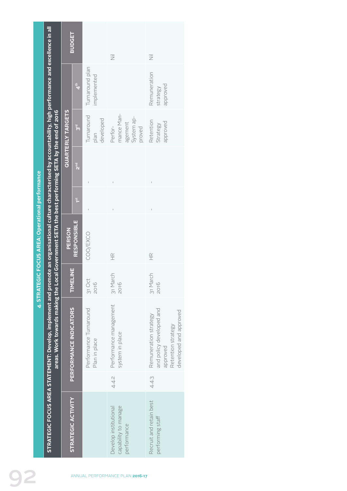|                                                 |                                                                                                                                                                                                                                                                      |                          | <b>BUDGET</b>             |                                         | $\overline{\overline{z}}$                                    | $\overline{\overline{z}}$                                                                                              |
|-------------------------------------------------|----------------------------------------------------------------------------------------------------------------------------------------------------------------------------------------------------------------------------------------------------------------------|--------------------------|---------------------------|-----------------------------------------|--------------------------------------------------------------|------------------------------------------------------------------------------------------------------------------------|
|                                                 |                                                                                                                                                                                                                                                                      |                          | 4 <sup>th</sup>           | Turnaround plan<br>mplemented           |                                                              | Remuneration<br>approved<br>strategy                                                                                   |
|                                                 |                                                                                                                                                                                                                                                                      | <b>QUARTERLY TARGETS</b> | ट<br><mark>१</mark>       | Turnaround<br>developed<br>plan         | mance Man-<br>System ap-<br>agement<br>Perfor-<br>proved     | Retention<br>approved<br>Strategy                                                                                      |
|                                                 |                                                                                                                                                                                                                                                                      |                          | Para                      |                                         |                                                              |                                                                                                                        |
|                                                 |                                                                                                                                                                                                                                                                      |                          | $1^{\rm st}$              |                                         |                                                              |                                                                                                                        |
| <b>EGIC FOCUS AREA: Operational performance</b> |                                                                                                                                                                                                                                                                      | PERSON                   | <b>RESPONSIBLE</b>        | COO/EXCO                                | $\frac{\alpha}{\pm}$                                         | $\frac{\alpha}{\pm}$                                                                                                   |
| 4. STRATI                                       |                                                                                                                                                                                                                                                                      |                          | <b>TIMELINE</b>           | 31 Oct<br>2016                          | 31 March<br>2016                                             | 31 March<br>2016                                                                                                       |
|                                                 | STRATEGIC FOCUS AREA STATEMENT: Develop, implement and promote an organisational culture characterised by accountability, high performance and excellence in all<br>areas. Work towards making the Local Government SETA the best performing SETA by the end of 2016 |                          | PERFORMANCE INDICATORS    | Performance Turnaround<br>Plan in place | Performance management<br>system in place<br>4.4.2           | and policy developed and<br>developed and approved<br>Remuneration strategy<br>Retention strategy<br>approved<br>4.4.3 |
|                                                 |                                                                                                                                                                                                                                                                      |                          | <b>STRATEGIC ACTIVITY</b> |                                         | capability to manage<br>Develop institutional<br>performance | Recruit and retain best<br>performing staff                                                                            |
|                                                 |                                                                                                                                                                                                                                                                      |                          |                           |                                         | ANNUAL PERFORMANCE PLAN 2016-17                              |                                                                                                                        |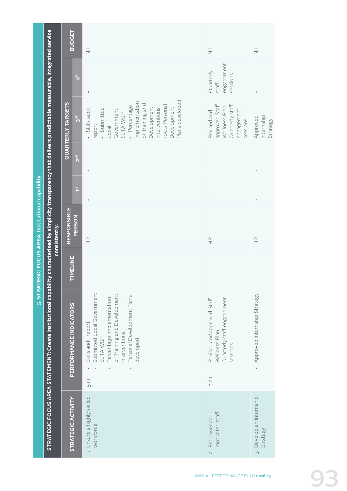|                                                   |                                                                                                                                                                   | <b>BUDGET</b>                |                          |  |
|---------------------------------------------------|-------------------------------------------------------------------------------------------------------------------------------------------------------------------|------------------------------|--------------------------|--|
|                                                   |                                                                                                                                                                   |                              | $\mathbf{A}^{\text{th}}$ |  |
|                                                   |                                                                                                                                                                   | QUARTERLY TARGETS            | $\frac{5}{5}$            |  |
|                                                   |                                                                                                                                                                   |                              | 2 <sup>nd</sup>          |  |
|                                                   |                                                                                                                                                                   |                              | $1^{\rm st}$             |  |
| 5. STRATEGIC FOCUS AREA: Institutional capability | consistently.                                                                                                                                                     | <b>RESPONSIBLE</b><br>PERSON |                          |  |
|                                                   |                                                                                                                                                                   | TIMELINE                     |                          |  |
|                                                   | STRATEGIC FOCUS AREA STATEMENT: Create institutional capability characterised by simplicity transparency that delivers predictable measurable, integrated service | CM IL UN                     | <b>PERFORM</b>           |  |
|                                                   |                                                                                                                                                                   |                              | <b>RATEGIC</b>           |  |

| <b>BUDGET</b>            |                           | $\overline{\overline{z}}$                                                                                                                                                                                                                                                                                                                                                                                      | $\overline{\overline{z}}$                                                                   | $\overline{\overline{z}}$                                                                                                                                                                                                                                                                                                                                                                                      |
|--------------------------|---------------------------|----------------------------------------------------------------------------------------------------------------------------------------------------------------------------------------------------------------------------------------------------------------------------------------------------------------------------------------------------------------------------------------------------------------|---------------------------------------------------------------------------------------------|----------------------------------------------------------------------------------------------------------------------------------------------------------------------------------------------------------------------------------------------------------------------------------------------------------------------------------------------------------------------------------------------------------------|
|                          | 4 <sup>th</sup>           | $\begin{array}{c} \rule{0pt}{2ex} \rule{0pt}{2ex} \rule{0pt}{2ex} \rule{0pt}{2ex} \rule{0pt}{2ex} \rule{0pt}{2ex} \rule{0pt}{2ex} \rule{0pt}{2ex} \rule{0pt}{2ex} \rule{0pt}{2ex} \rule{0pt}{2ex} \rule{0pt}{2ex} \rule{0pt}{2ex} \rule{0pt}{2ex} \rule{0pt}{2ex} \rule{0pt}{2ex} \rule{0pt}{2ex} \rule{0pt}{2ex} \rule{0pt}{2ex} \rule{0pt}{2ex} \rule{0pt}{2ex} \rule{0pt}{2ex} \rule{0pt}{2ex} \rule{0pt}{$ | engagement<br>Quarterly<br>sessions<br>staff                                                | $\overline{1}$                                                                                                                                                                                                                                                                                                                                                                                                 |
| <b>QUARTERLY TARGETS</b> | $\frac{1}{3}$             | Plans developed<br>implementation<br>of Training and<br>100% Personal<br>SETA WSP<br>- Percentage<br>Development<br>Development<br>- Skills audit<br>interventions<br>Submitted<br>Government<br>Local<br>report                                                                                                                                                                                               | approved Staff<br>Quarterly staff<br>Wellness Plan<br>engagement<br>Revised and<br>sessions | Internship<br>Approved<br>Strategy                                                                                                                                                                                                                                                                                                                                                                             |
|                          | $\sum_{i=1}^{n}$          | $\mathbf{I}$                                                                                                                                                                                                                                                                                                                                                                                                   | $\begin{array}{c} \begin{array}{c} \end{array} \end{array}$                                 | $\begin{array}{c} \rule{0pt}{2ex} \rule{0pt}{2ex} \rule{0pt}{2ex} \rule{0pt}{2ex} \rule{0pt}{2ex} \rule{0pt}{2ex} \rule{0pt}{2ex} \rule{0pt}{2ex} \rule{0pt}{2ex} \rule{0pt}{2ex} \rule{0pt}{2ex} \rule{0pt}{2ex} \rule{0pt}{2ex} \rule{0pt}{2ex} \rule{0pt}{2ex} \rule{0pt}{2ex} \rule{0pt}{2ex} \rule{0pt}{2ex} \rule{0pt}{2ex} \rule{0pt}{2ex} \rule{0pt}{2ex} \rule{0pt}{2ex} \rule{0pt}{2ex} \rule{0pt}{$ |
|                          | $1^{\rm st}$              | ı                                                                                                                                                                                                                                                                                                                                                                                                              |                                                                                             | $\bar{1}$                                                                                                                                                                                                                                                                                                                                                                                                      |
| <b>RESPONSIBLE</b>       | PERSON                    | $\frac{\alpha}{\pm}$                                                                                                                                                                                                                                                                                                                                                                                           | $\frac{\alpha}{\pm}$                                                                        | $\frac{\alpha}{\pm}$                                                                                                                                                                                                                                                                                                                                                                                           |
| TIMELINE                 |                           |                                                                                                                                                                                                                                                                                                                                                                                                                |                                                                                             |                                                                                                                                                                                                                                                                                                                                                                                                                |
|                          | PERFORMANCE INDICATORS    | Submitted Local Government<br>of Training and Development<br>Personal Development Plans<br>Percentage implementation<br>Skills audit report<br>interventions<br>SETA WSP<br>developed                                                                                                                                                                                                                          | Quarterly staff engagement<br>Revised and approved Staff<br>Wellness Plan<br>sessions       | Approved Internship Strategy                                                                                                                                                                                                                                                                                                                                                                                   |
|                          |                           | 5.1.1                                                                                                                                                                                                                                                                                                                                                                                                          | 5.2.1                                                                                       |                                                                                                                                                                                                                                                                                                                                                                                                                |
|                          | <b>STRATEGIC ACTIVITY</b> | 1. Ensure a highly skilled<br>workforce                                                                                                                                                                                                                                                                                                                                                                        | motivated staff<br>2. Empower and                                                           | 3. Develop an Internship<br>Strategy                                                                                                                                                                                                                                                                                                                                                                           |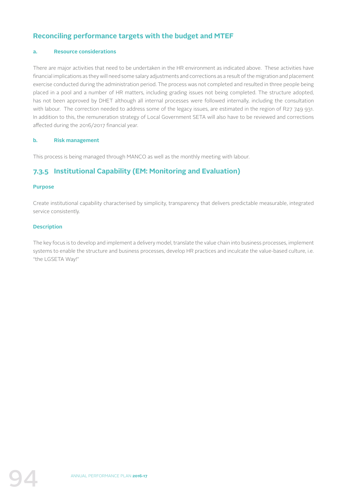# **Reconciling performance targets with the budget and MTEF**

#### **a. Resource considerations**

There are major activities that need to be undertaken in the HR environment as indicated above. These activities have financial implications as they will need some salary adjustments and corrections as a result of the migration and placement exercise conducted during the administration period. The process was not completed and resulted in three people being placed in a pool and a number of HR matters, including grading issues not being completed. The structure adopted, has not been approved by DHET although all internal processes were followed internally, including the consultation with labour. The correction needed to address some of the legacy issues, are estimated in the region of R27 749 931. In addition to this, the remuneration strategy of Local Government SETA will also have to be reviewed and corrections affected during the 2016/2017 financial year.

#### **b. Risk management**

This process is being managed through MANCO as well as the monthly meeting with labour.

# **7.3.5 Institutional Capability (EM: Monitoring and Evaluation)**

#### **Purpose**

Create institutional capability characterised by simplicity, transparency that delivers predictable measurable, integrated service consistently.

#### **Description**

The key focus is to develop and implement a delivery model, translate the value chain into business processes, implement systems to enable the structure and business processes, develop HR practices and inculcate the value-based culture, i.e. "the LGSETA Way!"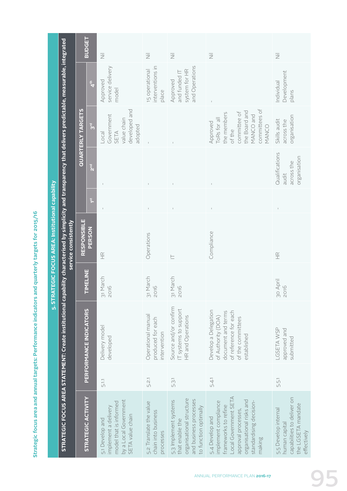Strategic focus area and annual targets: Performance indicators and quarterly targets for 2015/16 **Strategic focus area and annual targets: Performance indicators and quarterly targets for 2015/16**

**5. STRATEGIC FOCUS AREA: Institutional capability** 

5. STRATEGIC FOCUS AREA: Institutional capability

|                                                                                                                                                                                        |                              | <b>BUDGET</b>          | 运                                                                                                             | $\overline{\overline{z}}$                                   | $\overline{\overline{z}}$                                                                                               | $\overline{\overline{z}}$                                                                                                                                                     | $\overline{\overline{z}}$                                                                                |
|----------------------------------------------------------------------------------------------------------------------------------------------------------------------------------------|------------------------------|------------------------|---------------------------------------------------------------------------------------------------------------|-------------------------------------------------------------|-------------------------------------------------------------------------------------------------------------------------|-------------------------------------------------------------------------------------------------------------------------------------------------------------------------------|----------------------------------------------------------------------------------------------------------|
|                                                                                                                                                                                        |                              | 4 <sup>th</sup>        | service delivery<br>Approved<br>model                                                                         | nterventions in<br>5 operational<br>place                   | and Operations<br>system for HR<br>and funded IT<br>Approved                                                            |                                                                                                                                                                               | Development<br>Individual<br>plans                                                                       |
|                                                                                                                                                                                        | <b>QUARTERLY TARGETS</b>     | 3 <sup>rd</sup>        | developed and<br>Government<br>value chain<br>adopted<br>SETA<br>Local                                        |                                                             |                                                                                                                         | committees of<br>the Board and<br>committee of<br>the members<br>MANCO and<br>ToRs for all<br>Approved<br>MANCO<br>of the                                                     | organisation<br>Skills audit<br>across the                                                               |
|                                                                                                                                                                                        |                              | 2 <sup>nd</sup>        |                                                                                                               | $\bar{1}$                                                   | $\mathbb{I}$                                                                                                            | $\mathsf{L}$                                                                                                                                                                  | Qualifications<br>organisation<br>across the<br>audit                                                    |
|                                                                                                                                                                                        |                              | $\frac{51}{10}$        |                                                                                                               |                                                             |                                                                                                                         |                                                                                                                                                                               |                                                                                                          |
| STRATEGIC FOCUS AREA STATEMENT: Create institutional capability characterised by simplicity and transparency that delivers predictable, measurable, integrated<br>service consistently | <b>RESPONSIBLE</b><br>PERSON |                        | $\frac{\alpha}{\pm}$                                                                                          | Operations                                                  | $\equiv$                                                                                                                | Compliance                                                                                                                                                                    | $\frac{\alpha}{\pm}$                                                                                     |
|                                                                                                                                                                                        | TIMELINE                     |                        | 31 March<br>2016                                                                                              | 31 March<br>2016                                            | 31 March<br>2016                                                                                                        |                                                                                                                                                                               | 30 April<br>2016                                                                                         |
|                                                                                                                                                                                        |                              | PERFORMANCE INDICATORS | Delivery model<br>developed                                                                                   | Operational manual<br>produced for each<br>intervention     | Source and/or confirm<br>T systems to support<br>HR and Operations                                                      | Develop a Delegation<br>document and terms<br>of reference for each<br>of Authority (DOA)<br>of the committees<br>established                                                 | LGSETA WSP<br>approved and<br>submitted                                                                  |
|                                                                                                                                                                                        |                              |                        | 5.1.1                                                                                                         | 5.2.1                                                       | 5.3.1                                                                                                                   | 5.4.1                                                                                                                                                                         | 5.5.1                                                                                                    |
|                                                                                                                                                                                        |                              | STRATEGIC ACTIVITY     | by a Local Government<br>model that is informed<br>mplement a delivery<br>SETA value chain<br>5.1 Develop and | 5.2 Translate the value<br>chain into business<br>orocesses | organisational structure<br>and business processes<br>5.3 Implement systems<br>to function optimally<br>that enable the | ocal Government SETA<br>organisational risks and<br>standardising decision-<br>mplement compliance<br>rameworks to refine<br>approval processes,<br>5.4 Develop and<br>making | capabilities to deliver on<br>the LGSETA mandate<br>5.5 Develop internal<br>numan capital<br>effectively |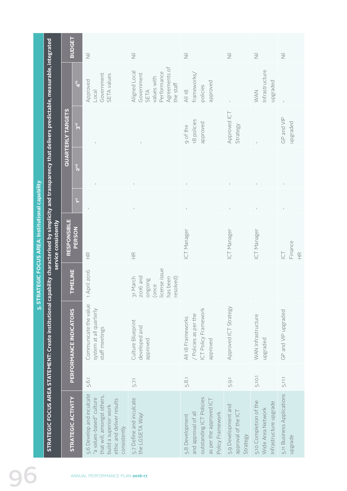|                                                                                                                                                                | <b>BUDGET</b>            |               | 三                                                                                                                                                         | $\overline{\overline{z}}$                                                                       | $\overline{\overline{z}}$                                                                                         | $\overline{\overline{z}}$                              | $\overline{\overline{z}}$                                             | $\overline{\overline{z}}$                                             |
|----------------------------------------------------------------------------------------------------------------------------------------------------------------|--------------------------|---------------|-----------------------------------------------------------------------------------------------------------------------------------------------------------|-------------------------------------------------------------------------------------------------|-------------------------------------------------------------------------------------------------------------------|--------------------------------------------------------|-----------------------------------------------------------------------|-----------------------------------------------------------------------|
|                                                                                                                                                                |                          | $\frac{4}{4}$ | Government<br>SETA values<br>Approved<br>Local                                                                                                            | Agreements of<br>Aligned Local<br>Performance<br>Government<br>values with<br>the staff<br>SETA | frameworks,<br>approved<br>policies<br>$\frac{18}{2}$                                                             |                                                        | Infrastructure<br>upgraded<br><b>MAN</b>                              | $\bar{1}$                                                             |
|                                                                                                                                                                | <b>QUARTERLY TARGETS</b> | ट<br>ठ        |                                                                                                                                                           | $\overline{1}$                                                                                  | 18 policies<br>approved<br>9 of the                                                                               | Approved ICT<br>Strategy                               |                                                                       | GP and VIP<br>upgraded                                                |
|                                                                                                                                                                |                          | $\frac{1}{2}$ |                                                                                                                                                           | $\mathbb{I}$                                                                                    | $\bar{1}$                                                                                                         | $\mathbb{I}$                                           |                                                                       |                                                                       |
|                                                                                                                                                                |                          | 15            |                                                                                                                                                           |                                                                                                 |                                                                                                                   |                                                        |                                                                       |                                                                       |
| 5. STRATEGIC FOCUS AREA: Institutional capability<br>service consistently                                                                                      | <b>RESPONSIBLE</b>       | <b>PERSON</b> | $\frac{\alpha}{\pm}$                                                                                                                                      | $\frac{\alpha}{\pm}$                                                                            | ICT Manager                                                                                                       | ICT Manager                                            | <b>ICT Manager</b>                                                    | Finance<br>$\overleftarrow{\underline{\cup}}$<br>$\frac{\alpha}{\pm}$ |
|                                                                                                                                                                | <b>TIMELINE</b>          |               | April 2016                                                                                                                                                | license issue<br>31 March<br>2016 and<br>has been<br>resolved)<br>auioauc<br>(once              |                                                                                                                   |                                                        |                                                                       |                                                                       |
| STRATEGIC FOCUS AREA STATEMENT: Create institutional capability characterised by simplicity and transparency that delivers predictable, measurable, integrated | PERFORMANCE INDICATORS   |               | Communicate the value<br>system at all quarterly<br>staff meetings                                                                                        | Culture Blueprint<br>developed and<br>approved                                                  | ICT Policy Framework<br>/ Policies as per the<br>All 18 Frameworks<br>approved                                    | Approved ICT Strategy                                  | WAN Infrastructure<br>upgraded                                        | GP and VIP upgraded                                                   |
|                                                                                                                                                                |                          |               | 5.6.1                                                                                                                                                     | 5.7.1                                                                                           | 5.8.1                                                                                                             | 5.9.1                                                  | 5.10.1                                                                | 5.11.1                                                                |
|                                                                                                                                                                | STRATEGIC ACTIVITY       |               | 5.6 Develop and inculcate<br>that will, amongst others,<br>"a values-based" culture<br>ethic and deliver results<br>build a superior work<br>consistently | 5.7 Define and inculcate<br>the LGSETA Way!                                                     | outstanding ICT Policies<br>as per the approved ICT<br>and approval of all<br>Policy Framework<br>5.8 Development | 5.9 Development and<br>approval of the ICT<br>Strategy | 5.10 Completion of the<br>Infrastructure upgrade<br>Wide Area Network | 5.11 Business Applications<br>upgrade                                 |
|                                                                                                                                                                |                          |               | ANNUAL PERFORMANCE PLAN 2016-17                                                                                                                           |                                                                                                 |                                                                                                                   |                                                        |                                                                       |                                                                       |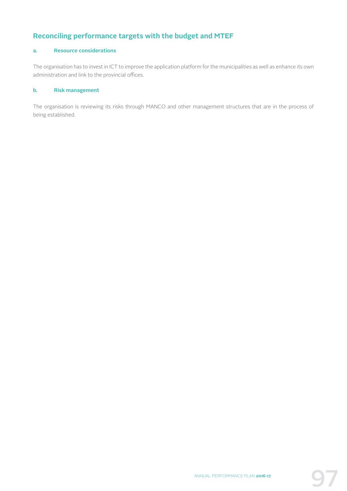# **Reconciling performance targets with the budget and MTEF**

# **a. Resource considerations**

The organisation has to invest in ICT to improve the application platform for the municipalities as well as enhance its own administration and link to the provincial offices.

#### **b. Risk management**

The organisation is reviewing its risks through MANCO and other management structures that are in the process of being established.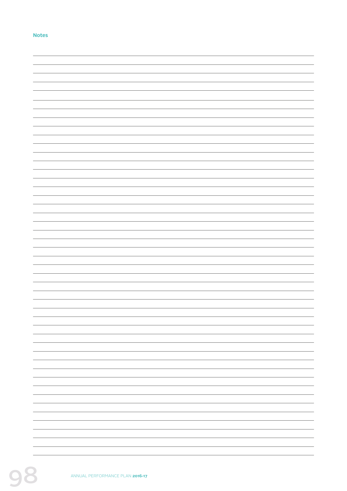#### **Notes**

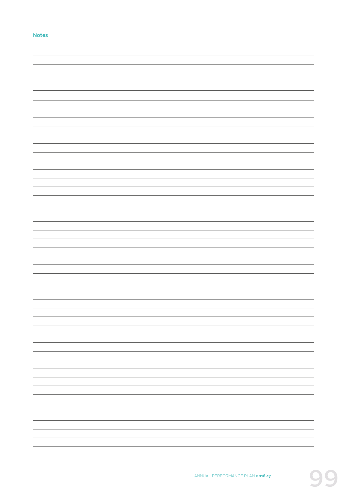#### **Notes**